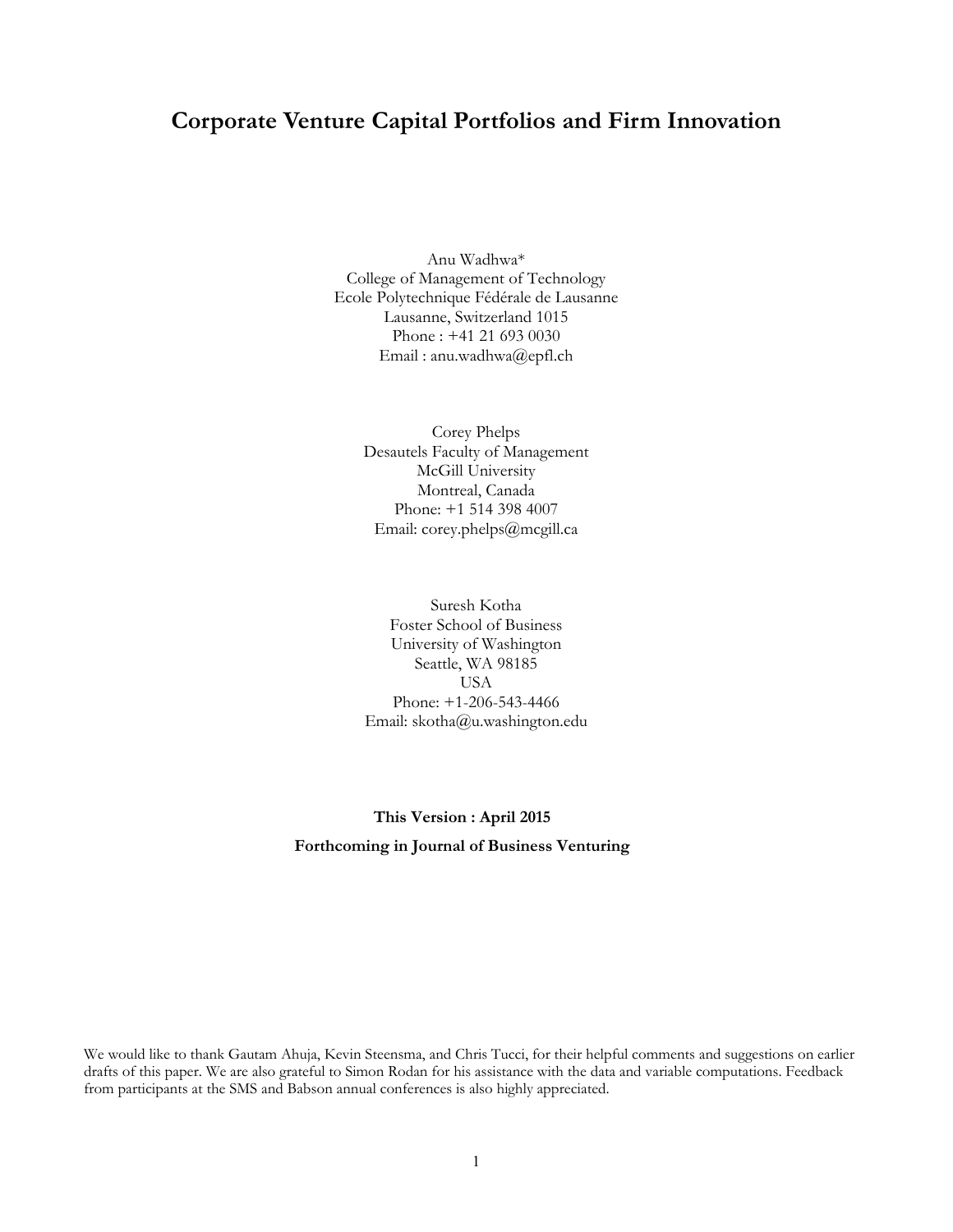# **Corporate Venture Capital Portfolios and Firm Innovation**

Anu Wadhwa\* College of Management of Technology Ecole Polytechnique Fédérale de Lausanne Lausanne, Switzerland 1015 Phone : +41 21 693 0030 Email : anu.wadhwa@epfl.ch

> Corey Phelps Desautels Faculty of Management McGill University Montreal, Canada Phone: +1 514 398 4007 Email: corey.phelps@mcgill.ca

> Suresh Kotha Foster School of Business University of Washington Seattle, WA 98185 USA Phone: +1-206-543-4466 Email: skotha@u.washington.edu

# **This Version : April 2015 Forthcoming in Journal of Business Venturing**

We would like to thank Gautam Ahuja, Kevin Steensma, and Chris Tucci, for their helpful comments and suggestions on earlier drafts of this paper. We are also grateful to Simon Rodan for his assistance with the data and variable computations. Feedback from participants at the SMS and Babson annual conferences is also highly appreciated.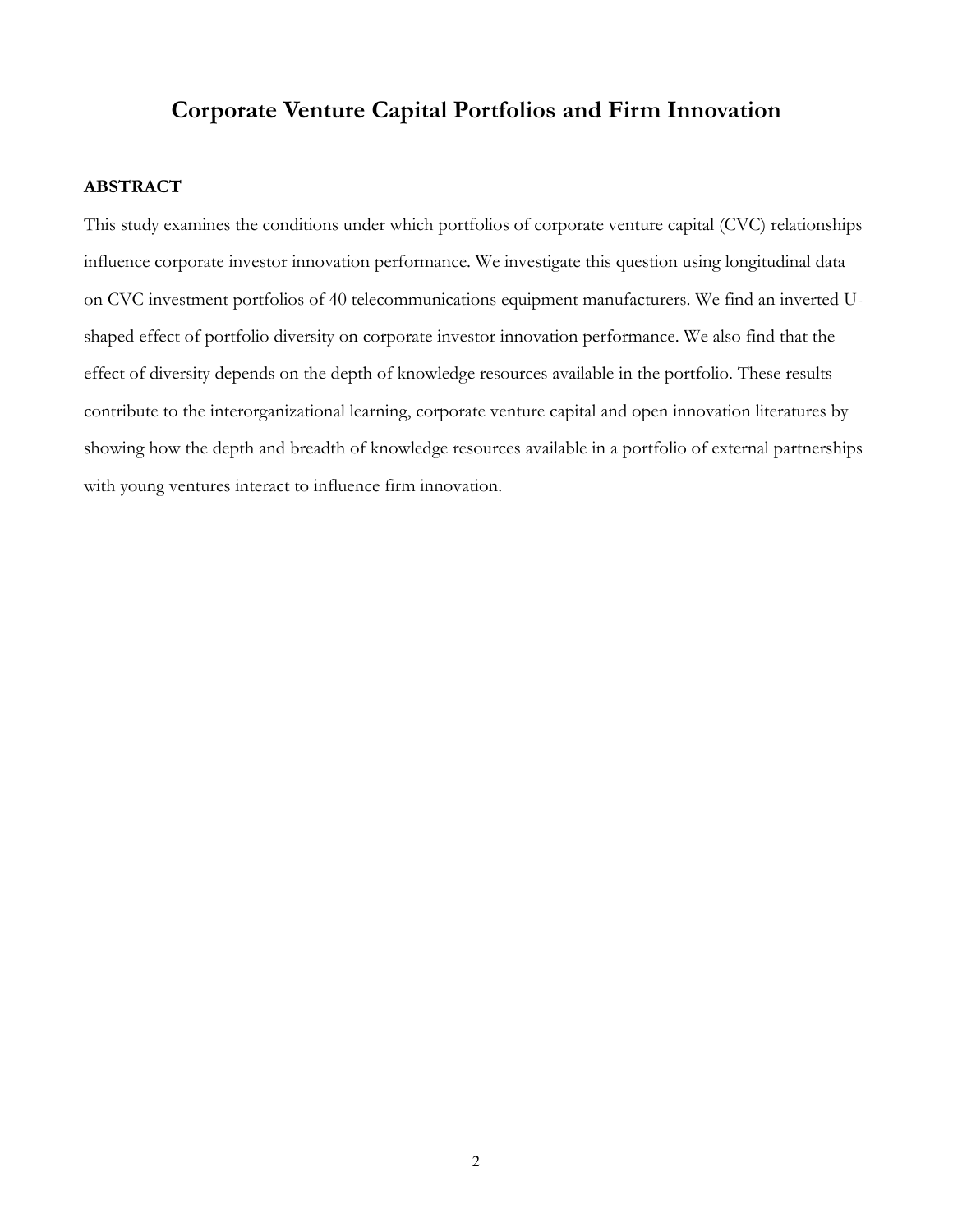# **Corporate Venture Capital Portfolios and Firm Innovation**

#### **ABSTRACT**

This study examines the conditions under which portfolios of corporate venture capital (CVC) relationships influence corporate investor innovation performance. We investigate this question using longitudinal data on CVC investment portfolios of 40 telecommunications equipment manufacturers. We find an inverted Ushaped effect of portfolio diversity on corporate investor innovation performance. We also find that the effect of diversity depends on the depth of knowledge resources available in the portfolio. These results contribute to the interorganizational learning, corporate venture capital and open innovation literatures by showing how the depth and breadth of knowledge resources available in a portfolio of external partnerships with young ventures interact to influence firm innovation.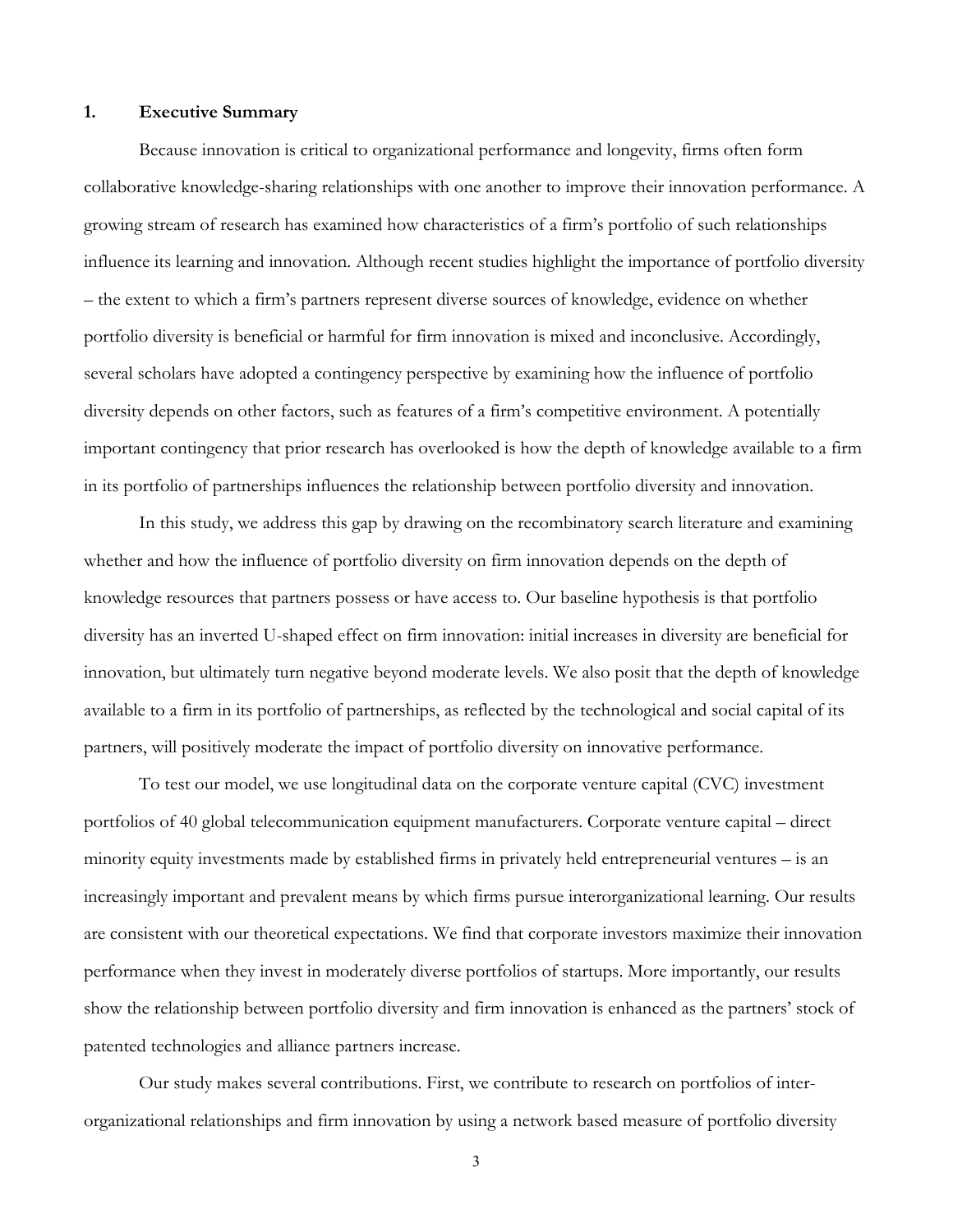## **1. Executive Summary**

Because innovation is critical to organizational performance and longevity, firms often form collaborative knowledge-sharing relationships with one another to improve their innovation performance. A growing stream of research has examined how characteristics of a firm's portfolio of such relationships influence its learning and innovation. Although recent studies highlight the importance of portfolio diversity – the extent to which a firm's partners represent diverse sources of knowledge, evidence on whether portfolio diversity is beneficial or harmful for firm innovation is mixed and inconclusive. Accordingly, several scholars have adopted a contingency perspective by examining how the influence of portfolio diversity depends on other factors, such as features of a firm's competitive environment. A potentially important contingency that prior research has overlooked is how the depth of knowledge available to a firm in its portfolio of partnerships influences the relationship between portfolio diversity and innovation.

In this study, we address this gap by drawing on the recombinatory search literature and examining whether and how the influence of portfolio diversity on firm innovation depends on the depth of knowledge resources that partners possess or have access to. Our baseline hypothesis is that portfolio diversity has an inverted U-shaped effect on firm innovation: initial increases in diversity are beneficial for innovation, but ultimately turn negative beyond moderate levels. We also posit that the depth of knowledge available to a firm in its portfolio of partnerships, as reflected by the technological and social capital of its partners, will positively moderate the impact of portfolio diversity on innovative performance.

To test our model, we use longitudinal data on the corporate venture capital (CVC) investment portfolios of 40 global telecommunication equipment manufacturers. Corporate venture capital – direct minority equity investments made by established firms in privately held entrepreneurial ventures – is an increasingly important and prevalent means by which firms pursue interorganizational learning. Our results are consistent with our theoretical expectations. We find that corporate investors maximize their innovation performance when they invest in moderately diverse portfolios of startups. More importantly, our results show the relationship between portfolio diversity and firm innovation is enhanced as the partners' stock of patented technologies and alliance partners increase.

Our study makes several contributions. First, we contribute to research on portfolios of interorganizational relationships and firm innovation by using a network based measure of portfolio diversity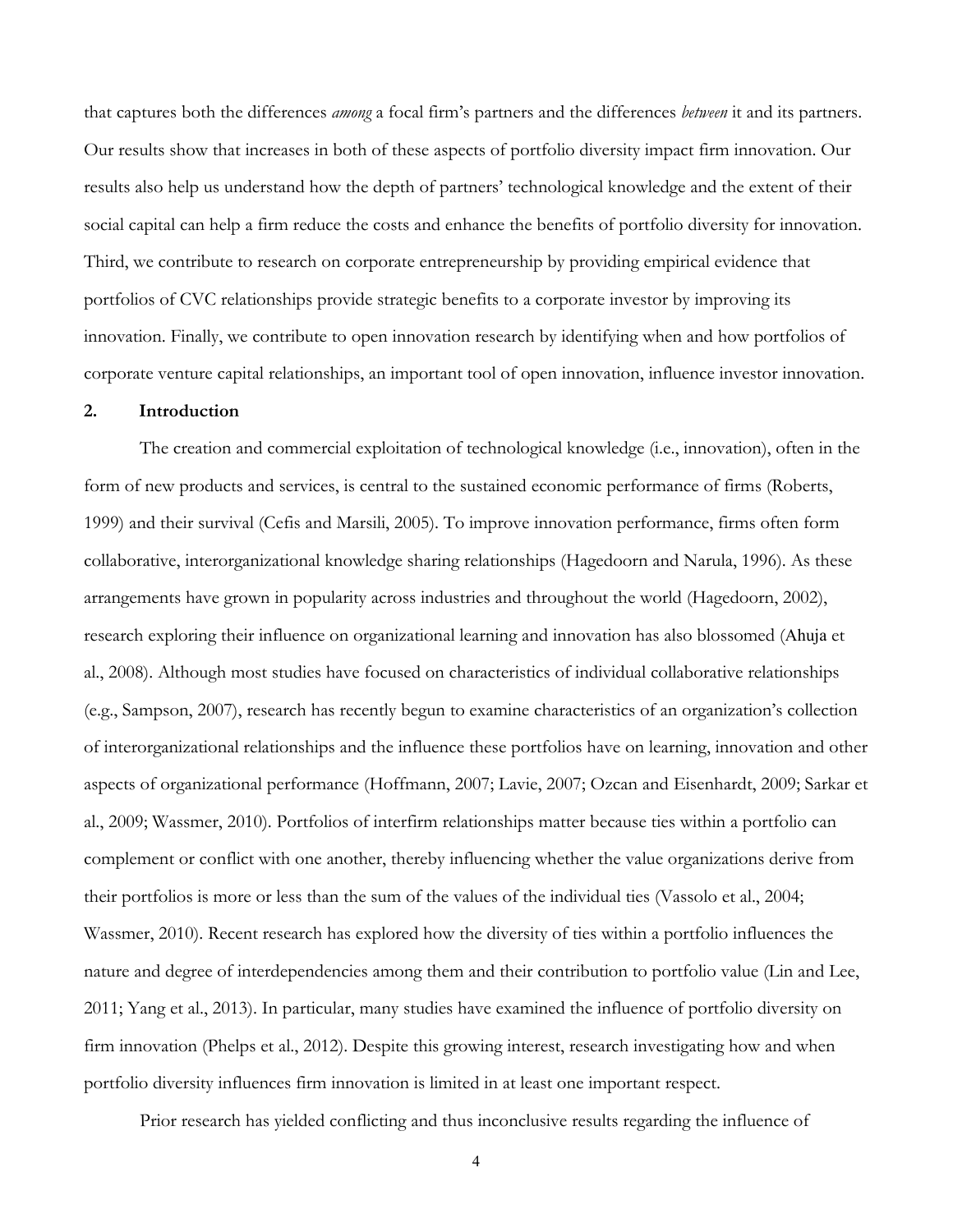that captures both the differences *among* a focal firm's partners and the differences *between* it and its partners. Our results show that increases in both of these aspects of portfolio diversity impact firm innovation. Our results also help us understand how the depth of partners' technological knowledge and the extent of their social capital can help a firm reduce the costs and enhance the benefits of portfolio diversity for innovation. Third, we contribute to research on corporate entrepreneurship by providing empirical evidence that portfolios of CVC relationships provide strategic benefits to a corporate investor by improving its innovation. Finally, we contribute to open innovation research by identifying when and how portfolios of corporate venture capital relationships, an important tool of open innovation, influence investor innovation.

# **2. Introduction**

The creation and commercial exploitation of technological knowledge (i.e., innovation), often in the form of new products and services, is central to the sustained economic performance of firms (Roberts, 1999) and their survival (Cefis and Marsili, 2005). To improve innovation performance, firms often form collaborative, interorganizational knowledge sharing relationships (Hagedoorn and Narula, 1996). As these arrangements have grown in popularity across industries and throughout the world (Hagedoorn, 2002), research exploring their influence on organizational learning and innovation has also blossomed (Ahuja et al., 2008). Although most studies have focused on characteristics of individual collaborative relationships (e.g., Sampson, 2007), research has recently begun to examine characteristics of an organization's collection of interorganizational relationships and the influence these portfolios have on learning, innovation and other aspects of organizational performance (Hoffmann, 2007; Lavie, 2007; Ozcan and Eisenhardt, 2009; Sarkar et al., 2009; Wassmer, 2010). Portfolios of interfirm relationships matter because ties within a portfolio can complement or conflict with one another, thereby influencing whether the value organizations derive from their portfolios is more or less than the sum of the values of the individual ties (Vassolo et al., 2004; Wassmer, 2010). Recent research has explored how the diversity of ties within a portfolio influences the nature and degree of interdependencies among them and their contribution to portfolio value (Lin and Lee, 2011; Yang et al., 2013). In particular, many studies have examined the influence of portfolio diversity on firm innovation (Phelps et al., 2012). Despite this growing interest, research investigating how and when portfolio diversity influences firm innovation is limited in at least one important respect.

Prior research has yielded conflicting and thus inconclusive results regarding the influence of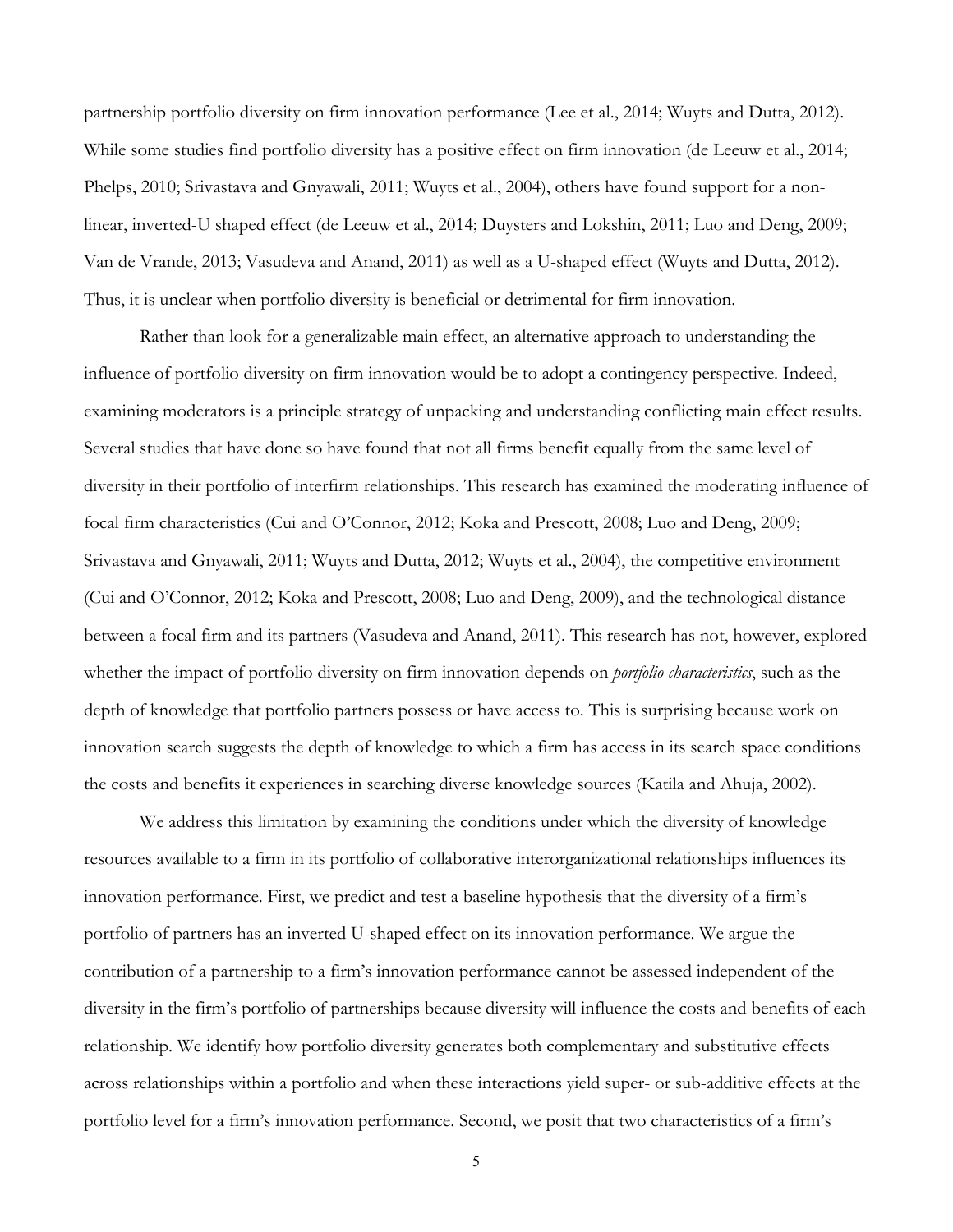partnership portfolio diversity on firm innovation performance (Lee et al., 2014; Wuyts and Dutta, 2012). While some studies find portfolio diversity has a positive effect on firm innovation (de Leeuw et al., 2014; Phelps, 2010; Srivastava and Gnyawali, 2011; Wuyts et al., 2004), others have found support for a nonlinear, inverted-U shaped effect (de Leeuw et al., 2014; Duysters and Lokshin, 2011; Luo and Deng, 2009; Van de Vrande, 2013; Vasudeva and Anand, 2011) as well as a U-shaped effect (Wuyts and Dutta, 2012). Thus, it is unclear when portfolio diversity is beneficial or detrimental for firm innovation.

Rather than look for a generalizable main effect, an alternative approach to understanding the influence of portfolio diversity on firm innovation would be to adopt a contingency perspective. Indeed, examining moderators is a principle strategy of unpacking and understanding conflicting main effect results. Several studies that have done so have found that not all firms benefit equally from the same level of diversity in their portfolio of interfirm relationships. This research has examined the moderating influence of focal firm characteristics (Cui and O'Connor, 2012; Koka and Prescott, 2008; Luo and Deng, 2009; Srivastava and Gnyawali, 2011; Wuyts and Dutta, 2012; Wuyts et al., 2004), the competitive environment (Cui and O'Connor, 2012; Koka and Prescott, 2008; Luo and Deng, 2009), and the technological distance between a focal firm and its partners (Vasudeva and Anand, 2011). This research has not, however, explored whether the impact of portfolio diversity on firm innovation depends on *portfolio characteristics*, such as the depth of knowledge that portfolio partners possess or have access to. This is surprising because work on innovation search suggests the depth of knowledge to which a firm has access in its search space conditions the costs and benefits it experiences in searching diverse knowledge sources (Katila and Ahuja, 2002).

We address this limitation by examining the conditions under which the diversity of knowledge resources available to a firm in its portfolio of collaborative interorganizational relationships influences its innovation performance. First, we predict and test a baseline hypothesis that the diversity of a firm's portfolio of partners has an inverted U-shaped effect on its innovation performance. We argue the contribution of a partnership to a firm's innovation performance cannot be assessed independent of the diversity in the firm's portfolio of partnerships because diversity will influence the costs and benefits of each relationship. We identify how portfolio diversity generates both complementary and substitutive effects across relationships within a portfolio and when these interactions yield super- or sub-additive effects at the portfolio level for a firm's innovation performance. Second, we posit that two characteristics of a firm's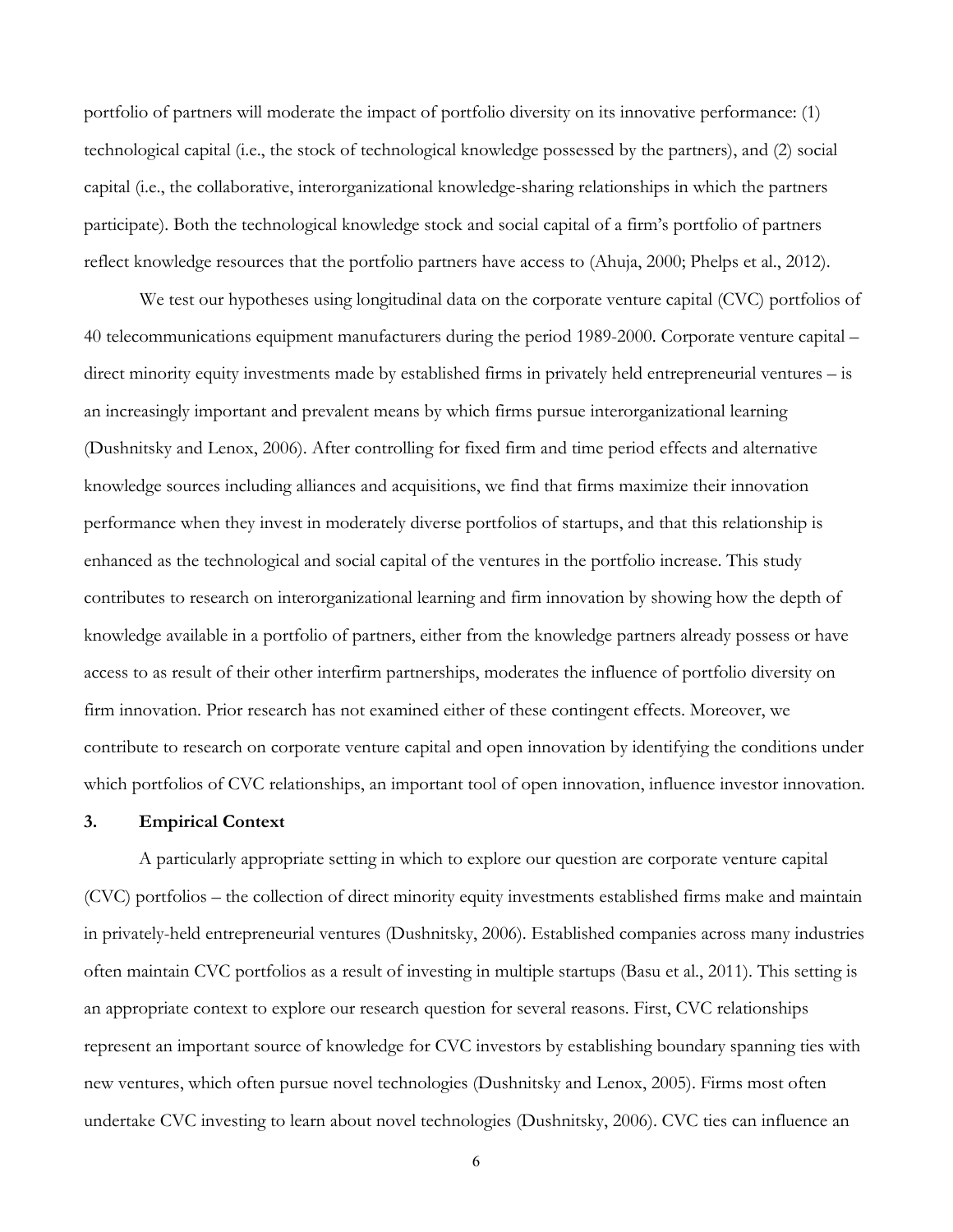portfolio of partners will moderate the impact of portfolio diversity on its innovative performance: (1) technological capital (i.e., the stock of technological knowledge possessed by the partners), and (2) social capital (i.e., the collaborative, interorganizational knowledge-sharing relationships in which the partners participate). Both the technological knowledge stock and social capital of a firm's portfolio of partners reflect knowledge resources that the portfolio partners have access to (Ahuja, 2000; Phelps et al., 2012).

We test our hypotheses using longitudinal data on the corporate venture capital (CVC) portfolios of 40 telecommunications equipment manufacturers during the period 1989-2000. Corporate venture capital – direct minority equity investments made by established firms in privately held entrepreneurial ventures – is an increasingly important and prevalent means by which firms pursue interorganizational learning (Dushnitsky and Lenox, 2006). After controlling for fixed firm and time period effects and alternative knowledge sources including alliances and acquisitions, we find that firms maximize their innovation performance when they invest in moderately diverse portfolios of startups, and that this relationship is enhanced as the technological and social capital of the ventures in the portfolio increase. This study contributes to research on interorganizational learning and firm innovation by showing how the depth of knowledge available in a portfolio of partners, either from the knowledge partners already possess or have access to as result of their other interfirm partnerships, moderates the influence of portfolio diversity on firm innovation. Prior research has not examined either of these contingent effects. Moreover, we contribute to research on corporate venture capital and open innovation by identifying the conditions under which portfolios of CVC relationships, an important tool of open innovation, influence investor innovation.

# **3. Empirical Context**

A particularly appropriate setting in which to explore our question are corporate venture capital (CVC) portfolios – the collection of direct minority equity investments established firms make and maintain in privately-held entrepreneurial ventures (Dushnitsky, 2006). Established companies across many industries often maintain CVC portfolios as a result of investing in multiple startups (Basu et al., 2011). This setting is an appropriate context to explore our research question for several reasons. First, CVC relationships represent an important source of knowledge for CVC investors by establishing boundary spanning ties with new ventures, which often pursue novel technologies (Dushnitsky and Lenox, 2005). Firms most often undertake CVC investing to learn about novel technologies (Dushnitsky, 2006). CVC ties can influence an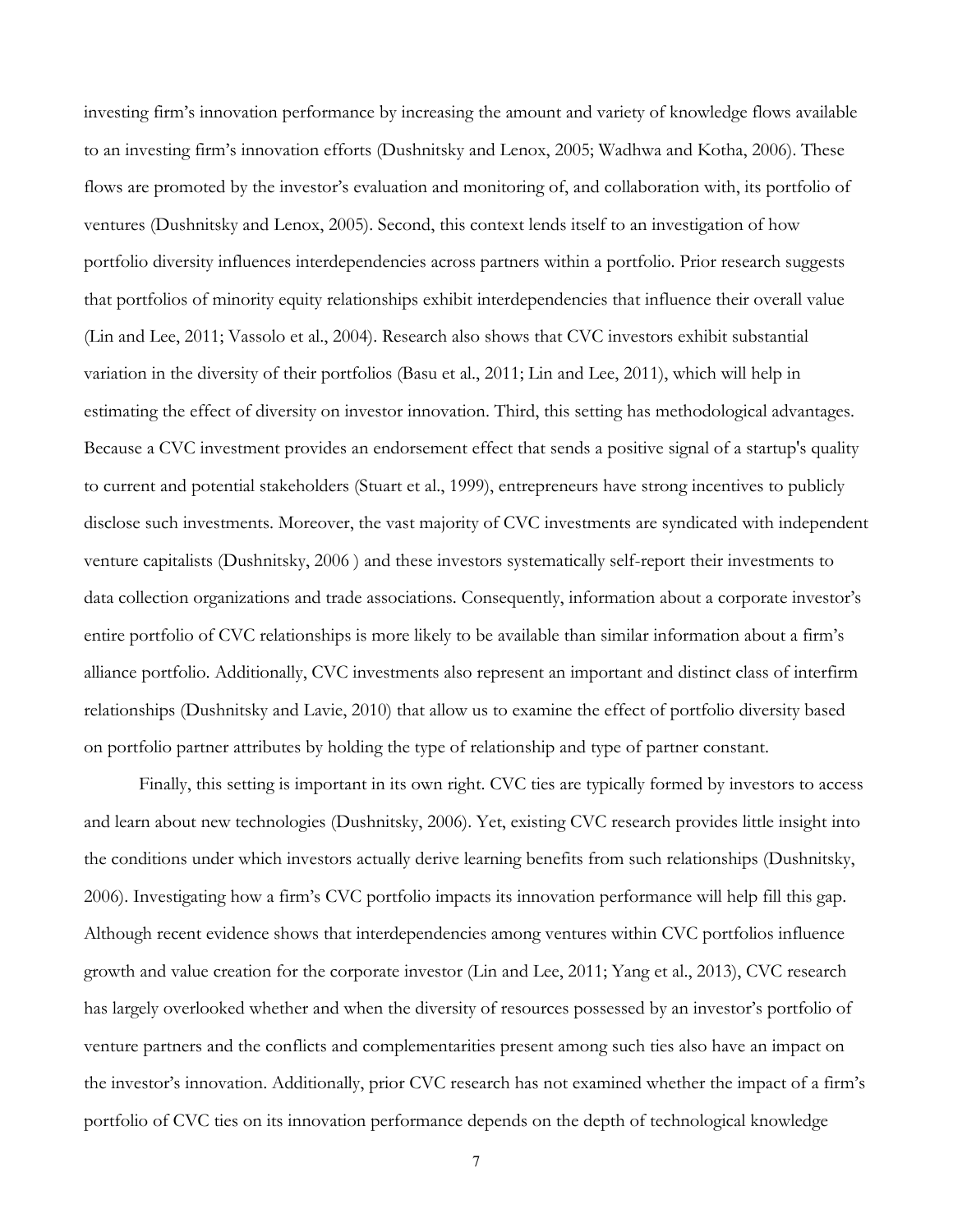investing firm's innovation performance by increasing the amount and variety of knowledge flows available to an investing firm's innovation efforts (Dushnitsky and Lenox, 2005; Wadhwa and Kotha, 2006). These flows are promoted by the investor's evaluation and monitoring of, and collaboration with, its portfolio of ventures (Dushnitsky and Lenox, 2005). Second, this context lends itself to an investigation of how portfolio diversity influences interdependencies across partners within a portfolio. Prior research suggests that portfolios of minority equity relationships exhibit interdependencies that influence their overall value (Lin and Lee, 2011; Vassolo et al., 2004). Research also shows that CVC investors exhibit substantial variation in the diversity of their portfolios (Basu et al., 2011; Lin and Lee, 2011), which will help in estimating the effect of diversity on investor innovation. Third, this setting has methodological advantages. Because a CVC investment provides an endorsement effect that sends a positive signal of a startup's quality to current and potential stakeholders (Stuart et al., 1999), entrepreneurs have strong incentives to publicly disclose such investments. Moreover, the vast majority of CVC investments are syndicated with independent venture capitalists (Dushnitsky, 2006 ) and these investors systematically self-report their investments to data collection organizations and trade associations. Consequently, information about a corporate investor's entire portfolio of CVC relationships is more likely to be available than similar information about a firm's alliance portfolio. Additionally, CVC investments also represent an important and distinct class of interfirm relationships (Dushnitsky and Lavie, 2010) that allow us to examine the effect of portfolio diversity based on portfolio partner attributes by holding the type of relationship and type of partner constant.

Finally, this setting is important in its own right. CVC ties are typically formed by investors to access and learn about new technologies (Dushnitsky, 2006). Yet, existing CVC research provides little insight into the conditions under which investors actually derive learning benefits from such relationships (Dushnitsky, 2006). Investigating how a firm's CVC portfolio impacts its innovation performance will help fill this gap. Although recent evidence shows that interdependencies among ventures within CVC portfolios influence growth and value creation for the corporate investor (Lin and Lee, 2011; Yang et al., 2013), CVC research has largely overlooked whether and when the diversity of resources possessed by an investor's portfolio of venture partners and the conflicts and complementarities present among such ties also have an impact on the investor's innovation. Additionally, prior CVC research has not examined whether the impact of a firm's portfolio of CVC ties on its innovation performance depends on the depth of technological knowledge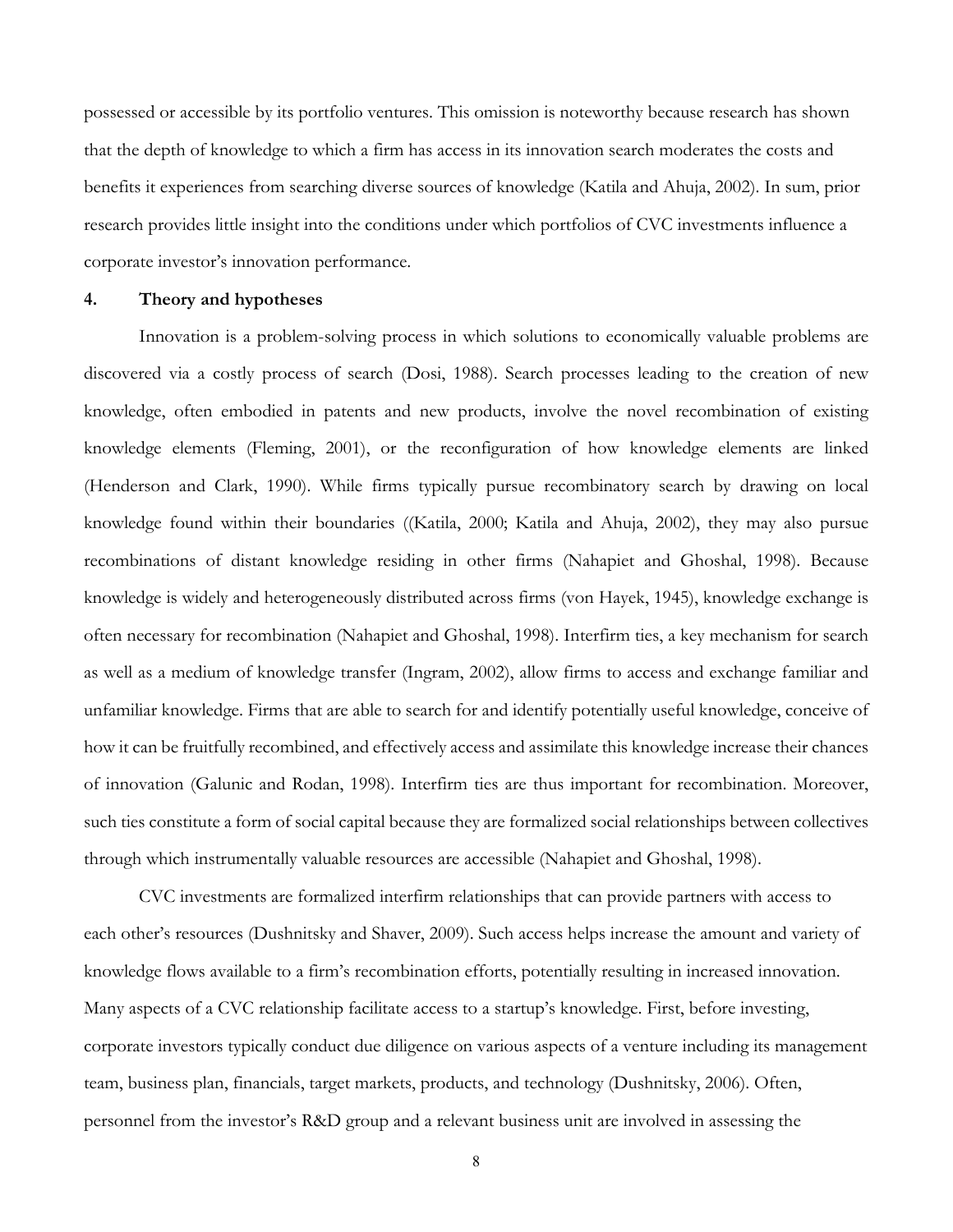possessed or accessible by its portfolio ventures. This omission is noteworthy because research has shown that the depth of knowledge to which a firm has access in its innovation search moderates the costs and benefits it experiences from searching diverse sources of knowledge (Katila and Ahuja, 2002). In sum, prior research provides little insight into the conditions under which portfolios of CVC investments influence a corporate investor's innovation performance.

#### **4. Theory and hypotheses**

Innovation is a problem-solving process in which solutions to economically valuable problems are discovered via a costly process of search (Dosi, 1988). Search processes leading to the creation of new knowledge, often embodied in patents and new products, involve the novel recombination of existing knowledge elements (Fleming, 2001), or the reconfiguration of how knowledge elements are linked (Henderson and Clark, 1990). While firms typically pursue recombinatory search by drawing on local knowledge found within their boundaries ((Katila, 2000; Katila and Ahuja, 2002), they may also pursue recombinations of distant knowledge residing in other firms (Nahapiet and Ghoshal, 1998). Because knowledge is widely and heterogeneously distributed across firms (von Hayek, 1945), knowledge exchange is often necessary for recombination (Nahapiet and Ghoshal, 1998). Interfirm ties, a key mechanism for search as well as a medium of knowledge transfer (Ingram, 2002), allow firms to access and exchange familiar and unfamiliar knowledge. Firms that are able to search for and identify potentially useful knowledge, conceive of how it can be fruitfully recombined, and effectively access and assimilate this knowledge increase their chances of innovation (Galunic and Rodan, 1998). Interfirm ties are thus important for recombination. Moreover, such ties constitute a form of social capital because they are formalized social relationships between collectives through which instrumentally valuable resources are accessible (Nahapiet and Ghoshal, 1998).

CVC investments are formalized interfirm relationships that can provide partners with access to each other's resources (Dushnitsky and Shaver, 2009). Such access helps increase the amount and variety of knowledge flows available to a firm's recombination efforts, potentially resulting in increased innovation. Many aspects of a CVC relationship facilitate access to a startup's knowledge. First, before investing, corporate investors typically conduct due diligence on various aspects of a venture including its management team, business plan, financials, target markets, products, and technology (Dushnitsky, 2006). Often, personnel from the investor's R&D group and a relevant business unit are involved in assessing the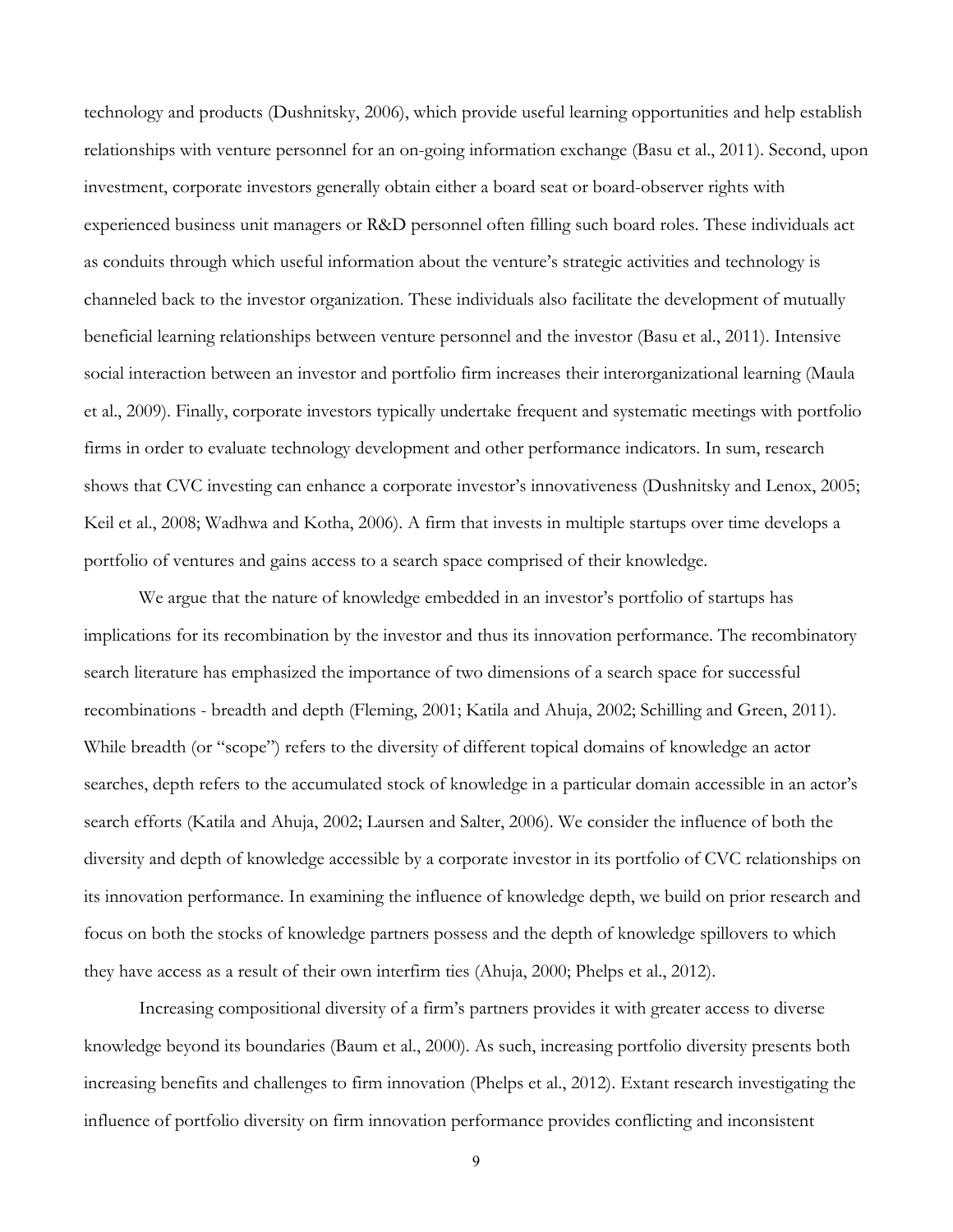technology and products (Dushnitsky, 2006), which provide useful learning opportunities and help establish relationships with venture personnel for an on-going information exchange (Basu et al., 2011). Second, upon investment, corporate investors generally obtain either a board seat or board-observer rights with experienced business unit managers or R&D personnel often filling such board roles. These individuals act as conduits through which useful information about the venture's strategic activities and technology is channeled back to the investor organization. These individuals also facilitate the development of mutually beneficial learning relationships between venture personnel and the investor (Basu et al., 2011). Intensive social interaction between an investor and portfolio firm increases their interorganizational learning (Maula et al., 2009). Finally, corporate investors typically undertake frequent and systematic meetings with portfolio firms in order to evaluate technology development and other performance indicators. In sum, research shows that CVC investing can enhance a corporate investor's innovativeness (Dushnitsky and Lenox, 2005; Keil et al., 2008; Wadhwa and Kotha, 2006). A firm that invests in multiple startups over time develops a portfolio of ventures and gains access to a search space comprised of their knowledge.

We argue that the nature of knowledge embedded in an investor's portfolio of startups has implications for its recombination by the investor and thus its innovation performance. The recombinatory search literature has emphasized the importance of two dimensions of a search space for successful recombinations - breadth and depth (Fleming, 2001; Katila and Ahuja, 2002; Schilling and Green, 2011). While breadth (or "scope") refers to the diversity of different topical domains of knowledge an actor searches, depth refers to the accumulated stock of knowledge in a particular domain accessible in an actor's search efforts (Katila and Ahuja, 2002; Laursen and Salter, 2006). We consider the influence of both the diversity and depth of knowledge accessible by a corporate investor in its portfolio of CVC relationships on its innovation performance. In examining the influence of knowledge depth, we build on prior research and focus on both the stocks of knowledge partners possess and the depth of knowledge spillovers to which they have access as a result of their own interfirm ties (Ahuja, 2000; Phelps et al., 2012).

Increasing compositional diversity of a firm's partners provides it with greater access to diverse knowledge beyond its boundaries (Baum et al., 2000). As such, increasing portfolio diversity presents both increasing benefits and challenges to firm innovation (Phelps et al., 2012). Extant research investigating the influence of portfolio diversity on firm innovation performance provides conflicting and inconsistent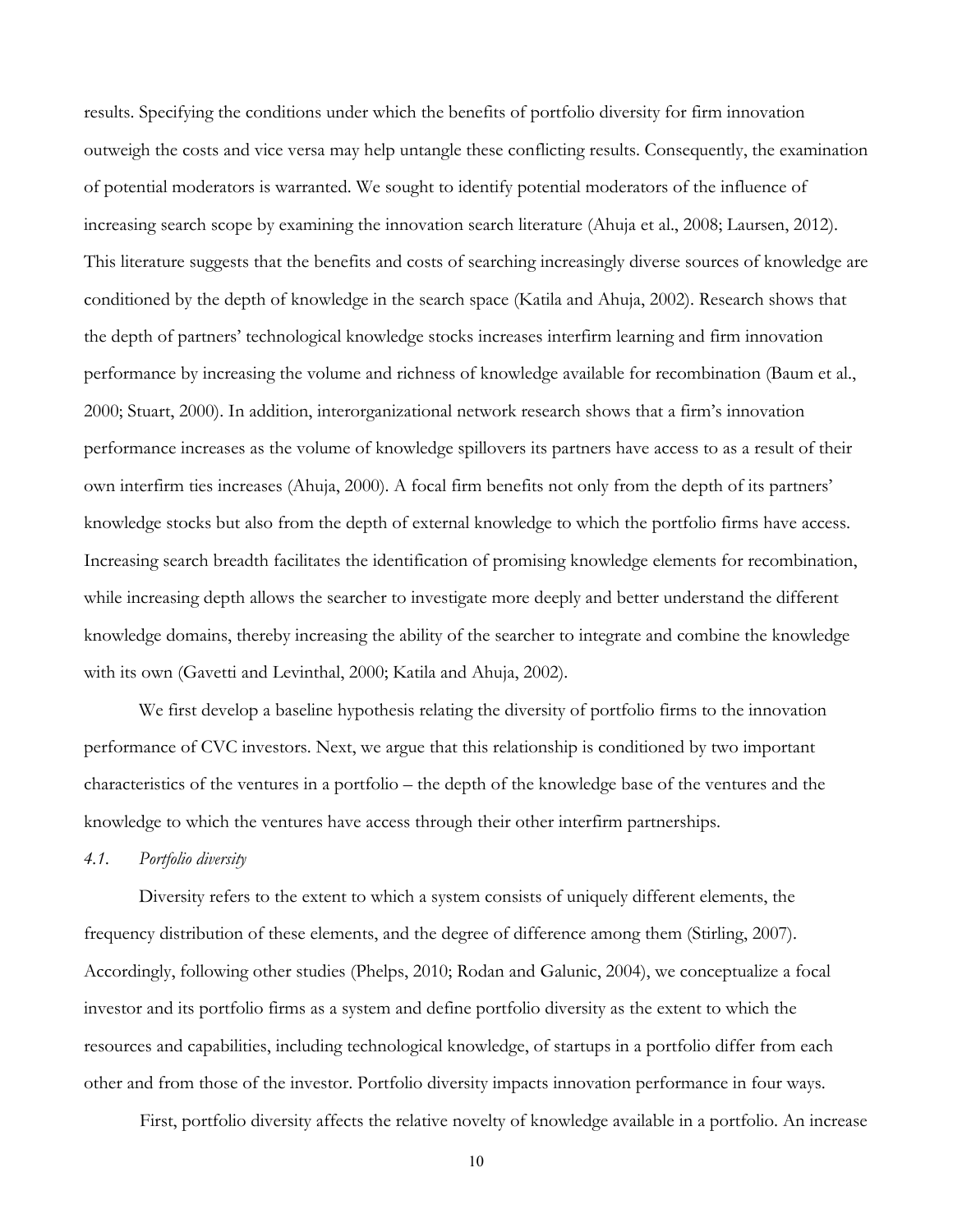results. Specifying the conditions under which the benefits of portfolio diversity for firm innovation outweigh the costs and vice versa may help untangle these conflicting results. Consequently, the examination of potential moderators is warranted. We sought to identify potential moderators of the influence of increasing search scope by examining the innovation search literature (Ahuja et al., 2008; Laursen, 2012). This literature suggests that the benefits and costs of searching increasingly diverse sources of knowledge are conditioned by the depth of knowledge in the search space (Katila and Ahuja, 2002). Research shows that the depth of partners' technological knowledge stocks increases interfirm learning and firm innovation performance by increasing the volume and richness of knowledge available for recombination (Baum et al., 2000; Stuart, 2000). In addition, interorganizational network research shows that a firm's innovation performance increases as the volume of knowledge spillovers its partners have access to as a result of their own interfirm ties increases (Ahuja, 2000). A focal firm benefits not only from the depth of its partners' knowledge stocks but also from the depth of external knowledge to which the portfolio firms have access. Increasing search breadth facilitates the identification of promising knowledge elements for recombination, while increasing depth allows the searcher to investigate more deeply and better understand the different knowledge domains, thereby increasing the ability of the searcher to integrate and combine the knowledge with its own (Gavetti and Levinthal, 2000; Katila and Ahuja, 2002).

We first develop a baseline hypothesis relating the diversity of portfolio firms to the innovation performance of CVC investors. Next, we argue that this relationship is conditioned by two important characteristics of the ventures in a portfolio – the depth of the knowledge base of the ventures and the knowledge to which the ventures have access through their other interfirm partnerships.

#### *4.1. Portfolio diversity*

Diversity refers to the extent to which a system consists of uniquely different elements, the frequency distribution of these elements, and the degree of difference among them (Stirling, 2007). Accordingly, following other studies (Phelps, 2010; Rodan and Galunic, 2004), we conceptualize a focal investor and its portfolio firms as a system and define portfolio diversity as the extent to which the resources and capabilities, including technological knowledge, of startups in a portfolio differ from each other and from those of the investor. Portfolio diversity impacts innovation performance in four ways.

First, portfolio diversity affects the relative novelty of knowledge available in a portfolio. An increase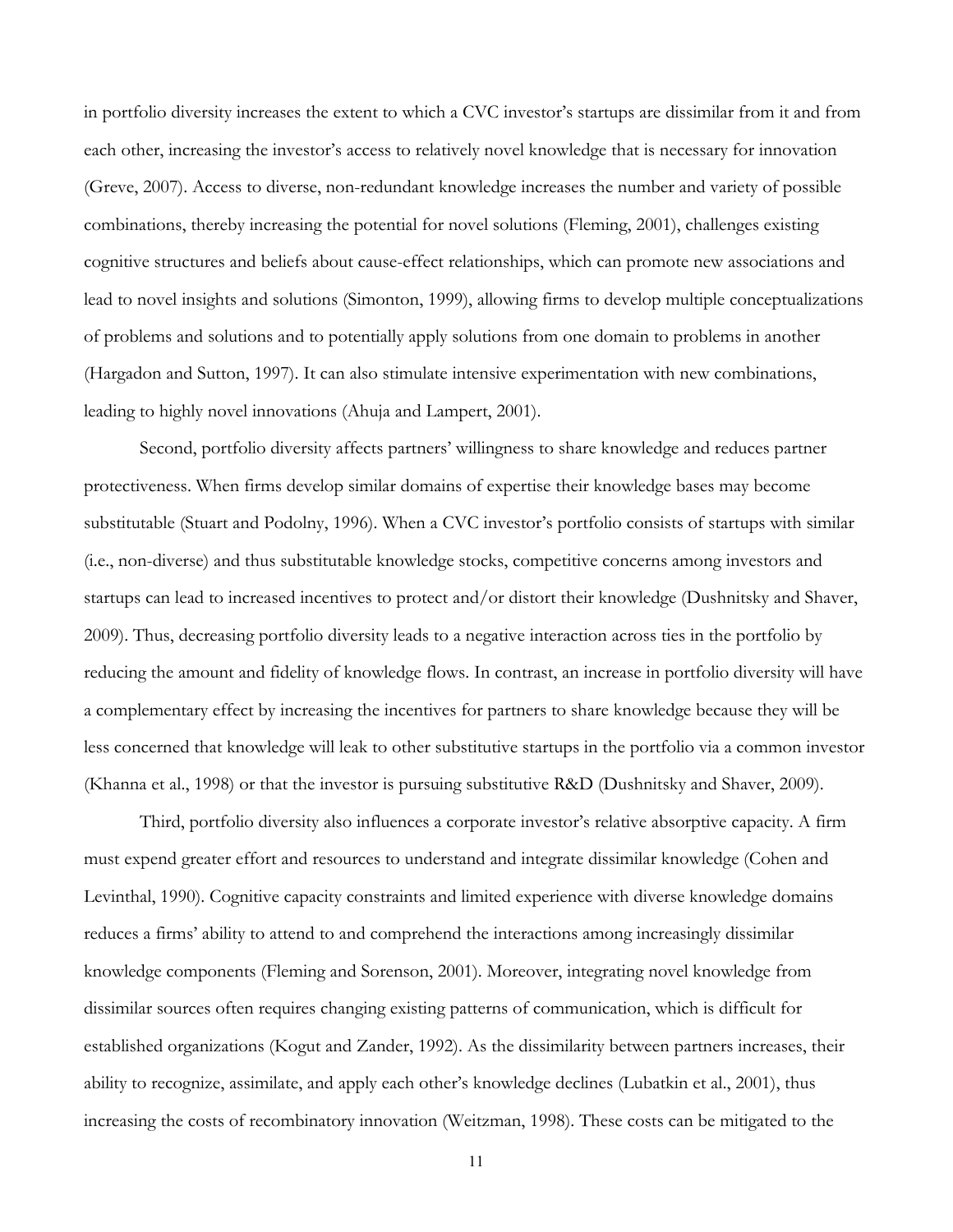in portfolio diversity increases the extent to which a CVC investor's startups are dissimilar from it and from each other, increasing the investor's access to relatively novel knowledge that is necessary for innovation (Greve, 2007). Access to diverse, non-redundant knowledge increases the number and variety of possible combinations, thereby increasing the potential for novel solutions (Fleming, 2001), challenges existing cognitive structures and beliefs about cause-effect relationships, which can promote new associations and lead to novel insights and solutions (Simonton, 1999), allowing firms to develop multiple conceptualizations of problems and solutions and to potentially apply solutions from one domain to problems in another (Hargadon and Sutton, 1997). It can also stimulate intensive experimentation with new combinations, leading to highly novel innovations (Ahuja and Lampert, 2001).

Second, portfolio diversity affects partners' willingness to share knowledge and reduces partner protectiveness. When firms develop similar domains of expertise their knowledge bases may become substitutable (Stuart and Podolny, 1996). When a CVC investor's portfolio consists of startups with similar (i.e., non-diverse) and thus substitutable knowledge stocks, competitive concerns among investors and startups can lead to increased incentives to protect and/or distort their knowledge (Dushnitsky and Shaver, 2009). Thus, decreasing portfolio diversity leads to a negative interaction across ties in the portfolio by reducing the amount and fidelity of knowledge flows. In contrast, an increase in portfolio diversity will have a complementary effect by increasing the incentives for partners to share knowledge because they will be less concerned that knowledge will leak to other substitutive startups in the portfolio via a common investor (Khanna et al., 1998) or that the investor is pursuing substitutive R&D (Dushnitsky and Shaver, 2009).

Third, portfolio diversity also influences a corporate investor's relative absorptive capacity. A firm must expend greater effort and resources to understand and integrate dissimilar knowledge (Cohen and Levinthal, 1990). Cognitive capacity constraints and limited experience with diverse knowledge domains reduces a firms' ability to attend to and comprehend the interactions among increasingly dissimilar knowledge components (Fleming and Sorenson, 2001). Moreover, integrating novel knowledge from dissimilar sources often requires changing existing patterns of communication, which is difficult for established organizations (Kogut and Zander, 1992). As the dissimilarity between partners increases, their ability to recognize, assimilate, and apply each other's knowledge declines (Lubatkin et al., 2001), thus increasing the costs of recombinatory innovation (Weitzman, 1998). These costs can be mitigated to the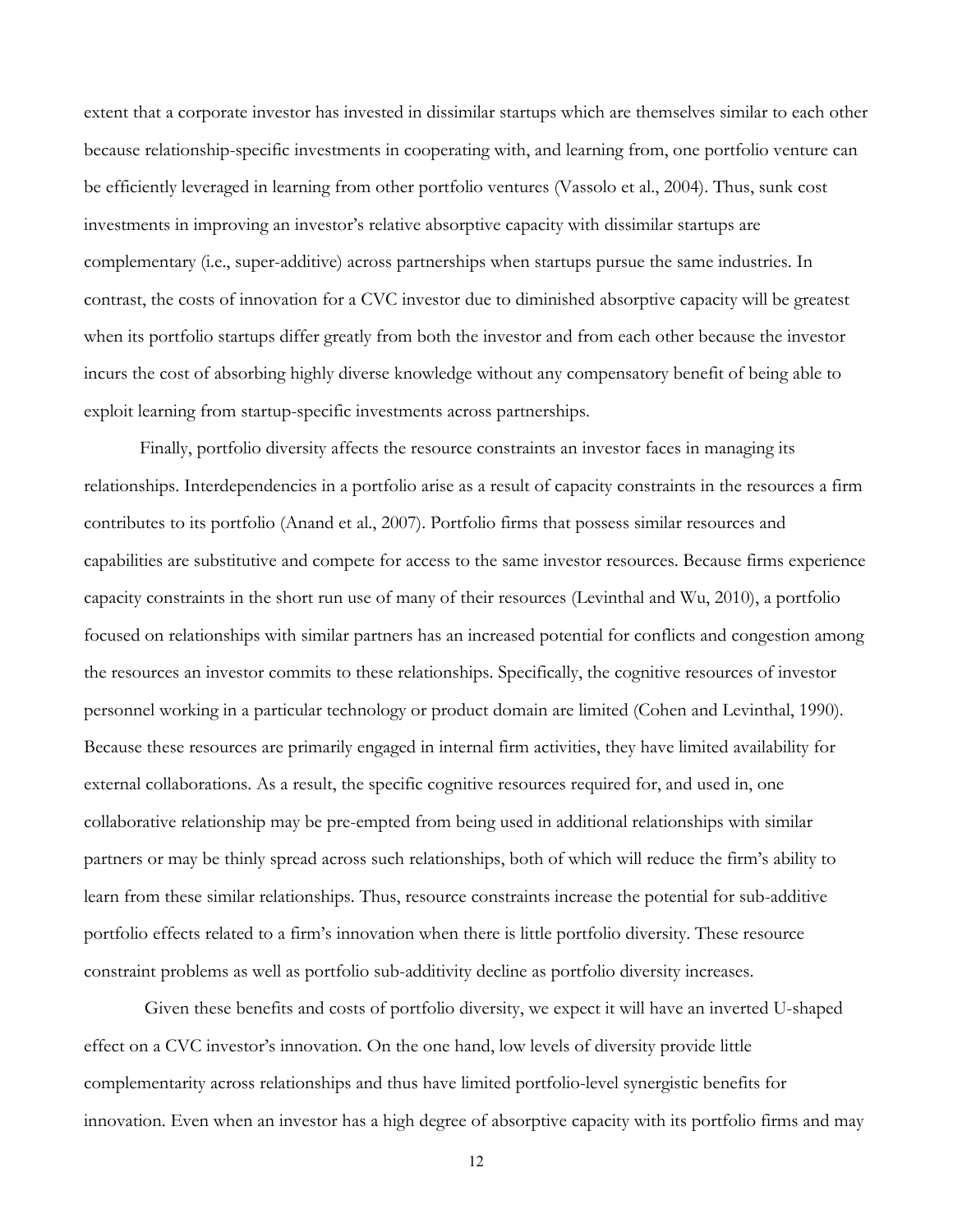extent that a corporate investor has invested in dissimilar startups which are themselves similar to each other because relationship-specific investments in cooperating with, and learning from, one portfolio venture can be efficiently leveraged in learning from other portfolio ventures (Vassolo et al., 2004). Thus, sunk cost investments in improving an investor's relative absorptive capacity with dissimilar startups are complementary (i.e., super-additive) across partnerships when startups pursue the same industries. In contrast, the costs of innovation for a CVC investor due to diminished absorptive capacity will be greatest when its portfolio startups differ greatly from both the investor and from each other because the investor incurs the cost of absorbing highly diverse knowledge without any compensatory benefit of being able to exploit learning from startup-specific investments across partnerships.

Finally, portfolio diversity affects the resource constraints an investor faces in managing its relationships. Interdependencies in a portfolio arise as a result of capacity constraints in the resources a firm contributes to its portfolio (Anand et al., 2007). Portfolio firms that possess similar resources and capabilities are substitutive and compete for access to the same investor resources. Because firms experience capacity constraints in the short run use of many of their resources (Levinthal and Wu, 2010), a portfolio focused on relationships with similar partners has an increased potential for conflicts and congestion among the resources an investor commits to these relationships. Specifically, the cognitive resources of investor personnel working in a particular technology or product domain are limited (Cohen and Levinthal, 1990). Because these resources are primarily engaged in internal firm activities, they have limited availability for external collaborations. As a result, the specific cognitive resources required for, and used in, one collaborative relationship may be pre-empted from being used in additional relationships with similar partners or may be thinly spread across such relationships, both of which will reduce the firm's ability to learn from these similar relationships. Thus, resource constraints increase the potential for sub-additive portfolio effects related to a firm's innovation when there is little portfolio diversity. These resource constraint problems as well as portfolio sub-additivity decline as portfolio diversity increases.

 Given these benefits and costs of portfolio diversity, we expect it will have an inverted U-shaped effect on a CVC investor's innovation. On the one hand, low levels of diversity provide little complementarity across relationships and thus have limited portfolio-level synergistic benefits for innovation. Even when an investor has a high degree of absorptive capacity with its portfolio firms and may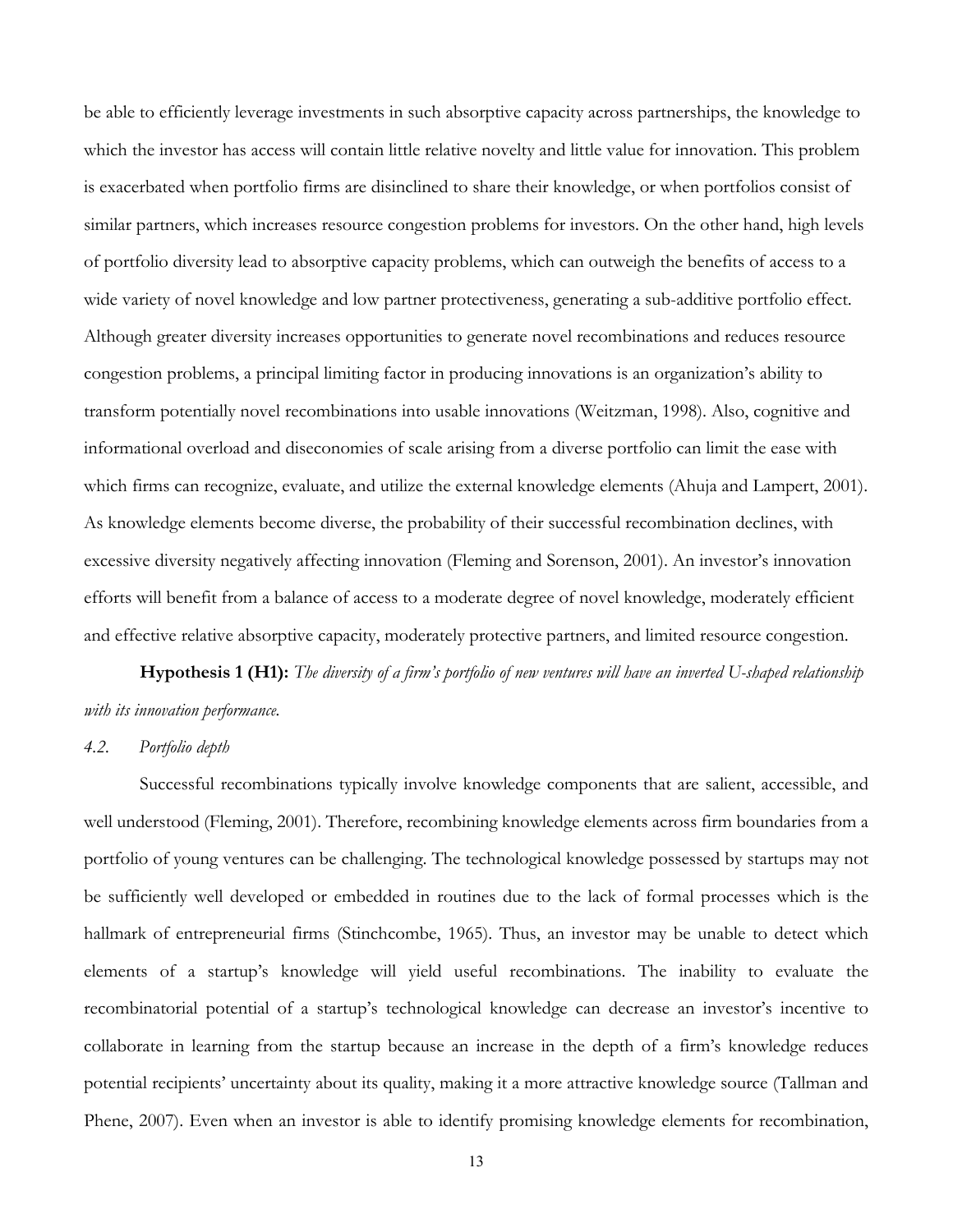be able to efficiently leverage investments in such absorptive capacity across partnerships, the knowledge to which the investor has access will contain little relative novelty and little value for innovation. This problem is exacerbated when portfolio firms are disinclined to share their knowledge, or when portfolios consist of similar partners, which increases resource congestion problems for investors. On the other hand, high levels of portfolio diversity lead to absorptive capacity problems, which can outweigh the benefits of access to a wide variety of novel knowledge and low partner protectiveness, generating a sub-additive portfolio effect. Although greater diversity increases opportunities to generate novel recombinations and reduces resource congestion problems, a principal limiting factor in producing innovations is an organization's ability to transform potentially novel recombinations into usable innovations (Weitzman, 1998). Also, cognitive and informational overload and diseconomies of scale arising from a diverse portfolio can limit the ease with which firms can recognize, evaluate, and utilize the external knowledge elements (Ahuja and Lampert, 2001). As knowledge elements become diverse, the probability of their successful recombination declines, with excessive diversity negatively affecting innovation (Fleming and Sorenson, 2001). An investor's innovation efforts will benefit from a balance of access to a moderate degree of novel knowledge, moderately efficient and effective relative absorptive capacity, moderately protective partners, and limited resource congestion.

**Hypothesis 1 (H1):** *The diversity of a firm's portfolio of new ventures will have an inverted U-shaped relationship with its innovation performance.* 

#### *4.2. Portfolio depth*

Successful recombinations typically involve knowledge components that are salient, accessible, and well understood (Fleming, 2001). Therefore, recombining knowledge elements across firm boundaries from a portfolio of young ventures can be challenging. The technological knowledge possessed by startups may not be sufficiently well developed or embedded in routines due to the lack of formal processes which is the hallmark of entrepreneurial firms (Stinchcombe, 1965). Thus, an investor may be unable to detect which elements of a startup's knowledge will yield useful recombinations. The inability to evaluate the recombinatorial potential of a startup's technological knowledge can decrease an investor's incentive to collaborate in learning from the startup because an increase in the depth of a firm's knowledge reduces potential recipients' uncertainty about its quality, making it a more attractive knowledge source (Tallman and Phene, 2007). Even when an investor is able to identify promising knowledge elements for recombination,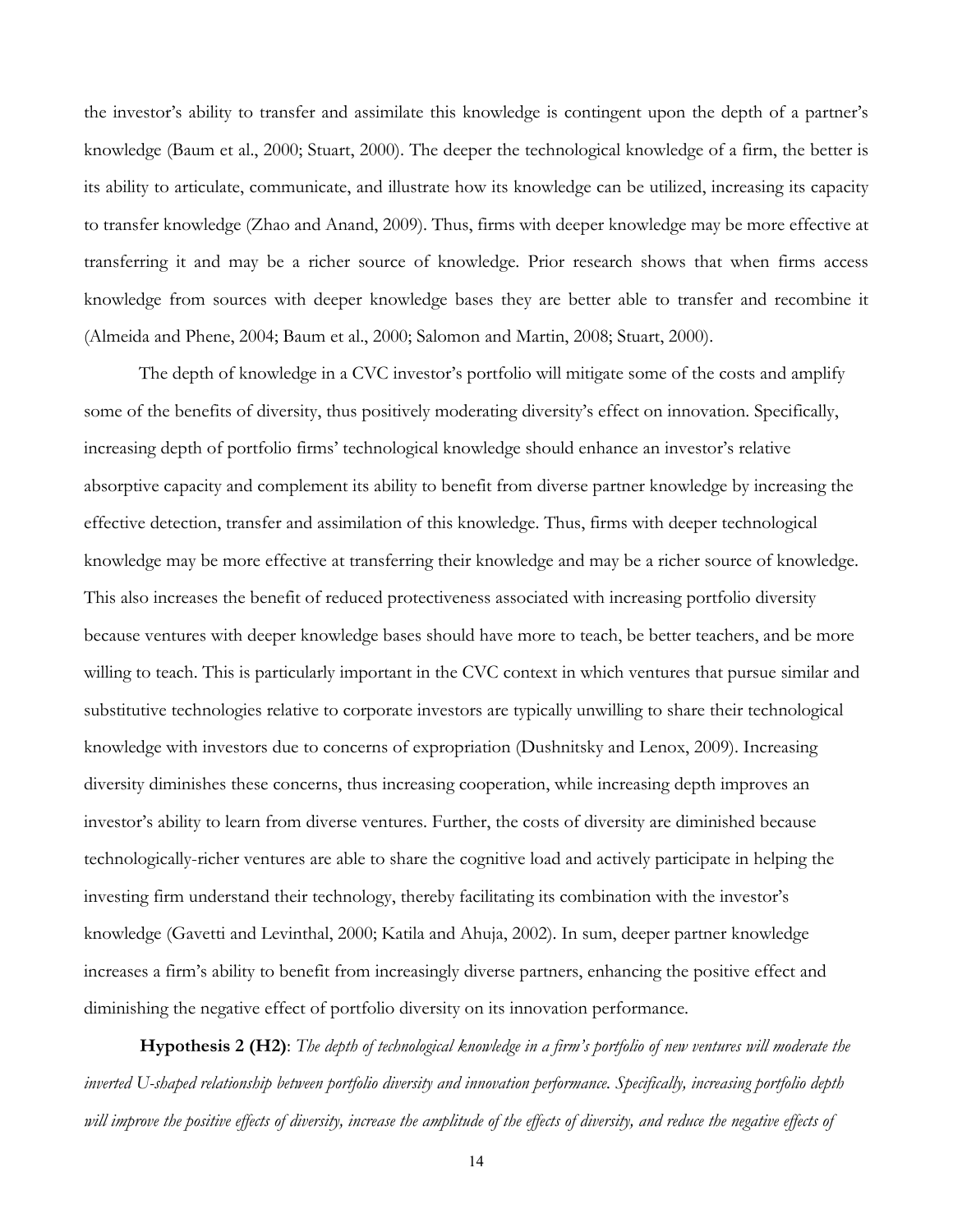the investor's ability to transfer and assimilate this knowledge is contingent upon the depth of a partner's knowledge (Baum et al., 2000; Stuart, 2000). The deeper the technological knowledge of a firm, the better is its ability to articulate, communicate, and illustrate how its knowledge can be utilized, increasing its capacity to transfer knowledge (Zhao and Anand, 2009). Thus, firms with deeper knowledge may be more effective at transferring it and may be a richer source of knowledge. Prior research shows that when firms access knowledge from sources with deeper knowledge bases they are better able to transfer and recombine it (Almeida and Phene, 2004; Baum et al., 2000; Salomon and Martin, 2008; Stuart, 2000).

The depth of knowledge in a CVC investor's portfolio will mitigate some of the costs and amplify some of the benefits of diversity, thus positively moderating diversity's effect on innovation. Specifically, increasing depth of portfolio firms' technological knowledge should enhance an investor's relative absorptive capacity and complement its ability to benefit from diverse partner knowledge by increasing the effective detection, transfer and assimilation of this knowledge. Thus, firms with deeper technological knowledge may be more effective at transferring their knowledge and may be a richer source of knowledge. This also increases the benefit of reduced protectiveness associated with increasing portfolio diversity because ventures with deeper knowledge bases should have more to teach, be better teachers, and be more willing to teach. This is particularly important in the CVC context in which ventures that pursue similar and substitutive technologies relative to corporate investors are typically unwilling to share their technological knowledge with investors due to concerns of expropriation (Dushnitsky and Lenox, 2009). Increasing diversity diminishes these concerns, thus increasing cooperation, while increasing depth improves an investor's ability to learn from diverse ventures. Further, the costs of diversity are diminished because technologically-richer ventures are able to share the cognitive load and actively participate in helping the investing firm understand their technology, thereby facilitating its combination with the investor's knowledge (Gavetti and Levinthal, 2000; Katila and Ahuja, 2002). In sum, deeper partner knowledge increases a firm's ability to benefit from increasingly diverse partners, enhancing the positive effect and diminishing the negative effect of portfolio diversity on its innovation performance.

**Hypothesis 2 (H2)**: *The depth of technological knowledge in a firm's portfolio of new ventures will moderate the inverted U-shaped relationship between portfolio diversity and innovation performance. Specifically, increasing portfolio depth* will improve the positive effects of diversity, increase the amplitude of the effects of diversity, and reduce the negative effects of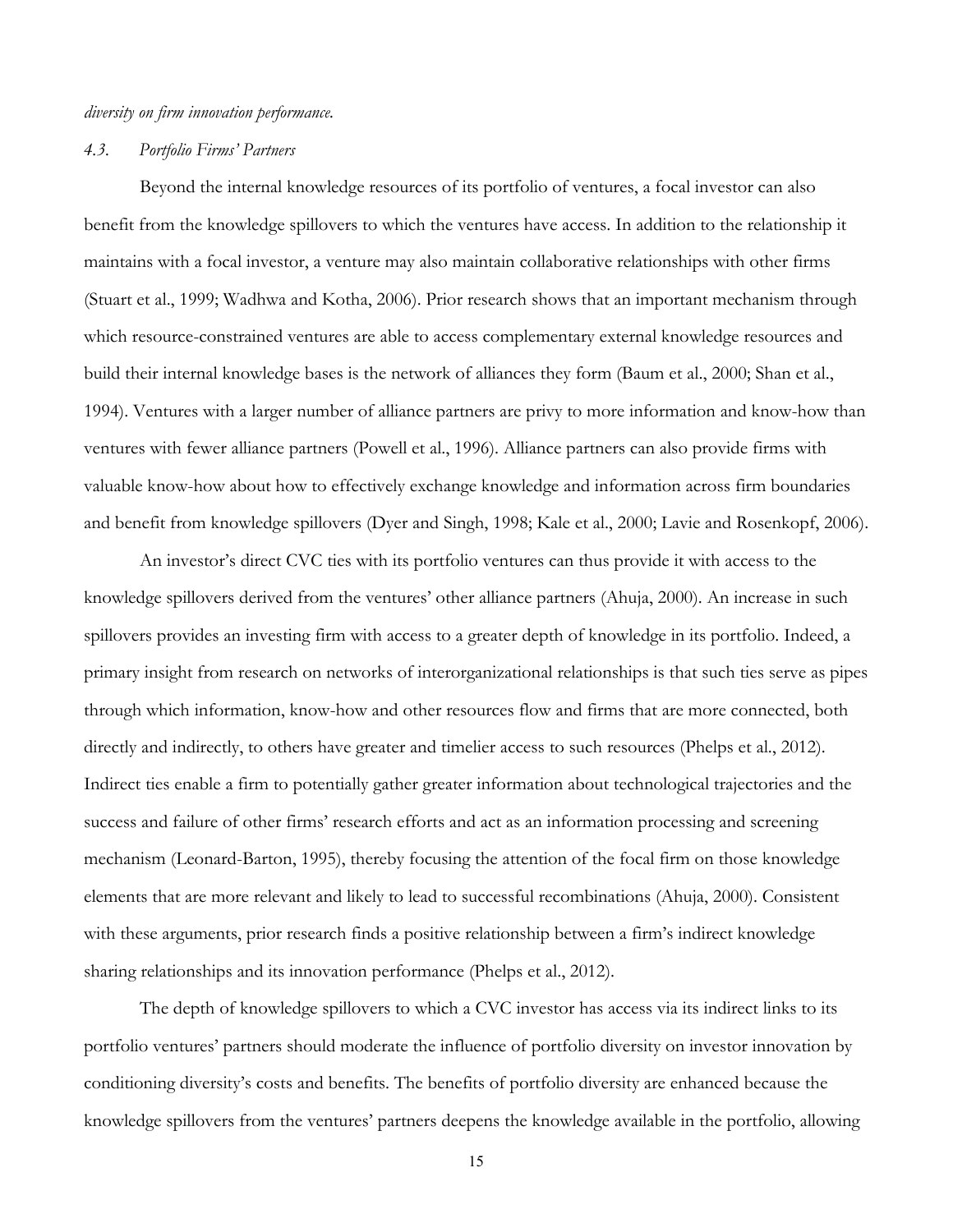# *diversity on firm innovation performance.*

#### *4.3. Portfolio Firms' Partners*

Beyond the internal knowledge resources of its portfolio of ventures, a focal investor can also benefit from the knowledge spillovers to which the ventures have access. In addition to the relationship it maintains with a focal investor, a venture may also maintain collaborative relationships with other firms (Stuart et al., 1999; Wadhwa and Kotha, 2006). Prior research shows that an important mechanism through which resource-constrained ventures are able to access complementary external knowledge resources and build their internal knowledge bases is the network of alliances they form (Baum et al., 2000; Shan et al., 1994). Ventures with a larger number of alliance partners are privy to more information and know-how than ventures with fewer alliance partners (Powell et al., 1996). Alliance partners can also provide firms with valuable know-how about how to effectively exchange knowledge and information across firm boundaries and benefit from knowledge spillovers (Dyer and Singh, 1998; Kale et al., 2000; Lavie and Rosenkopf, 2006).

An investor's direct CVC ties with its portfolio ventures can thus provide it with access to the knowledge spillovers derived from the ventures' other alliance partners (Ahuja, 2000). An increase in such spillovers provides an investing firm with access to a greater depth of knowledge in its portfolio. Indeed, a primary insight from research on networks of interorganizational relationships is that such ties serve as pipes through which information, know-how and other resources flow and firms that are more connected, both directly and indirectly, to others have greater and timelier access to such resources (Phelps et al., 2012). Indirect ties enable a firm to potentially gather greater information about technological trajectories and the success and failure of other firms' research efforts and act as an information processing and screening mechanism (Leonard-Barton, 1995), thereby focusing the attention of the focal firm on those knowledge elements that are more relevant and likely to lead to successful recombinations (Ahuja, 2000). Consistent with these arguments, prior research finds a positive relationship between a firm's indirect knowledge sharing relationships and its innovation performance (Phelps et al., 2012).

The depth of knowledge spillovers to which a CVC investor has access via its indirect links to its portfolio ventures' partners should moderate the influence of portfolio diversity on investor innovation by conditioning diversity's costs and benefits. The benefits of portfolio diversity are enhanced because the knowledge spillovers from the ventures' partners deepens the knowledge available in the portfolio, allowing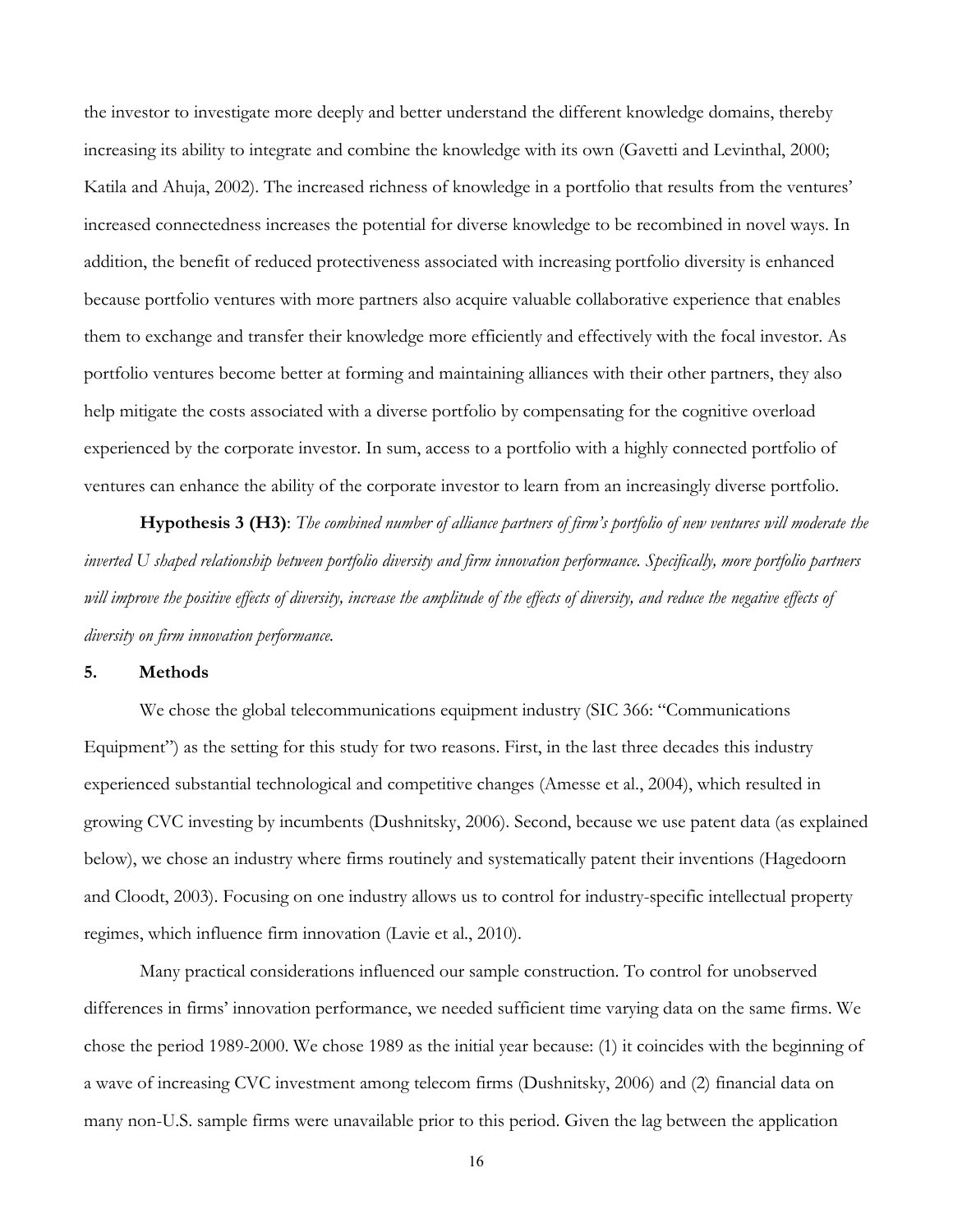the investor to investigate more deeply and better understand the different knowledge domains, thereby increasing its ability to integrate and combine the knowledge with its own (Gavetti and Levinthal, 2000; Katila and Ahuja, 2002). The increased richness of knowledge in a portfolio that results from the ventures' increased connectedness increases the potential for diverse knowledge to be recombined in novel ways. In addition, the benefit of reduced protectiveness associated with increasing portfolio diversity is enhanced because portfolio ventures with more partners also acquire valuable collaborative experience that enables them to exchange and transfer their knowledge more efficiently and effectively with the focal investor. As portfolio ventures become better at forming and maintaining alliances with their other partners, they also help mitigate the costs associated with a diverse portfolio by compensating for the cognitive overload experienced by the corporate investor. In sum, access to a portfolio with a highly connected portfolio of ventures can enhance the ability of the corporate investor to learn from an increasingly diverse portfolio.

**Hypothesis 3 (H3)**: *The combined number of alliance partners of firm's portfolio of new ventures will moderate the inverted U shaped relationship between portfolio diversity and firm innovation performance. Specifically, more portfolio partners*  will improve the positive effects of diversity, increase the amplitude of the effects of diversity, and reduce the negative effects of *diversity on firm innovation performance.*

# **5. Methods**

We chose the global telecommunications equipment industry (SIC 366: "Communications Equipment") as the setting for this study for two reasons. First, in the last three decades this industry experienced substantial technological and competitive changes (Amesse et al., 2004), which resulted in growing CVC investing by incumbents (Dushnitsky, 2006). Second, because we use patent data (as explained below), we chose an industry where firms routinely and systematically patent their inventions (Hagedoorn and Cloodt, 2003). Focusing on one industry allows us to control for industry-specific intellectual property regimes, which influence firm innovation (Lavie et al., 2010).

Many practical considerations influenced our sample construction. To control for unobserved differences in firms' innovation performance, we needed sufficient time varying data on the same firms. We chose the period 1989-2000. We chose 1989 as the initial year because: (1) it coincides with the beginning of a wave of increasing CVC investment among telecom firms (Dushnitsky, 2006) and (2) financial data on many non-U.S. sample firms were unavailable prior to this period. Given the lag between the application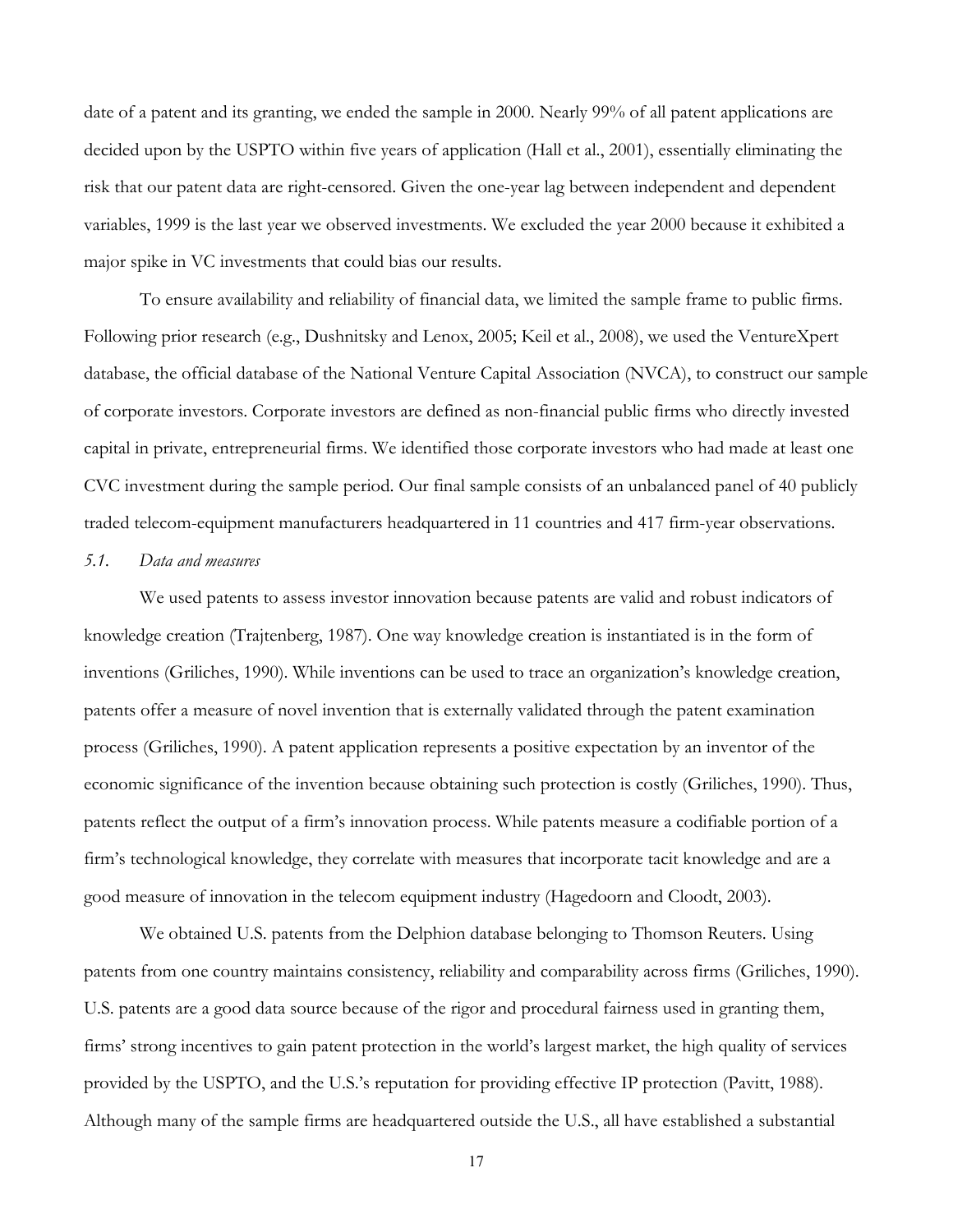date of a patent and its granting, we ended the sample in 2000. Nearly 99% of all patent applications are decided upon by the USPTO within five years of application (Hall et al., 2001), essentially eliminating the risk that our patent data are right-censored. Given the one-year lag between independent and dependent variables, 1999 is the last year we observed investments. We excluded the year 2000 because it exhibited a major spike in VC investments that could bias our results.

To ensure availability and reliability of financial data, we limited the sample frame to public firms. Following prior research (e.g., Dushnitsky and Lenox, 2005; Keil et al., 2008), we used the VentureXpert database, the official database of the National Venture Capital Association (NVCA), to construct our sample of corporate investors. Corporate investors are defined as non-financial public firms who directly invested capital in private, entrepreneurial firms. We identified those corporate investors who had made at least one CVC investment during the sample period. Our final sample consists of an unbalanced panel of 40 publicly traded telecom-equipment manufacturers headquartered in 11 countries and 417 firm-year observations.

#### *5.1. Data and measures*

We used patents to assess investor innovation because patents are valid and robust indicators of knowledge creation (Trajtenberg, 1987). One way knowledge creation is instantiated is in the form of inventions (Griliches, 1990). While inventions can be used to trace an organization's knowledge creation, patents offer a measure of novel invention that is externally validated through the patent examination process (Griliches, 1990). A patent application represents a positive expectation by an inventor of the economic significance of the invention because obtaining such protection is costly (Griliches, 1990). Thus, patents reflect the output of a firm's innovation process. While patents measure a codifiable portion of a firm's technological knowledge, they correlate with measures that incorporate tacit knowledge and are a good measure of innovation in the telecom equipment industry (Hagedoorn and Cloodt, 2003).

We obtained U.S. patents from the Delphion database belonging to Thomson Reuters. Using patents from one country maintains consistency, reliability and comparability across firms (Griliches, 1990). U.S. patents are a good data source because of the rigor and procedural fairness used in granting them, firms' strong incentives to gain patent protection in the world's largest market, the high quality of services provided by the USPTO, and the U.S.'s reputation for providing effective IP protection (Pavitt, 1988). Although many of the sample firms are headquartered outside the U.S., all have established a substantial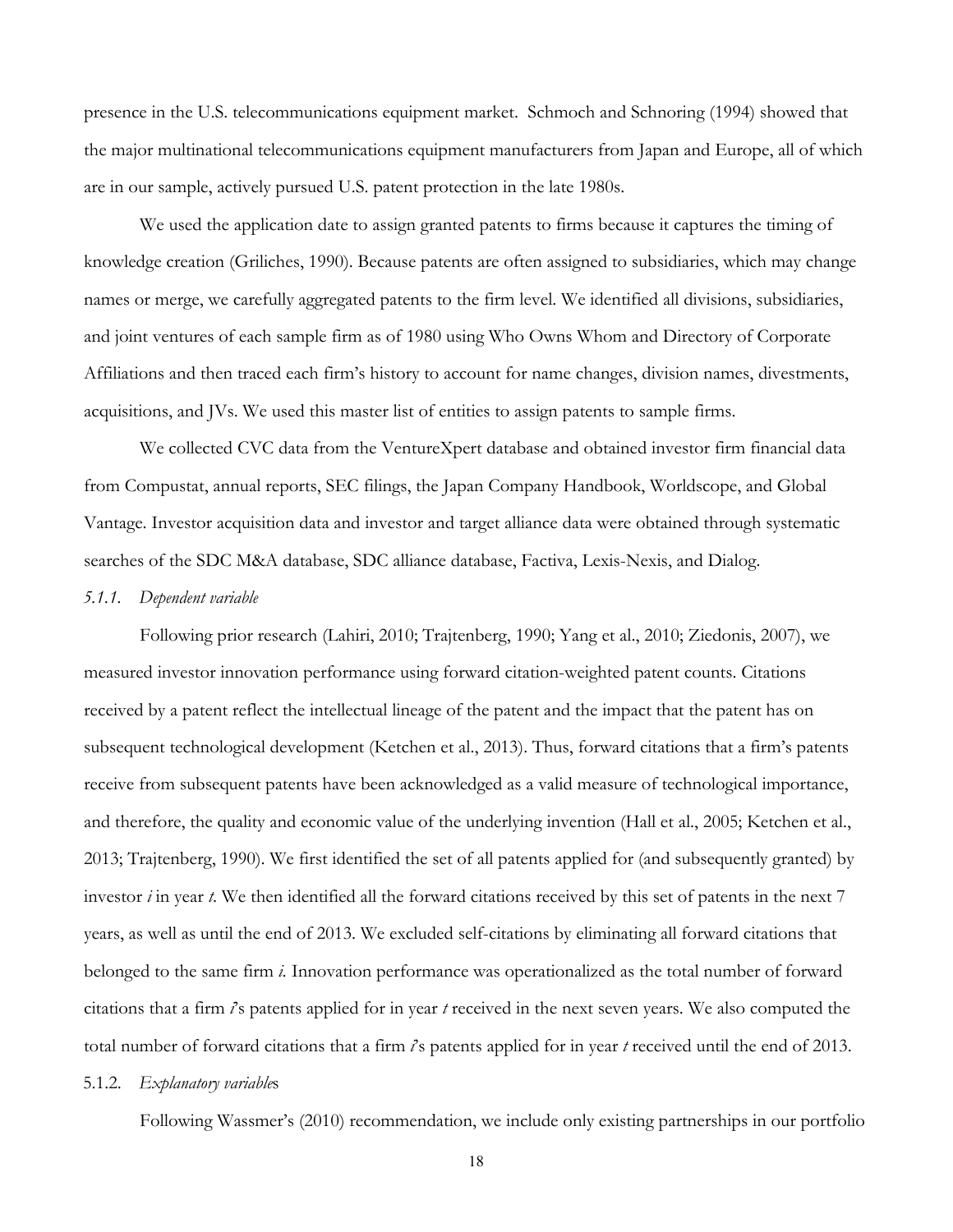presence in the U.S. telecommunications equipment market. Schmoch and Schnoring (1994) showed that the major multinational telecommunications equipment manufacturers from Japan and Europe, all of which are in our sample, actively pursued U.S. patent protection in the late 1980s.

We used the application date to assign granted patents to firms because it captures the timing of knowledge creation (Griliches, 1990). Because patents are often assigned to subsidiaries, which may change names or merge, we carefully aggregated patents to the firm level. We identified all divisions, subsidiaries, and joint ventures of each sample firm as of 1980 using Who Owns Whom and Directory of Corporate Affiliations and then traced each firm's history to account for name changes, division names, divestments, acquisitions, and JVs. We used this master list of entities to assign patents to sample firms.

We collected CVC data from the VentureXpert database and obtained investor firm financial data from Compustat, annual reports, SEC filings, the Japan Company Handbook, Worldscope, and Global Vantage. Investor acquisition data and investor and target alliance data were obtained through systematic searches of the SDC M&A database, SDC alliance database, Factiva, Lexis-Nexis, and Dialog.

### *5.1.1. Dependent variable*

 Following prior research (Lahiri, 2010; Trajtenberg, 1990; Yang et al., 2010; Ziedonis, 2007), we measured investor innovation performance using forward citation-weighted patent counts. Citations received by a patent reflect the intellectual lineage of the patent and the impact that the patent has on subsequent technological development (Ketchen et al., 2013). Thus, forward citations that a firm's patents receive from subsequent patents have been acknowledged as a valid measure of technological importance, and therefore, the quality and economic value of the underlying invention (Hall et al., 2005; Ketchen et al., 2013; Trajtenberg, 1990). We first identified the set of all patents applied for (and subsequently granted) by investor *i* in year *t*. We then identified all the forward citations received by this set of patents in the next 7 years, as well as until the end of 2013. We excluded self-citations by eliminating all forward citations that belonged to the same firm *i.* Innovation performance was operationalized as the total number of forward citations that a firm *i*'s patents applied for in year *t* received in the next seven years. We also computed the total number of forward citations that a firm *i*'s patents applied for in year *t* received until the end of 2013.

### 5.1.2. *Explanatory variable*s

Following Wassmer's (2010) recommendation, we include only existing partnerships in our portfolio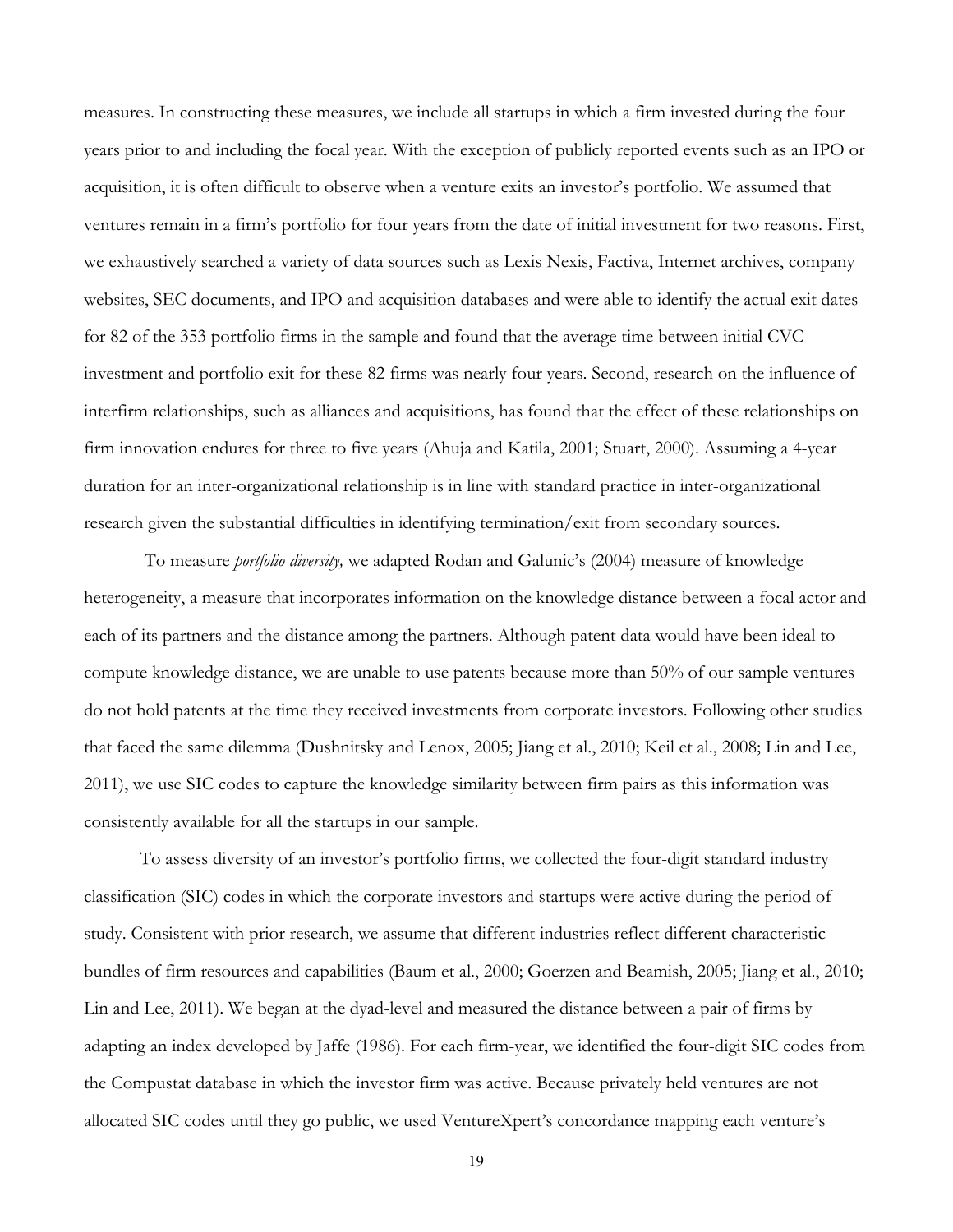measures. In constructing these measures, we include all startups in which a firm invested during the four years prior to and including the focal year. With the exception of publicly reported events such as an IPO or acquisition, it is often difficult to observe when a venture exits an investor's portfolio. We assumed that ventures remain in a firm's portfolio for four years from the date of initial investment for two reasons. First, we exhaustively searched a variety of data sources such as Lexis Nexis, Factiva, Internet archives, company websites, SEC documents, and IPO and acquisition databases and were able to identify the actual exit dates for 82 of the 353 portfolio firms in the sample and found that the average time between initial CVC investment and portfolio exit for these 82 firms was nearly four years. Second, research on the influence of interfirm relationships, such as alliances and acquisitions, has found that the effect of these relationships on firm innovation endures for three to five years (Ahuja and Katila, 2001; Stuart, 2000). Assuming a 4-year duration for an inter-organizational relationship is in line with standard practice in inter-organizational research given the substantial difficulties in identifying termination/exit from secondary sources.

 To measure *portfolio diversity,* we adapted Rodan and Galunic's (2004) measure of knowledge heterogeneity, a measure that incorporates information on the knowledge distance between a focal actor and each of its partners and the distance among the partners. Although patent data would have been ideal to compute knowledge distance, we are unable to use patents because more than 50% of our sample ventures do not hold patents at the time they received investments from corporate investors. Following other studies that faced the same dilemma (Dushnitsky and Lenox, 2005; Jiang et al., 2010; Keil et al., 2008; Lin and Lee, 2011), we use SIC codes to capture the knowledge similarity between firm pairs as this information was consistently available for all the startups in our sample.

To assess diversity of an investor's portfolio firms, we collected the four-digit standard industry classification (SIC) codes in which the corporate investors and startups were active during the period of study. Consistent with prior research, we assume that different industries reflect different characteristic bundles of firm resources and capabilities (Baum et al., 2000; Goerzen and Beamish, 2005; Jiang et al., 2010; Lin and Lee, 2011). We began at the dyad-level and measured the distance between a pair of firms by adapting an index developed by Jaffe (1986). For each firm-year, we identified the four-digit SIC codes from the Compustat database in which the investor firm was active. Because privately held ventures are not allocated SIC codes until they go public, we used VentureXpert's concordance mapping each venture's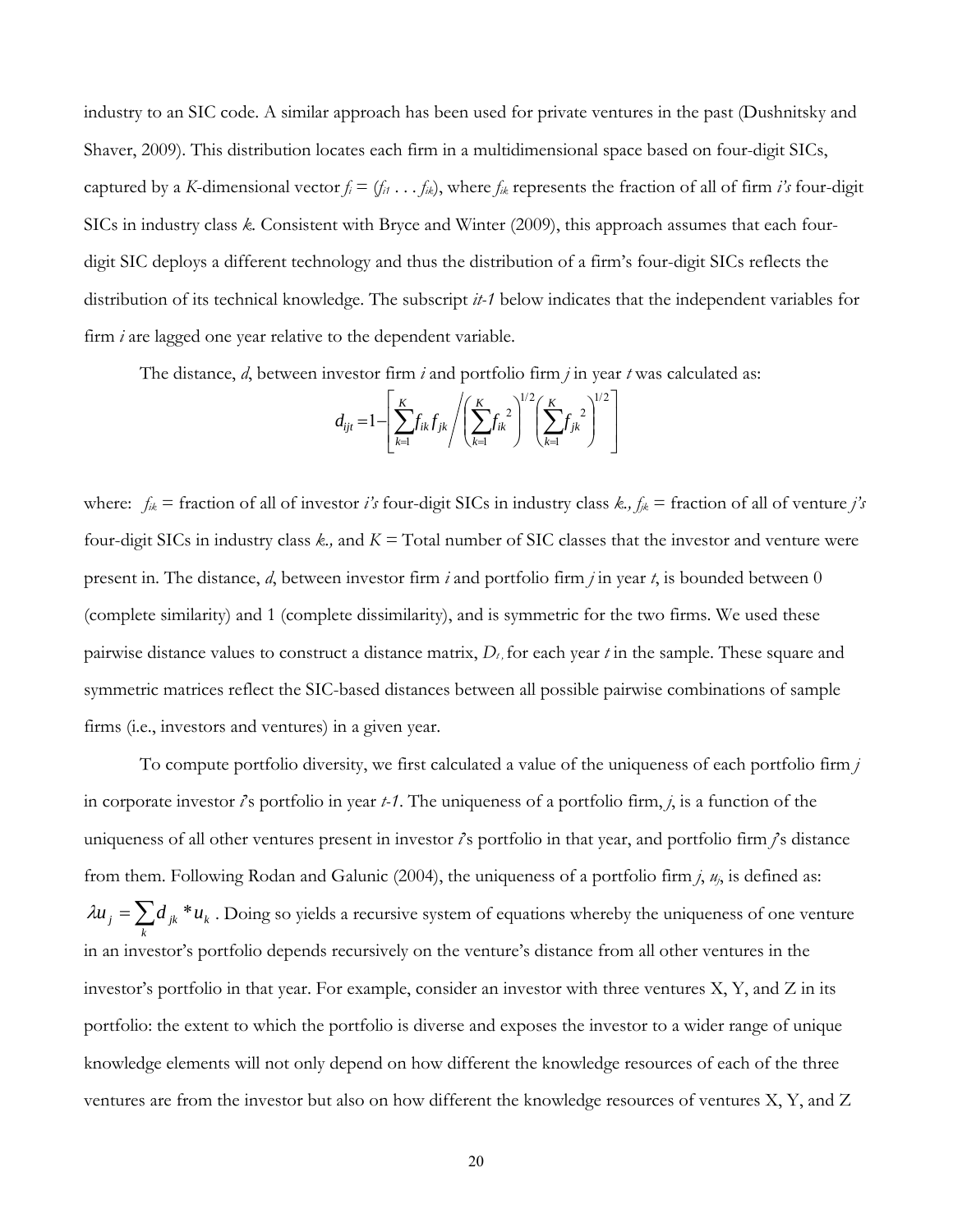industry to an SIC code. A similar approach has been used for private ventures in the past (Dushnitsky and Shaver, 2009). This distribution locates each firm in a multidimensional space based on four-digit SICs, captured by a *K*-dimensional vector  $f_i = (f_{i1} \ldots f_{ik})$ , where  $f_{ik}$  represents the fraction of all of firm *i's* four-digit SICs in industry class *k.* Consistent with Bryce and Winter (2009), this approach assumes that each fourdigit SIC deploys a different technology and thus the distribution of a firm's four-digit SICs reflects the distribution of its technical knowledge. The subscript *it-1* below indicates that the independent variables for firm *i* are lagged one year relative to the dependent variable.

The distance, *d*, between investor firm *i* and portfolio firm *j* in year *t* was calculated as:

$$
d_{ijt} = 1 - \left[ \sum_{k=1}^{K} f_{ik} f_{jk} / \left( \sum_{k=1}^{K} f_{ik}^{2} \right)^{1/2} \left( \sum_{k=1}^{K} f_{jk}^{2} \right)^{1/2} \right]
$$

where: *fik* = fraction of all of investor *i's* four-digit SICs in industry class *k., fjk* = fraction of all of venture *j's* four-digit SICs in industry class *k.,* and *K =* Total number of SIC classes that the investor and venture were present in. The distance, *d*, between investor firm *i* and portfolio firm *j* in year *t*, is bounded between 0 (complete similarity) and 1 (complete dissimilarity), and is symmetric for the two firms. We used these pairwise distance values to construct a distance matrix,  $D_t$ , for each year *t* in the sample. These square and symmetric matrices reflect the SIC-based distances between all possible pairwise combinations of sample firms (i.e., investors and ventures) in a given year.

 To compute portfolio diversity, we first calculated a value of the uniqueness of each portfolio firm *j* in corporate investor *i*'s portfolio in year *t-1*. The uniqueness of a portfolio firm, *j*, is a function of the uniqueness of all other ventures present in investor *i*'s portfolio in that year, and portfolio firm *j*'s distance from them. Following Rodan and Galunic (2004), the uniqueness of a portfolio firm *j*, *uj*, is defined as:  $=\sum_{k}$  $\lambda u_j = \sum d_{jk} * u_k$ . Doing so yields a recursive system of equations whereby the uniqueness of one venture in an investor's portfolio depends recursively on the venture's distance from all other ventures in the investor's portfolio in that year. For example, consider an investor with three ventures X, Y, and Z in its portfolio: the extent to which the portfolio is diverse and exposes the investor to a wider range of unique knowledge elements will not only depend on how different the knowledge resources of each of the three ventures are from the investor but also on how different the knowledge resources of ventures X, Y, and Z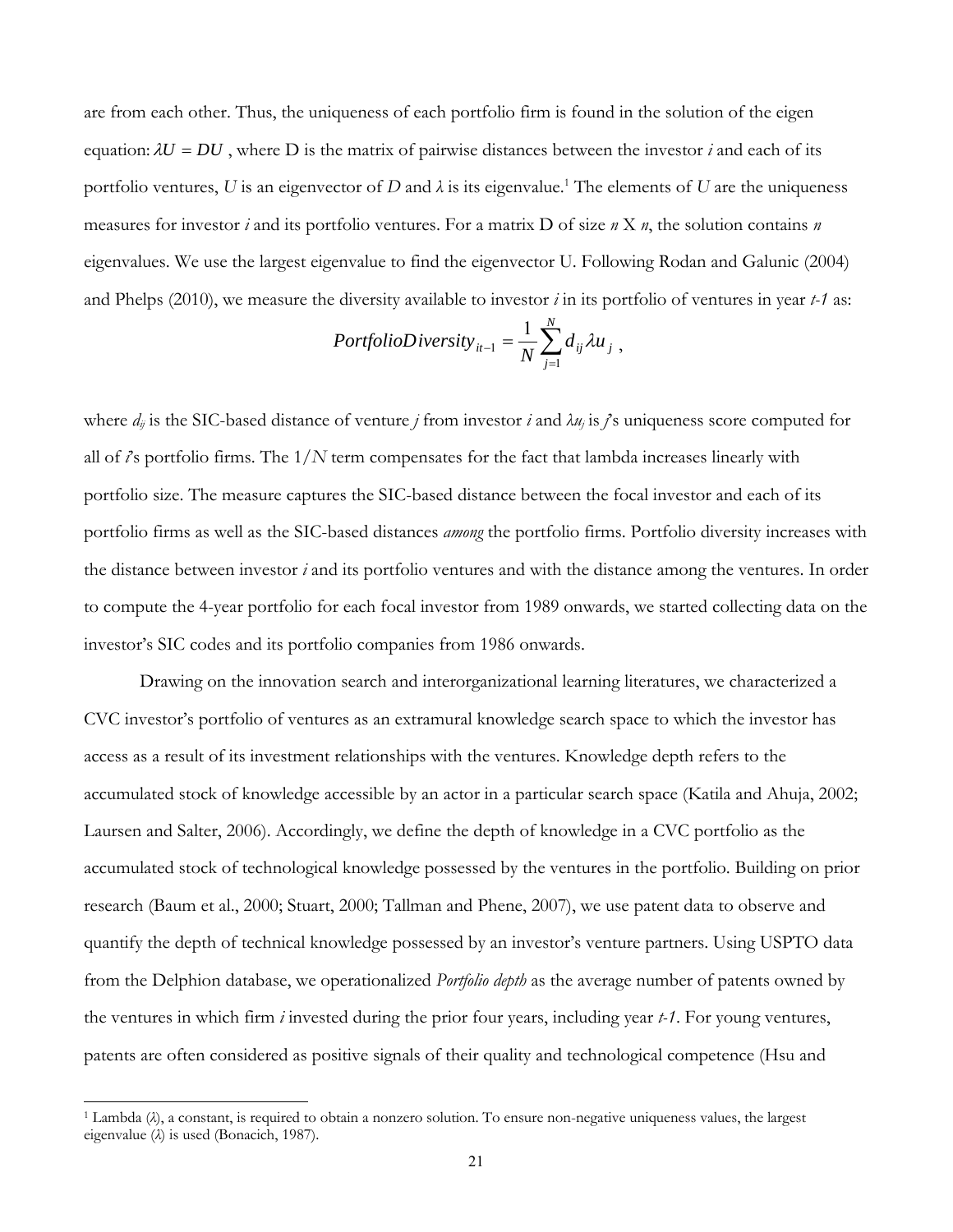are from each other. Thus, the uniqueness of each portfolio firm is found in the solution of the eigen equation:  $\lambda U = DU$ , where D is the matrix of pairwise distances between the investor *i* and each of its portfolio ventures, U is an eigenvector of D and  $\lambda$  is its eigenvalue.<sup>1</sup> The elements of U are the uniqueness measures for investor *i* and its portfolio ventures. For a matrix D of size *n* X *n*, the solution contains *n* eigenvalues. We use the largest eigenvalue to find the eigenvector U. Following Rodan and Galunic (2004) and Phelps (2010), we measure the diversity available to investor *i* in its portfolio of ventures in year *t-1* as:

$$
PortfolioDiversity_{it-1} = \frac{1}{N} \sum_{j=1}^{N} d_{ij} \lambda u_j,
$$

where  $d_{ij}$  is the SIC-based distance of venture *j* from investor *i* and  $\lambda u_j$  is *j*'s uniqueness score computed for all of *i*'s portfolio firms. The 1/*N* term compensates for the fact that lambda increases linearly with portfolio size. The measure captures the SIC-based distance between the focal investor and each of its portfolio firms as well as the SIC-based distances *among* the portfolio firms. Portfolio diversity increases with the distance between investor *i* and its portfolio ventures and with the distance among the ventures. In order to compute the 4-year portfolio for each focal investor from 1989 onwards, we started collecting data on the investor's SIC codes and its portfolio companies from 1986 onwards.

Drawing on the innovation search and interorganizational learning literatures, we characterized a CVC investor's portfolio of ventures as an extramural knowledge search space to which the investor has access as a result of its investment relationships with the ventures. Knowledge depth refers to the accumulated stock of knowledge accessible by an actor in a particular search space (Katila and Ahuja, 2002; Laursen and Salter, 2006). Accordingly, we define the depth of knowledge in a CVC portfolio as the accumulated stock of technological knowledge possessed by the ventures in the portfolio. Building on prior research (Baum et al., 2000; Stuart, 2000; Tallman and Phene, 2007), we use patent data to observe and quantify the depth of technical knowledge possessed by an investor's venture partners. Using USPTO data from the Delphion database, we operationalized *Portfolio depth* as the average number of patents owned by the ventures in which firm *i* invested during the prior four years, including year *t-1*. For young ventures, patents are often considered as positive signals of their quality and technological competence (Hsu and

l

<sup>1</sup> Lambda (*λ*), a constant, is required to obtain a nonzero solution. To ensure non-negative uniqueness values, the largest eigenvalue (*λ*) is used (Bonacich, 1987).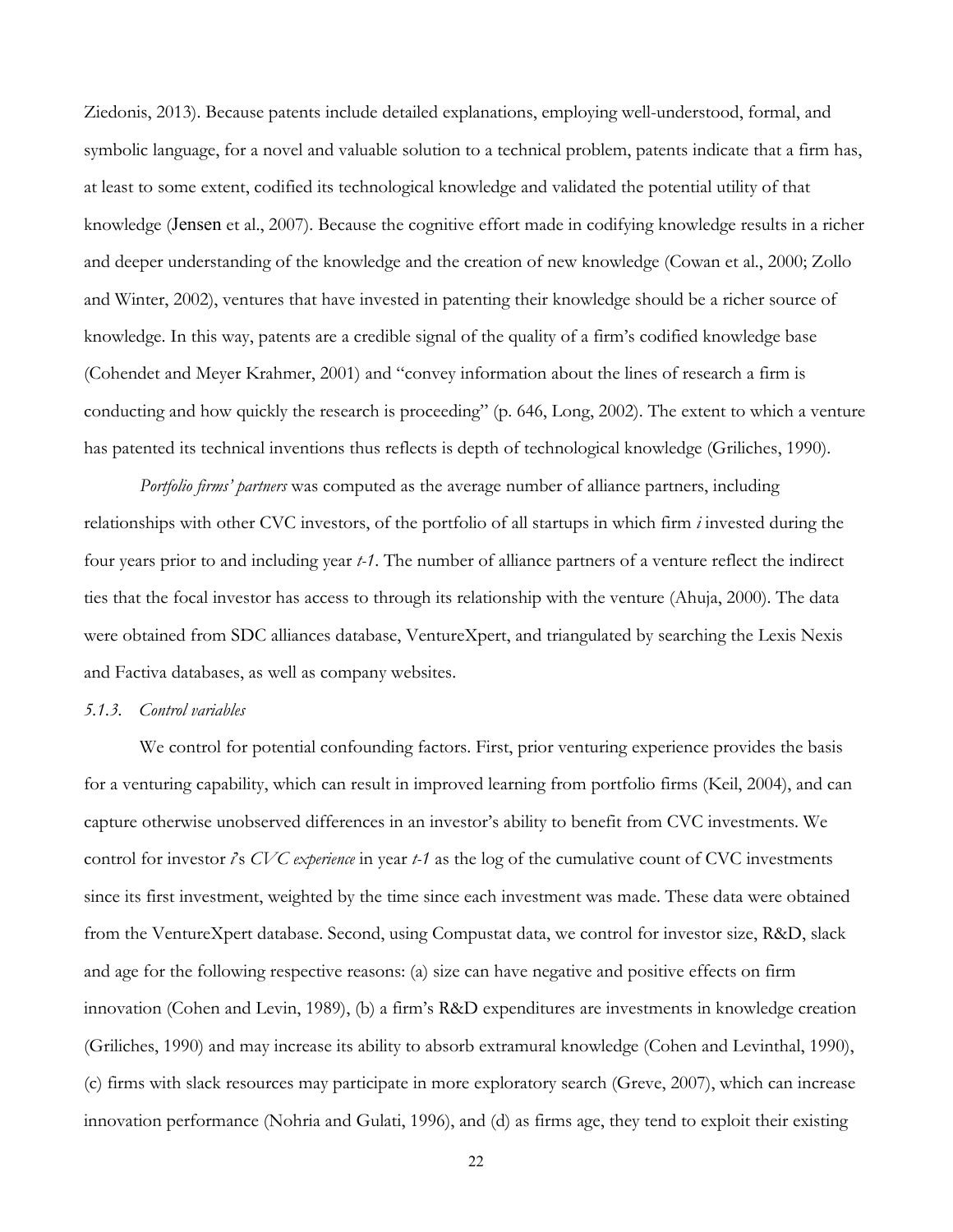Ziedonis, 2013). Because patents include detailed explanations, employing well-understood, formal, and symbolic language, for a novel and valuable solution to a technical problem, patents indicate that a firm has, at least to some extent, codified its technological knowledge and validated the potential utility of that knowledge (Jensen et al., 2007). Because the cognitive effort made in codifying knowledge results in a richer and deeper understanding of the knowledge and the creation of new knowledge (Cowan et al., 2000; Zollo and Winter, 2002), ventures that have invested in patenting their knowledge should be a richer source of knowledge. In this way, patents are a credible signal of the quality of a firm's codified knowledge base (Cohendet and Meyer Krahmer, 2001) and "convey information about the lines of research a firm is conducting and how quickly the research is proceeding" (p. 646, Long, 2002). The extent to which a venture has patented its technical inventions thus reflects is depth of technological knowledge (Griliches, 1990).

*Portfolio firms' partners* was computed as the average number of alliance partners, including relationships with other CVC investors, of the portfolio of all startups in which firm *i* invested during the four years prior to and including year *t-1*. The number of alliance partners of a venture reflect the indirect ties that the focal investor has access to through its relationship with the venture (Ahuja, 2000). The data were obtained from SDC alliances database, VentureXpert, and triangulated by searching the Lexis Nexis and Factiva databases, as well as company websites.

#### *5.1.3. Control variables*

We control for potential confounding factors. First, prior venturing experience provides the basis for a venturing capability, which can result in improved learning from portfolio firms (Keil, 2004), and can capture otherwise unobserved differences in an investor's ability to benefit from CVC investments. We control for investor *i*'s *CVC experience* in year *t-1* as the log of the cumulative count of CVC investments since its first investment, weighted by the time since each investment was made. These data were obtained from the VentureXpert database. Second, using Compustat data, we control for investor size, R&D, slack and age for the following respective reasons: (a) size can have negative and positive effects on firm innovation (Cohen and Levin, 1989), (b) a firm's R&D expenditures are investments in knowledge creation (Griliches, 1990) and may increase its ability to absorb extramural knowledge (Cohen and Levinthal, 1990), (c) firms with slack resources may participate in more exploratory search (Greve, 2007), which can increase innovation performance (Nohria and Gulati, 1996), and (d) as firms age, they tend to exploit their existing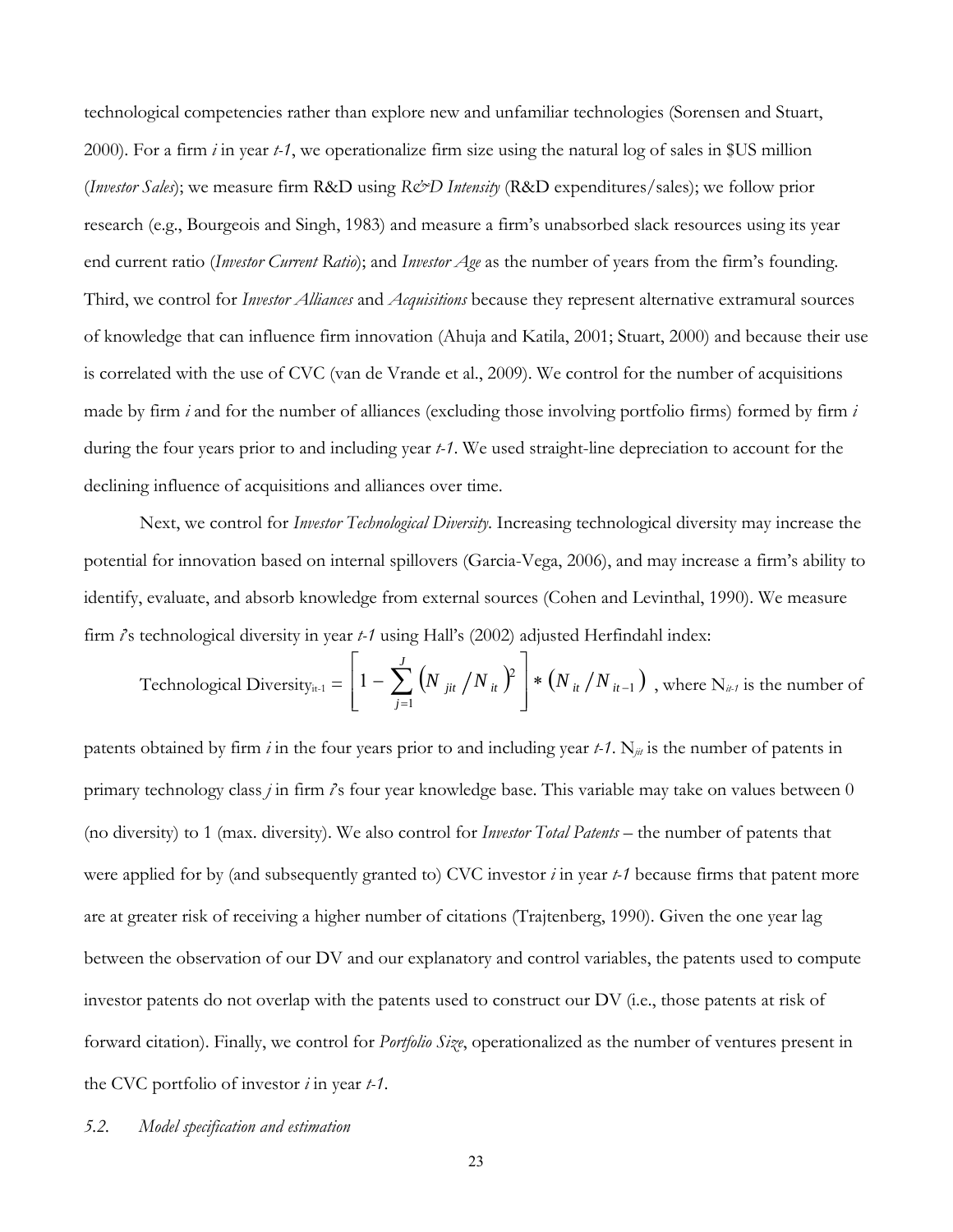technological competencies rather than explore new and unfamiliar technologies (Sorensen and Stuart, 2000). For a firm *i* in year *t-1*, we operationalize firm size using the natural log of sales in \$US million (*Investor Sales*); we measure firm R&D using *R&D Intensity* (R&D expenditures/sales); we follow prior research (e.g., Bourgeois and Singh, 1983) and measure a firm's unabsorbed slack resources using its year end current ratio (*Investor Current Ratio*); and *Investor Age* as the number of years from the firm's founding. Third, we control for *Investor Alliances* and *Acquisitions* because they represent alternative extramural sources of knowledge that can influence firm innovation (Ahuja and Katila, 2001; Stuart, 2000) and because their use is correlated with the use of CVC (van de Vrande et al., 2009). We control for the number of acquisitions made by firm *i* and for the number of alliances (excluding those involving portfolio firms) formed by firm *i* during the four years prior to and including year *t-1*. We used straight-line depreciation to account for the declining influence of acquisitions and alliances over time.

Next, we control for *Investor Technological Diversity*. Increasing technological diversity may increase the potential for innovation based on internal spillovers (Garcia-Vega, 2006), and may increase a firm's ability to identify, evaluate, and absorb knowledge from external sources (Cohen and Levinthal, 1990). We measure firm *i*'s technological diversity in year *t-1* using Hall's (2002) adjusted Herfindahl index:

Technological Diversity<sub>it-1</sub> = 
$$
\left[1 - \sum_{j=1}^{J} (N_{jit} / N_{it})^2\right] * (N_{it} / N_{it-1})
$$
, where N<sub>it-1</sub> is the number of

patents obtained by firm *i* in the four years prior to and including year  $t$ -1. N<sub>jit</sub> is the number of patents in primary technology class *j* in firm *i*'s four year knowledge base. This variable may take on values between 0 (no diversity) to 1 (max. diversity). We also control for *Investor Total Patents* – the number of patents that were applied for by (and subsequently granted to) CVC investor *i* in year *t-1* because firms that patent more are at greater risk of receiving a higher number of citations (Trajtenberg, 1990). Given the one year lag between the observation of our DV and our explanatory and control variables, the patents used to compute investor patents do not overlap with the patents used to construct our DV (i.e., those patents at risk of forward citation). Finally, we control for *Portfolio Size*, operationalized as the number of ventures present in the CVC portfolio of investor *i* in year *t-1*.

## *5.2. Model specification and estimation*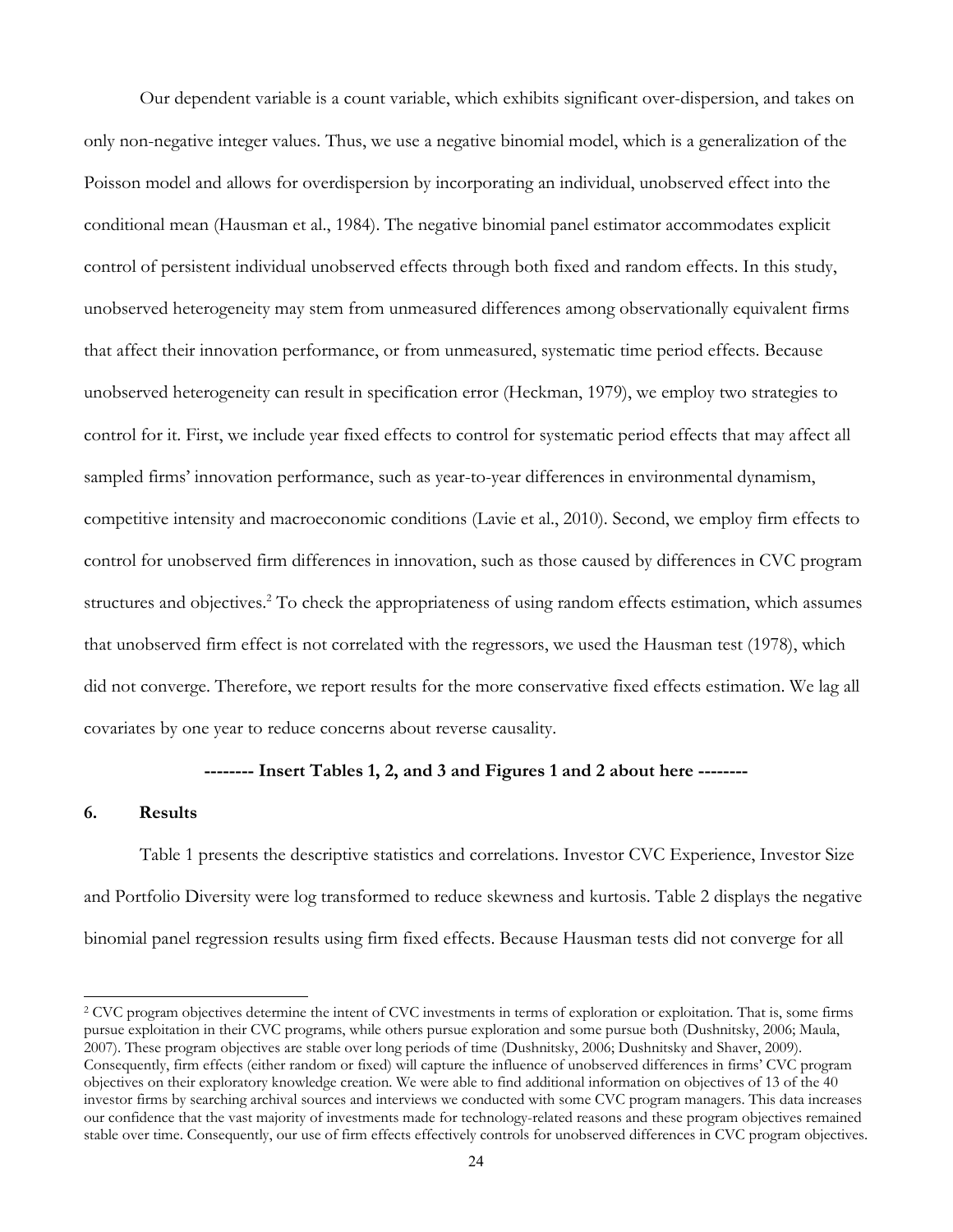Our dependent variable is a count variable, which exhibits significant over-dispersion, and takes on only non-negative integer values. Thus, we use a negative binomial model, which is a generalization of the Poisson model and allows for overdispersion by incorporating an individual, unobserved effect into the conditional mean (Hausman et al., 1984). The negative binomial panel estimator accommodates explicit control of persistent individual unobserved effects through both fixed and random effects. In this study, unobserved heterogeneity may stem from unmeasured differences among observationally equivalent firms that affect their innovation performance, or from unmeasured, systematic time period effects. Because unobserved heterogeneity can result in specification error (Heckman, 1979), we employ two strategies to control for it. First, we include year fixed effects to control for systematic period effects that may affect all sampled firms' innovation performance, such as year-to-year differences in environmental dynamism, competitive intensity and macroeconomic conditions (Lavie et al., 2010). Second, we employ firm effects to control for unobserved firm differences in innovation, such as those caused by differences in CVC program structures and objectives.<sup>2</sup> To check the appropriateness of using random effects estimation, which assumes that unobserved firm effect is not correlated with the regressors, we used the Hausman test (1978), which did not converge. Therefore, we report results for the more conservative fixed effects estimation. We lag all covariates by one year to reduce concerns about reverse causality.

# **-------- Insert Tables 1, 2, and 3 and Figures 1 and 2 about here --------**

#### **6. Results**

l

Table 1 presents the descriptive statistics and correlations. Investor CVC Experience, Investor Size and Portfolio Diversity were log transformed to reduce skewness and kurtosis. Table 2 displays the negative binomial panel regression results using firm fixed effects. Because Hausman tests did not converge for all

<sup>&</sup>lt;sup>2</sup> CVC program objectives determine the intent of CVC investments in terms of exploration or exploitation. That is, some firms pursue exploitation in their CVC programs, while others pursue exploration and some pursue both (Dushnitsky, 2006; Maula, 2007). These program objectives are stable over long periods of time (Dushnitsky, 2006; Dushnitsky and Shaver, 2009). Consequently, firm effects (either random or fixed) will capture the influence of unobserved differences in firms' CVC program objectives on their exploratory knowledge creation. We were able to find additional information on objectives of 13 of the 40 investor firms by searching archival sources and interviews we conducted with some CVC program managers. This data increases our confidence that the vast majority of investments made for technology-related reasons and these program objectives remained stable over time. Consequently, our use of firm effects effectively controls for unobserved differences in CVC program objectives.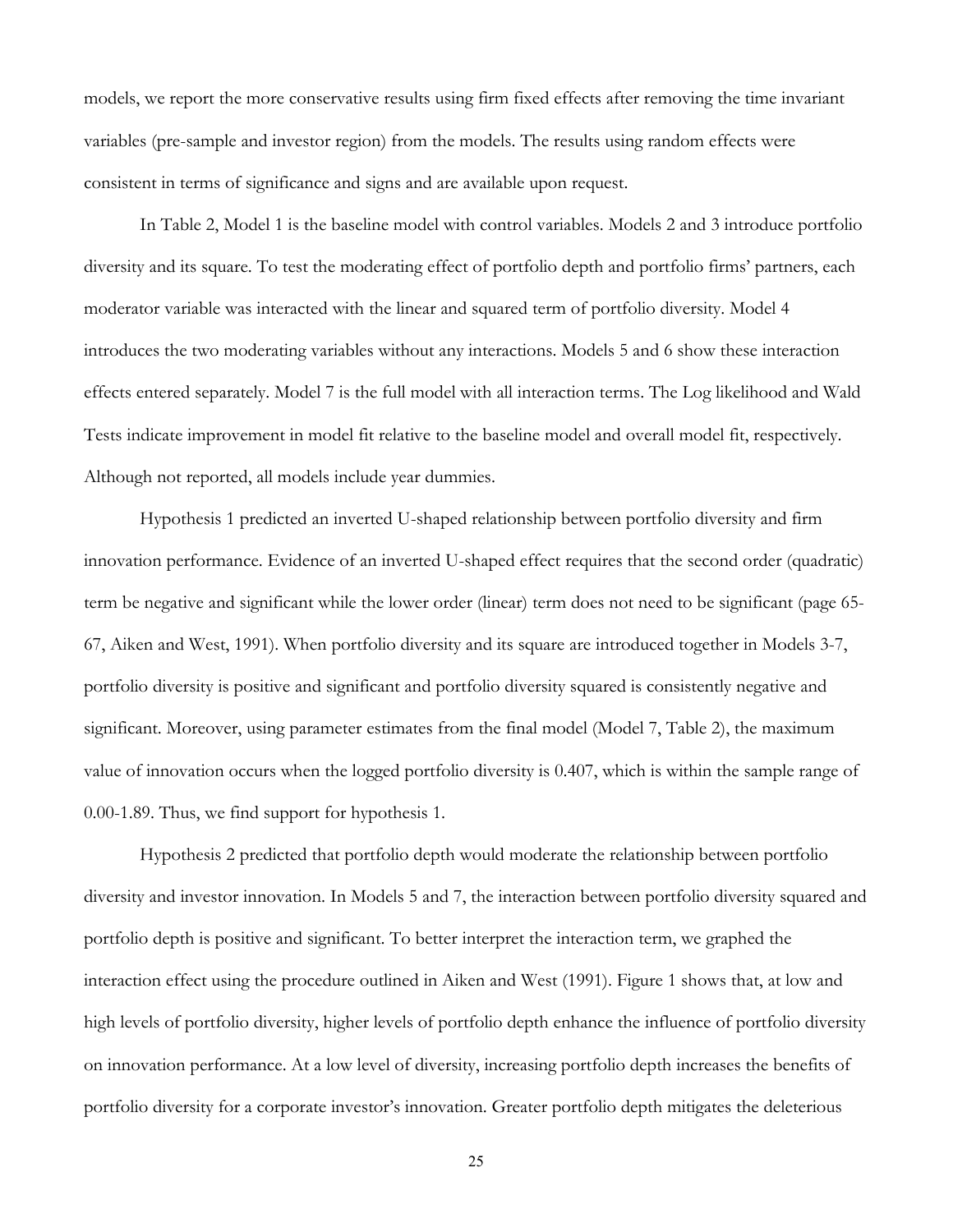models, we report the more conservative results using firm fixed effects after removing the time invariant variables (pre-sample and investor region) from the models. The results using random effects were consistent in terms of significance and signs and are available upon request.

In Table 2, Model 1 is the baseline model with control variables. Models 2 and 3 introduce portfolio diversity and its square. To test the moderating effect of portfolio depth and portfolio firms' partners, each moderator variable was interacted with the linear and squared term of portfolio diversity. Model 4 introduces the two moderating variables without any interactions. Models 5 and 6 show these interaction effects entered separately. Model 7 is the full model with all interaction terms. The Log likelihood and Wald Tests indicate improvement in model fit relative to the baseline model and overall model fit, respectively. Although not reported, all models include year dummies.

Hypothesis 1 predicted an inverted U-shaped relationship between portfolio diversity and firm innovation performance. Evidence of an inverted U-shaped effect requires that the second order (quadratic) term be negative and significant while the lower order (linear) term does not need to be significant (page 65- 67, Aiken and West, 1991). When portfolio diversity and its square are introduced together in Models 3-7, portfolio diversity is positive and significant and portfolio diversity squared is consistently negative and significant. Moreover, using parameter estimates from the final model (Model 7, Table 2), the maximum value of innovation occurs when the logged portfolio diversity is 0.407, which is within the sample range of 0.00-1.89. Thus, we find support for hypothesis 1.

Hypothesis 2 predicted that portfolio depth would moderate the relationship between portfolio diversity and investor innovation. In Models 5 and 7, the interaction between portfolio diversity squared and portfolio depth is positive and significant. To better interpret the interaction term, we graphed the interaction effect using the procedure outlined in Aiken and West (1991). Figure 1 shows that, at low and high levels of portfolio diversity, higher levels of portfolio depth enhance the influence of portfolio diversity on innovation performance. At a low level of diversity, increasing portfolio depth increases the benefits of portfolio diversity for a corporate investor's innovation. Greater portfolio depth mitigates the deleterious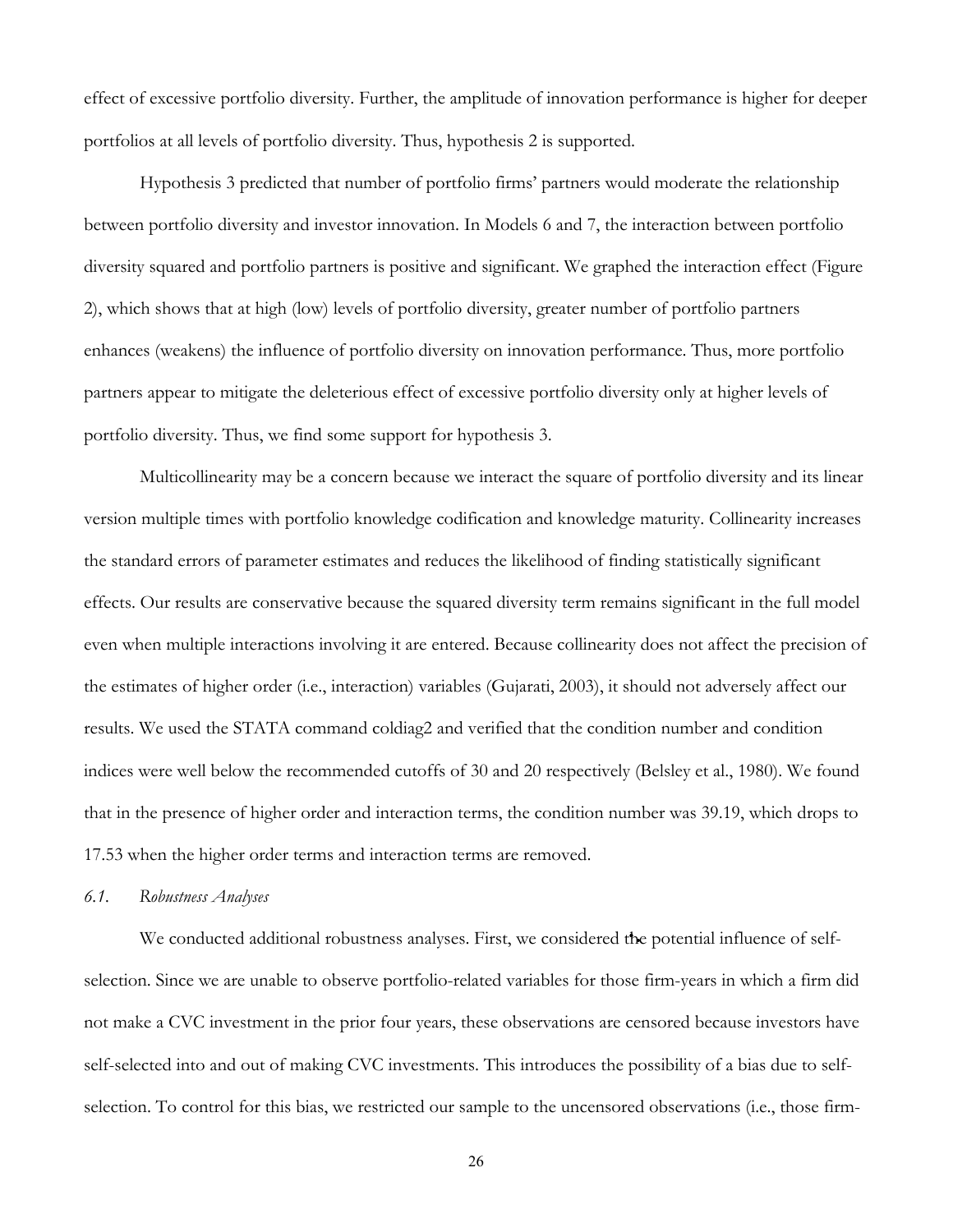effect of excessive portfolio diversity. Further, the amplitude of innovation performance is higher for deeper portfolios at all levels of portfolio diversity. Thus, hypothesis 2 is supported.

Hypothesis 3 predicted that number of portfolio firms' partners would moderate the relationship between portfolio diversity and investor innovation. In Models 6 and 7, the interaction between portfolio diversity squared and portfolio partners is positive and significant. We graphed the interaction effect (Figure 2), which shows that at high (low) levels of portfolio diversity, greater number of portfolio partners enhances (weakens) the influence of portfolio diversity on innovation performance. Thus, more portfolio partners appear to mitigate the deleterious effect of excessive portfolio diversity only at higher levels of portfolio diversity. Thus, we find some support for hypothesis 3.

Multicollinearity may be a concern because we interact the square of portfolio diversity and its linear version multiple times with portfolio knowledge codification and knowledge maturity. Collinearity increases the standard errors of parameter estimates and reduces the likelihood of finding statistically significant effects. Our results are conservative because the squared diversity term remains significant in the full model even when multiple interactions involving it are entered. Because collinearity does not affect the precision of the estimates of higher order (i.e., interaction) variables (Gujarati, 2003), it should not adversely affect our results. We used the STATA command coldiag2 and verified that the condition number and condition indices were well below the recommended cutoffs of 30 and 20 respectively (Belsley et al., 1980). We found that in the presence of higher order and interaction terms, the condition number was 39.19, which drops to 17.53 when the higher order terms and interaction terms are removed.

#### *6.1. Robustness Analyses*

We conducted additional robustness analyses. First, we considered the potential influence of selfselection. Since we are unable to observe portfolio-related variables for those firm-years in which a firm did not make a CVC investment in the prior four years, these observations are censored because investors have self-selected into and out of making CVC investments. This introduces the possibility of a bias due to selfselection. To control for this bias, we restricted our sample to the uncensored observations (i.e., those firm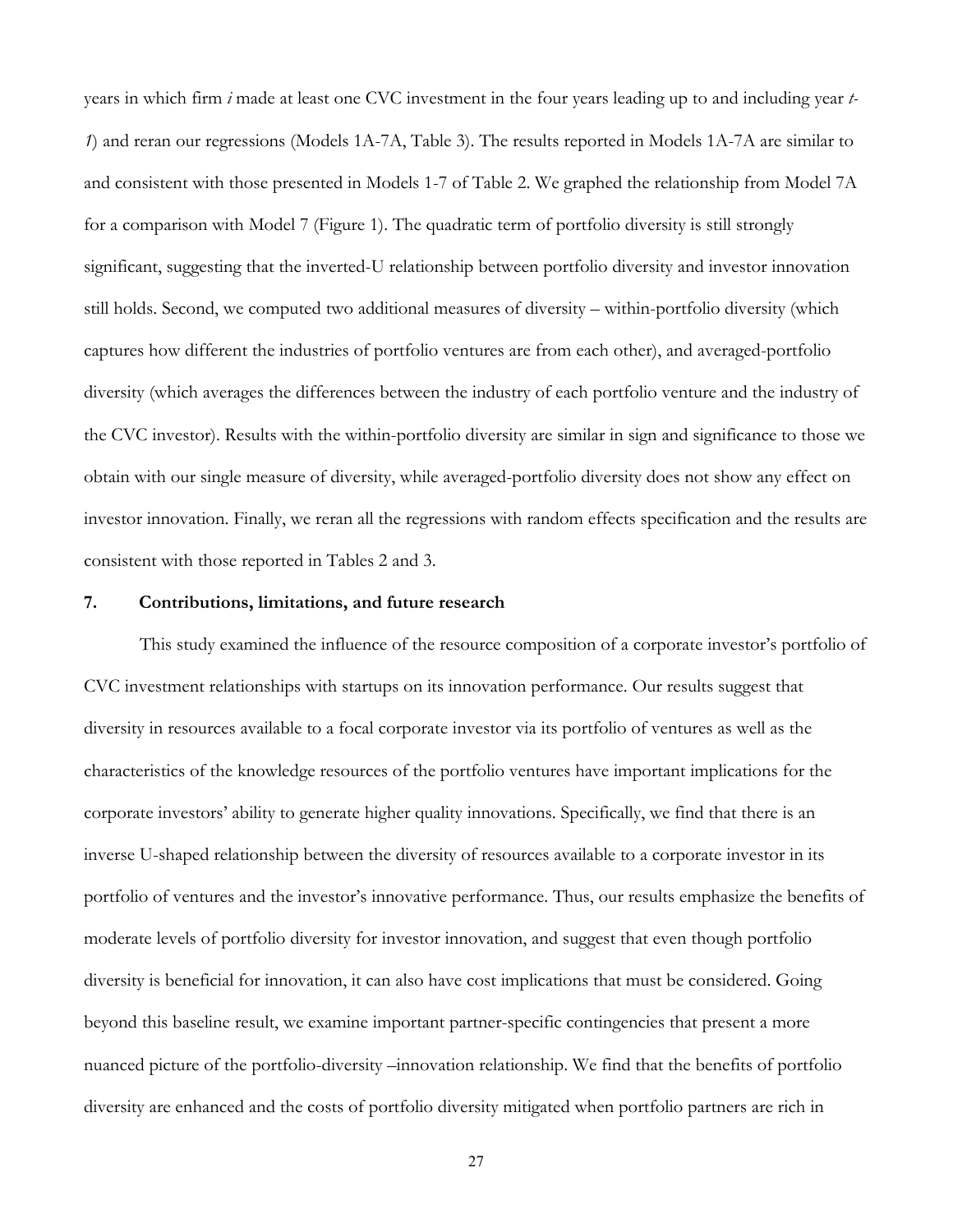years in which firm *i* made at least one CVC investment in the four years leading up to and including year *t-1*) and reran our regressions (Models 1A-7A, Table 3). The results reported in Models 1A-7A are similar to and consistent with those presented in Models 1-7 of Table 2. We graphed the relationship from Model 7A for a comparison with Model 7 (Figure 1). The quadratic term of portfolio diversity is still strongly significant, suggesting that the inverted-U relationship between portfolio diversity and investor innovation still holds. Second, we computed two additional measures of diversity – within-portfolio diversity (which captures how different the industries of portfolio ventures are from each other), and averaged-portfolio diversity (which averages the differences between the industry of each portfolio venture and the industry of the CVC investor). Results with the within-portfolio diversity are similar in sign and significance to those we obtain with our single measure of diversity, while averaged-portfolio diversity does not show any effect on investor innovation. Finally, we reran all the regressions with random effects specification and the results are consistent with those reported in Tables 2 and 3.

# **7. Contributions, limitations, and future research**

This study examined the influence of the resource composition of a corporate investor's portfolio of CVC investment relationships with startups on its innovation performance. Our results suggest that diversity in resources available to a focal corporate investor via its portfolio of ventures as well as the characteristics of the knowledge resources of the portfolio ventures have important implications for the corporate investors' ability to generate higher quality innovations. Specifically, we find that there is an inverse U-shaped relationship between the diversity of resources available to a corporate investor in its portfolio of ventures and the investor's innovative performance. Thus, our results emphasize the benefits of moderate levels of portfolio diversity for investor innovation, and suggest that even though portfolio diversity is beneficial for innovation, it can also have cost implications that must be considered. Going beyond this baseline result, we examine important partner-specific contingencies that present a more nuanced picture of the portfolio-diversity –innovation relationship. We find that the benefits of portfolio diversity are enhanced and the costs of portfolio diversity mitigated when portfolio partners are rich in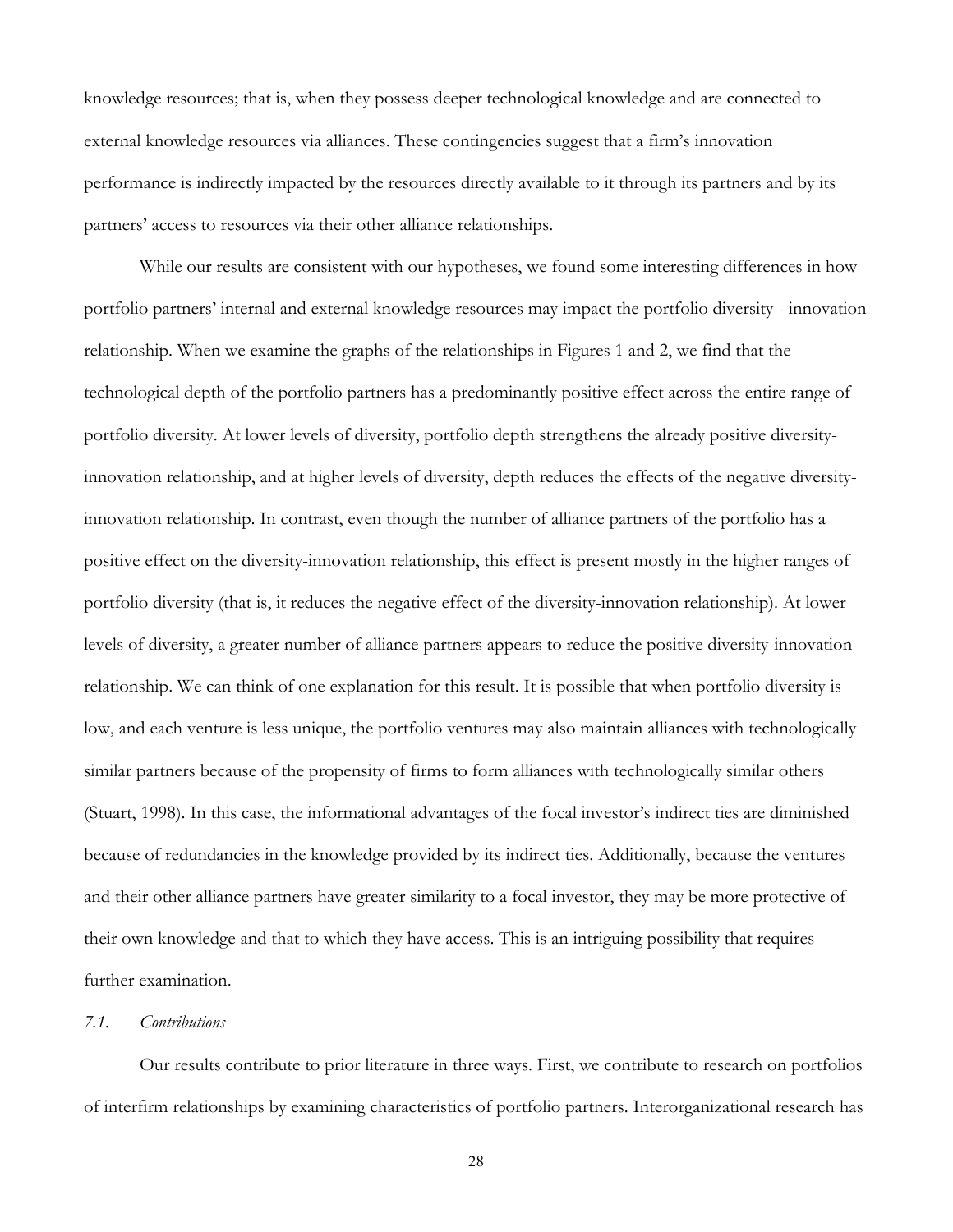knowledge resources; that is, when they possess deeper technological knowledge and are connected to external knowledge resources via alliances. These contingencies suggest that a firm's innovation performance is indirectly impacted by the resources directly available to it through its partners and by its partners' access to resources via their other alliance relationships.

While our results are consistent with our hypotheses, we found some interesting differences in how portfolio partners' internal and external knowledge resources may impact the portfolio diversity - innovation relationship. When we examine the graphs of the relationships in Figures 1 and 2, we find that the technological depth of the portfolio partners has a predominantly positive effect across the entire range of portfolio diversity. At lower levels of diversity, portfolio depth strengthens the already positive diversityinnovation relationship, and at higher levels of diversity, depth reduces the effects of the negative diversityinnovation relationship. In contrast, even though the number of alliance partners of the portfolio has a positive effect on the diversity-innovation relationship, this effect is present mostly in the higher ranges of portfolio diversity (that is, it reduces the negative effect of the diversity-innovation relationship). At lower levels of diversity, a greater number of alliance partners appears to reduce the positive diversity-innovation relationship. We can think of one explanation for this result. It is possible that when portfolio diversity is low, and each venture is less unique, the portfolio ventures may also maintain alliances with technologically similar partners because of the propensity of firms to form alliances with technologically similar others (Stuart, 1998). In this case, the informational advantages of the focal investor's indirect ties are diminished because of redundancies in the knowledge provided by its indirect ties. Additionally, because the ventures and their other alliance partners have greater similarity to a focal investor, they may be more protective of their own knowledge and that to which they have access. This is an intriguing possibility that requires further examination.

# *7.1. Contributions*

Our results contribute to prior literature in three ways. First, we contribute to research on portfolios of interfirm relationships by examining characteristics of portfolio partners. Interorganizational research has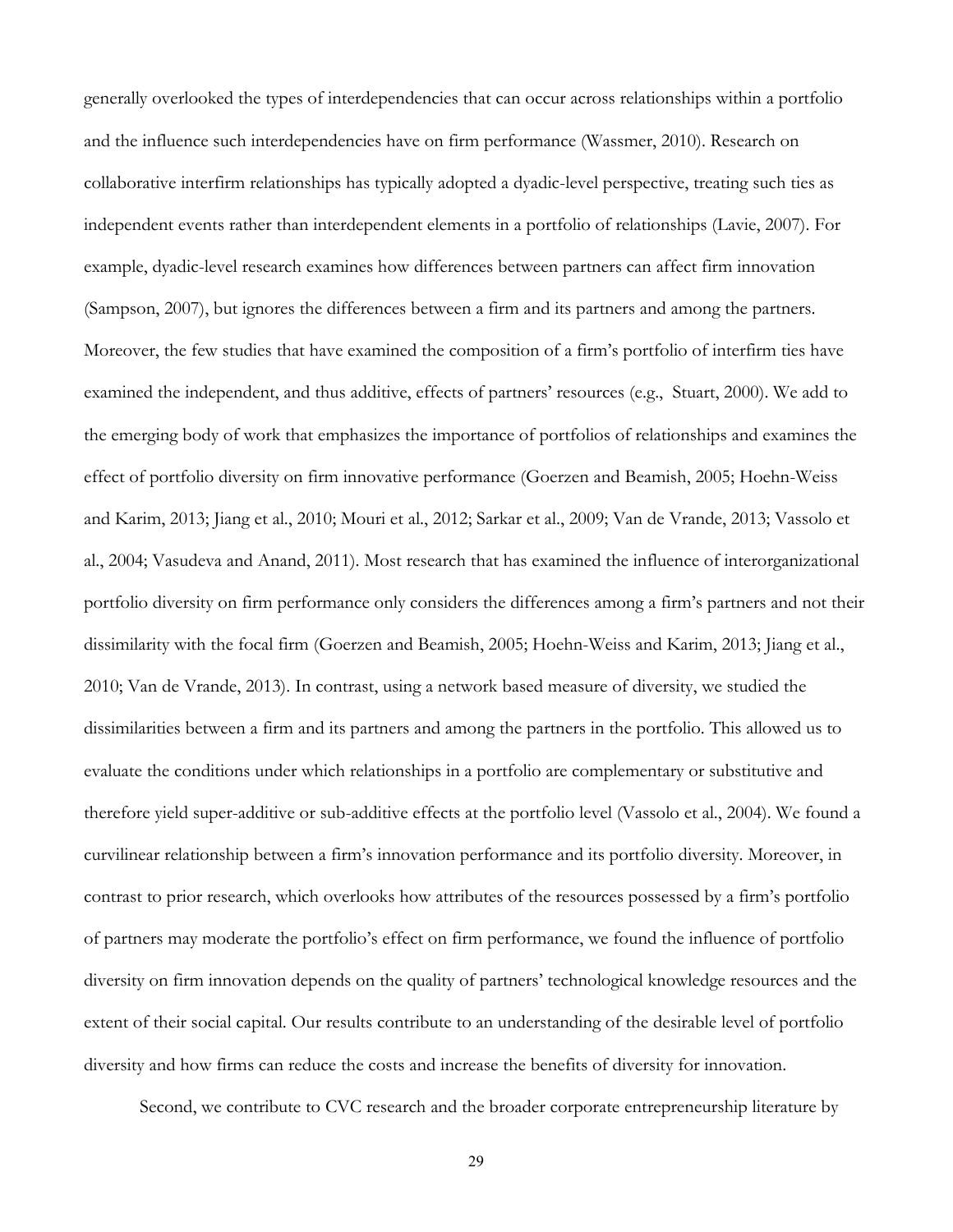generally overlooked the types of interdependencies that can occur across relationships within a portfolio and the influence such interdependencies have on firm performance (Wassmer, 2010). Research on collaborative interfirm relationships has typically adopted a dyadic-level perspective, treating such ties as independent events rather than interdependent elements in a portfolio of relationships (Lavie, 2007). For example, dyadic-level research examines how differences between partners can affect firm innovation (Sampson, 2007), but ignores the differences between a firm and its partners and among the partners. Moreover, the few studies that have examined the composition of a firm's portfolio of interfirm ties have examined the independent, and thus additive, effects of partners' resources (e.g., Stuart, 2000). We add to the emerging body of work that emphasizes the importance of portfolios of relationships and examines the effect of portfolio diversity on firm innovative performance (Goerzen and Beamish, 2005; Hoehn-Weiss and Karim, 2013; Jiang et al., 2010; Mouri et al., 2012; Sarkar et al., 2009; Van de Vrande, 2013; Vassolo et al., 2004; Vasudeva and Anand, 2011). Most research that has examined the influence of interorganizational portfolio diversity on firm performance only considers the differences among a firm's partners and not their dissimilarity with the focal firm (Goerzen and Beamish, 2005; Hoehn-Weiss and Karim, 2013; Jiang et al., 2010; Van de Vrande, 2013). In contrast, using a network based measure of diversity, we studied the dissimilarities between a firm and its partners and among the partners in the portfolio. This allowed us to evaluate the conditions under which relationships in a portfolio are complementary or substitutive and therefore yield super-additive or sub-additive effects at the portfolio level (Vassolo et al., 2004). We found a curvilinear relationship between a firm's innovation performance and its portfolio diversity. Moreover, in contrast to prior research, which overlooks how attributes of the resources possessed by a firm's portfolio of partners may moderate the portfolio's effect on firm performance, we found the influence of portfolio diversity on firm innovation depends on the quality of partners' technological knowledge resources and the extent of their social capital. Our results contribute to an understanding of the desirable level of portfolio diversity and how firms can reduce the costs and increase the benefits of diversity for innovation.

Second, we contribute to CVC research and the broader corporate entrepreneurship literature by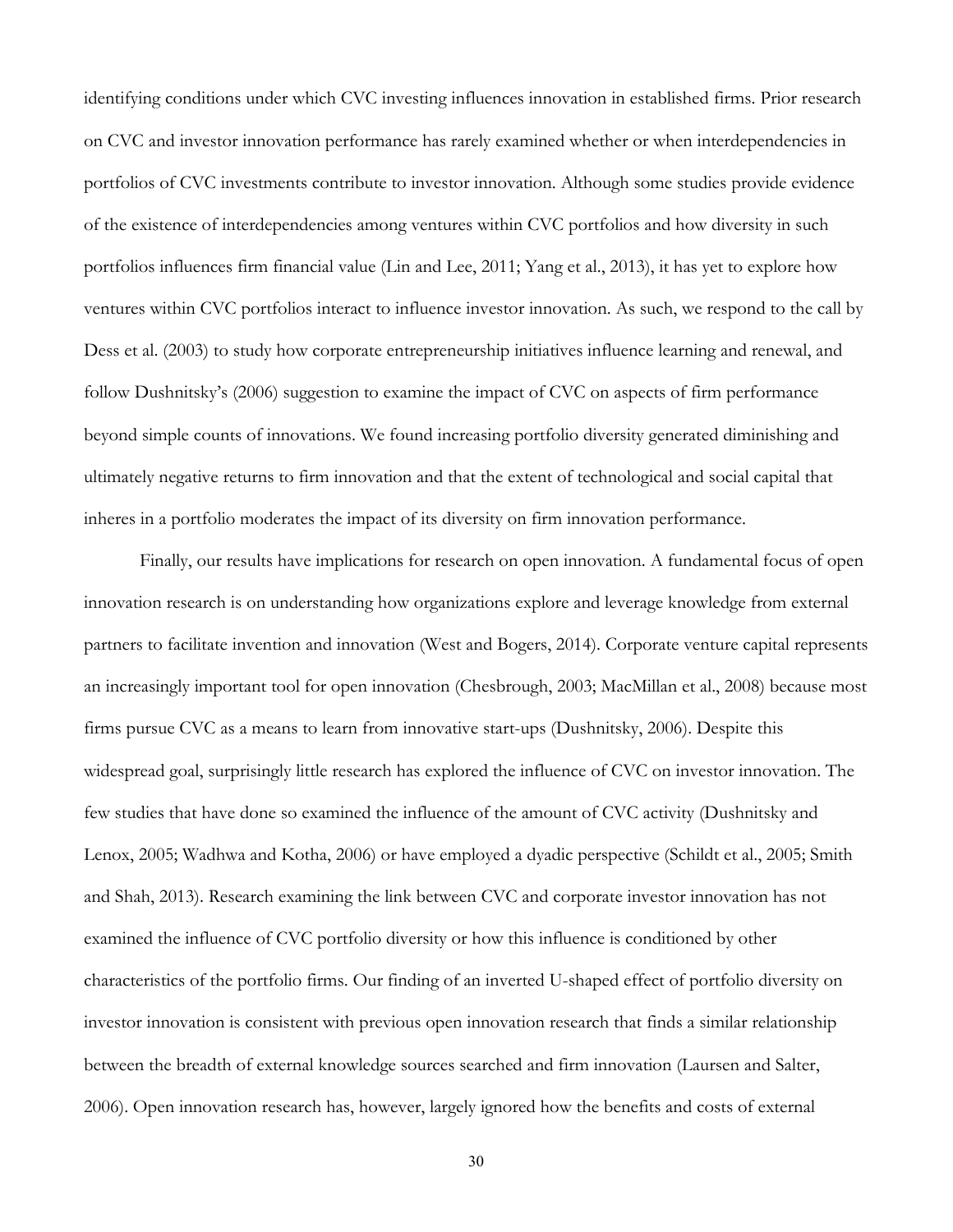identifying conditions under which CVC investing influences innovation in established firms. Prior research on CVC and investor innovation performance has rarely examined whether or when interdependencies in portfolios of CVC investments contribute to investor innovation. Although some studies provide evidence of the existence of interdependencies among ventures within CVC portfolios and how diversity in such portfolios influences firm financial value (Lin and Lee, 2011; Yang et al., 2013), it has yet to explore how ventures within CVC portfolios interact to influence investor innovation. As such, we respond to the call by Dess et al. (2003) to study how corporate entrepreneurship initiatives influence learning and renewal, and follow Dushnitsky's (2006) suggestion to examine the impact of CVC on aspects of firm performance beyond simple counts of innovations. We found increasing portfolio diversity generated diminishing and ultimately negative returns to firm innovation and that the extent of technological and social capital that inheres in a portfolio moderates the impact of its diversity on firm innovation performance.

Finally, our results have implications for research on open innovation. A fundamental focus of open innovation research is on understanding how organizations explore and leverage knowledge from external partners to facilitate invention and innovation (West and Bogers, 2014). Corporate venture capital represents an increasingly important tool for open innovation (Chesbrough, 2003; MacMillan et al., 2008) because most firms pursue CVC as a means to learn from innovative start-ups (Dushnitsky, 2006). Despite this widespread goal, surprisingly little research has explored the influence of CVC on investor innovation. The few studies that have done so examined the influence of the amount of CVC activity (Dushnitsky and Lenox, 2005; Wadhwa and Kotha, 2006) or have employed a dyadic perspective (Schildt et al., 2005; Smith and Shah, 2013). Research examining the link between CVC and corporate investor innovation has not examined the influence of CVC portfolio diversity or how this influence is conditioned by other characteristics of the portfolio firms. Our finding of an inverted U-shaped effect of portfolio diversity on investor innovation is consistent with previous open innovation research that finds a similar relationship between the breadth of external knowledge sources searched and firm innovation (Laursen and Salter, 2006). Open innovation research has, however, largely ignored how the benefits and costs of external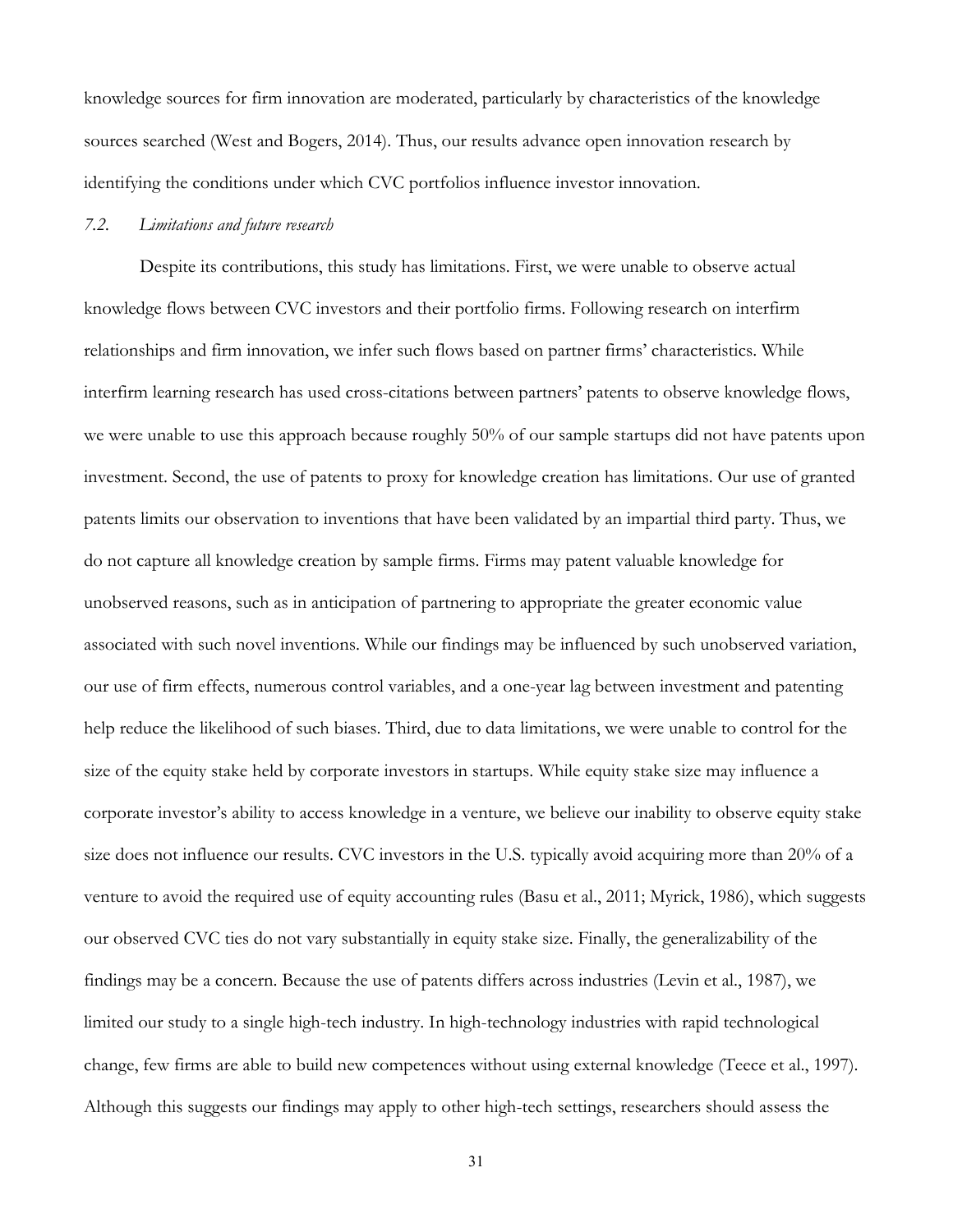knowledge sources for firm innovation are moderated, particularly by characteristics of the knowledge sources searched (West and Bogers, 2014). Thus, our results advance open innovation research by identifying the conditions under which CVC portfolios influence investor innovation.

#### *7.2. Limitations and future research*

Despite its contributions, this study has limitations. First, we were unable to observe actual knowledge flows between CVC investors and their portfolio firms. Following research on interfirm relationships and firm innovation, we infer such flows based on partner firms' characteristics. While interfirm learning research has used cross-citations between partners' patents to observe knowledge flows, we were unable to use this approach because roughly 50% of our sample startups did not have patents upon investment. Second, the use of patents to proxy for knowledge creation has limitations. Our use of granted patents limits our observation to inventions that have been validated by an impartial third party. Thus, we do not capture all knowledge creation by sample firms. Firms may patent valuable knowledge for unobserved reasons, such as in anticipation of partnering to appropriate the greater economic value associated with such novel inventions. While our findings may be influenced by such unobserved variation, our use of firm effects, numerous control variables, and a one-year lag between investment and patenting help reduce the likelihood of such biases. Third, due to data limitations, we were unable to control for the size of the equity stake held by corporate investors in startups. While equity stake size may influence a corporate investor's ability to access knowledge in a venture, we believe our inability to observe equity stake size does not influence our results. CVC investors in the U.S. typically avoid acquiring more than 20% of a venture to avoid the required use of equity accounting rules (Basu et al., 2011; Myrick, 1986), which suggests our observed CVC ties do not vary substantially in equity stake size. Finally, the generalizability of the findings may be a concern. Because the use of patents differs across industries (Levin et al., 1987), we limited our study to a single high-tech industry. In high-technology industries with rapid technological change, few firms are able to build new competences without using external knowledge (Teece et al., 1997). Although this suggests our findings may apply to other high-tech settings, researchers should assess the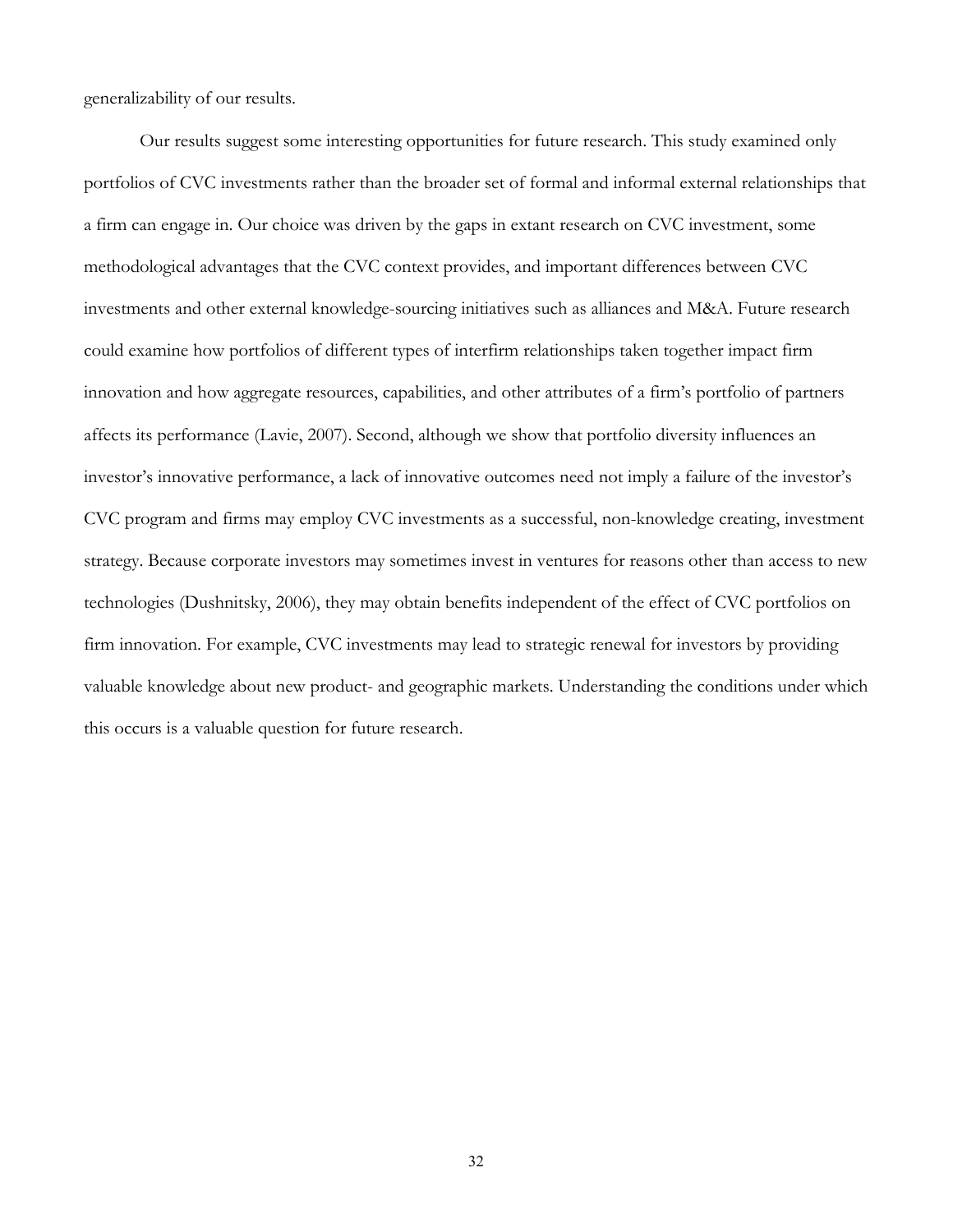generalizability of our results.

Our results suggest some interesting opportunities for future research. This study examined only portfolios of CVC investments rather than the broader set of formal and informal external relationships that a firm can engage in. Our choice was driven by the gaps in extant research on CVC investment, some methodological advantages that the CVC context provides, and important differences between CVC investments and other external knowledge-sourcing initiatives such as alliances and M&A. Future research could examine how portfolios of different types of interfirm relationships taken together impact firm innovation and how aggregate resources, capabilities, and other attributes of a firm's portfolio of partners affects its performance (Lavie, 2007). Second, although we show that portfolio diversity influences an investor's innovative performance, a lack of innovative outcomes need not imply a failure of the investor's CVC program and firms may employ CVC investments as a successful, non-knowledge creating, investment strategy. Because corporate investors may sometimes invest in ventures for reasons other than access to new technologies (Dushnitsky, 2006), they may obtain benefits independent of the effect of CVC portfolios on firm innovation. For example, CVC investments may lead to strategic renewal for investors by providing valuable knowledge about new product- and geographic markets. Understanding the conditions under which this occurs is a valuable question for future research.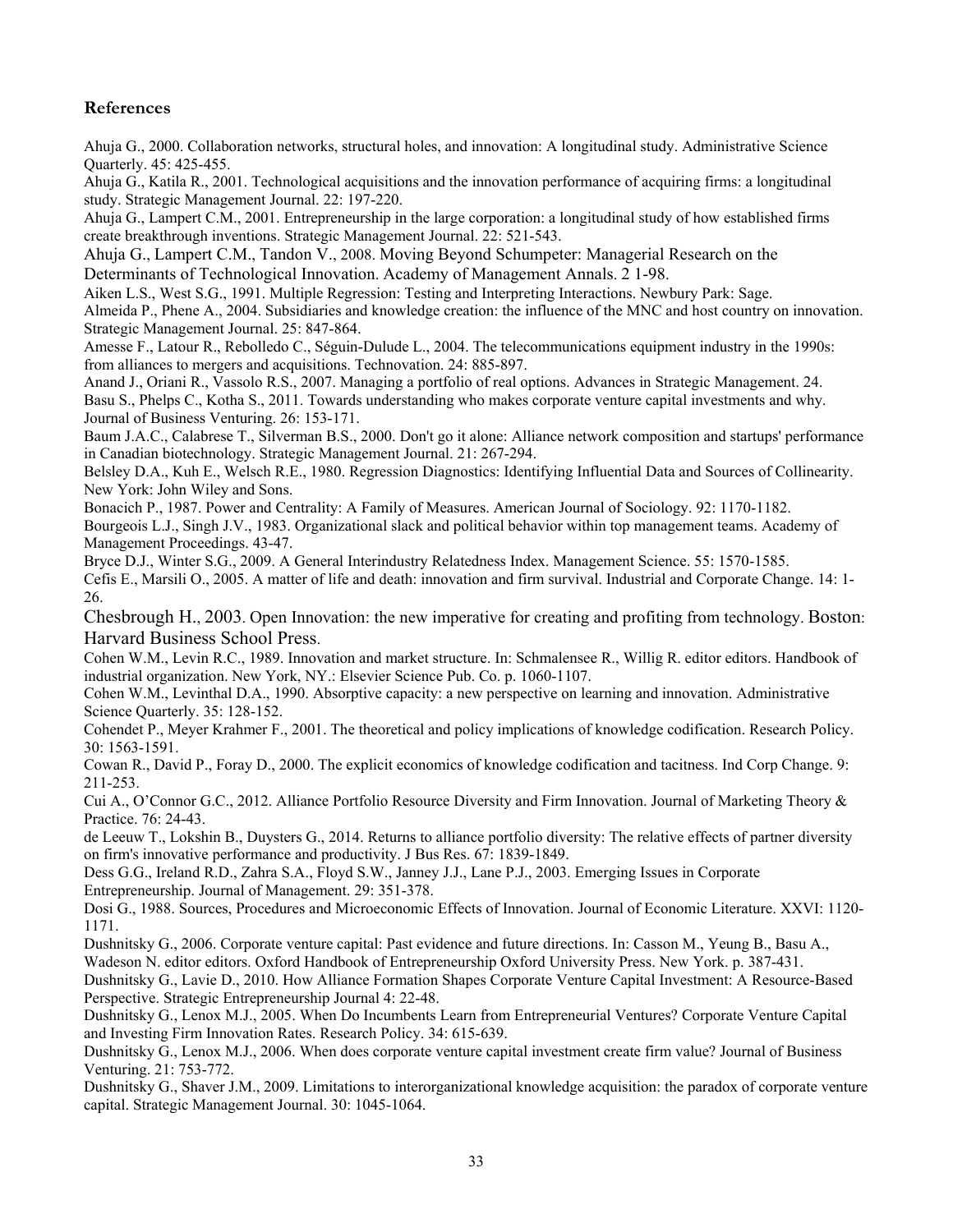# **References**

Ahuja G., 2000. Collaboration networks, structural holes, and innovation: A longitudinal study. Administrative Science Quarterly. 45: 425-455.

Ahuja G., Katila R., 2001. Technological acquisitions and the innovation performance of acquiring firms: a longitudinal study. Strategic Management Journal. 22: 197-220.

Ahuja G., Lampert C.M., 2001. Entrepreneurship in the large corporation: a longitudinal study of how established firms create breakthrough inventions. Strategic Management Journal. 22: 521-543.

Ahuja G., Lampert C.M., Tandon V., 2008. Moving Beyond Schumpeter: Managerial Research on the Determinants of Technological Innovation. Academy of Management Annals. 2 1-98.

Aiken L.S., West S.G., 1991. Multiple Regression: Testing and Interpreting Interactions. Newbury Park: Sage.

Almeida P., Phene A., 2004. Subsidiaries and knowledge creation: the influence of the MNC and host country on innovation. Strategic Management Journal. 25: 847-864.

Amesse F., Latour R., Rebolledo C., Séguin-Dulude L., 2004. The telecommunications equipment industry in the 1990s: from alliances to mergers and acquisitions. Technovation. 24: 885-897.

Anand J., Oriani R., Vassolo R.S., 2007. Managing a portfolio of real options. Advances in Strategic Management. 24. Basu S., Phelps C., Kotha S., 2011. Towards understanding who makes corporate venture capital investments and why. Journal of Business Venturing. 26: 153-171.

Baum J.A.C., Calabrese T., Silverman B.S., 2000. Don't go it alone: Alliance network composition and startups' performance in Canadian biotechnology. Strategic Management Journal. 21: 267-294.

Belsley D.A., Kuh E., Welsch R.E., 1980. Regression Diagnostics: Identifying Influential Data and Sources of Collinearity. New York: John Wiley and Sons.

Bonacich P., 1987. Power and Centrality: A Family of Measures. American Journal of Sociology. 92: 1170-1182. Bourgeois L.J., Singh J.V., 1983. Organizational slack and political behavior within top management teams. Academy of Management Proceedings. 43-47.

Bryce D.J., Winter S.G., 2009. A General Interindustry Relatedness Index. Management Science. 55: 1570-1585. Cefis E., Marsili O., 2005. A matter of life and death: innovation and firm survival. Industrial and Corporate Change. 14: 1- 26.

Chesbrough H., 2003. Open Innovation: the new imperative for creating and profiting from technology. Boston: Harvard Business School Press.

Cohen W.M., Levin R.C., 1989. Innovation and market structure. In: Schmalensee R., Willig R. editor editors. Handbook of industrial organization. New York, NY.: Elsevier Science Pub. Co. p. 1060-1107.

Cohen W.M., Levinthal D.A., 1990. Absorptive capacity: a new perspective on learning and innovation. Administrative Science Quarterly. 35: 128-152.

Cohendet P., Meyer Krahmer F., 2001. The theoretical and policy implications of knowledge codification. Research Policy. 30: 1563-1591.

Cowan R., David P., Foray D., 2000. The explicit economics of knowledge codification and tacitness. Ind Corp Change. 9: 211-253.

Cui A., O'Connor G.C., 2012. Alliance Portfolio Resource Diversity and Firm Innovation. Journal of Marketing Theory & Practice. 76: 24-43.

de Leeuw T., Lokshin B., Duysters G., 2014. Returns to alliance portfolio diversity: The relative effects of partner diversity on firm's innovative performance and productivity. J Bus Res. 67: 1839-1849.

Dess G.G., Ireland R.D., Zahra S.A., Floyd S.W., Janney J.J., Lane P.J., 2003. Emerging Issues in Corporate Entrepreneurship. Journal of Management. 29: 351-378.

Dosi G., 1988. Sources, Procedures and Microeconomic Effects of Innovation. Journal of Economic Literature. XXVI: 1120- 1171.

Dushnitsky G., 2006. Corporate venture capital: Past evidence and future directions. In: Casson M., Yeung B., Basu A., Wadeson N. editor editors. Oxford Handbook of Entrepreneurship Oxford University Press. New York. p. 387-431.

Dushnitsky G., Lavie D., 2010. How Alliance Formation Shapes Corporate Venture Capital Investment: A Resource-Based Perspective. Strategic Entrepreneurship Journal 4: 22-48.

Dushnitsky G., Lenox M.J., 2005. When Do Incumbents Learn from Entrepreneurial Ventures? Corporate Venture Capital and Investing Firm Innovation Rates. Research Policy. 34: 615-639.

Dushnitsky G., Lenox M.J., 2006. When does corporate venture capital investment create firm value? Journal of Business Venturing. 21: 753-772.

Dushnitsky G., Shaver J.M., 2009. Limitations to interorganizational knowledge acquisition: the paradox of corporate venture capital. Strategic Management Journal. 30: 1045-1064.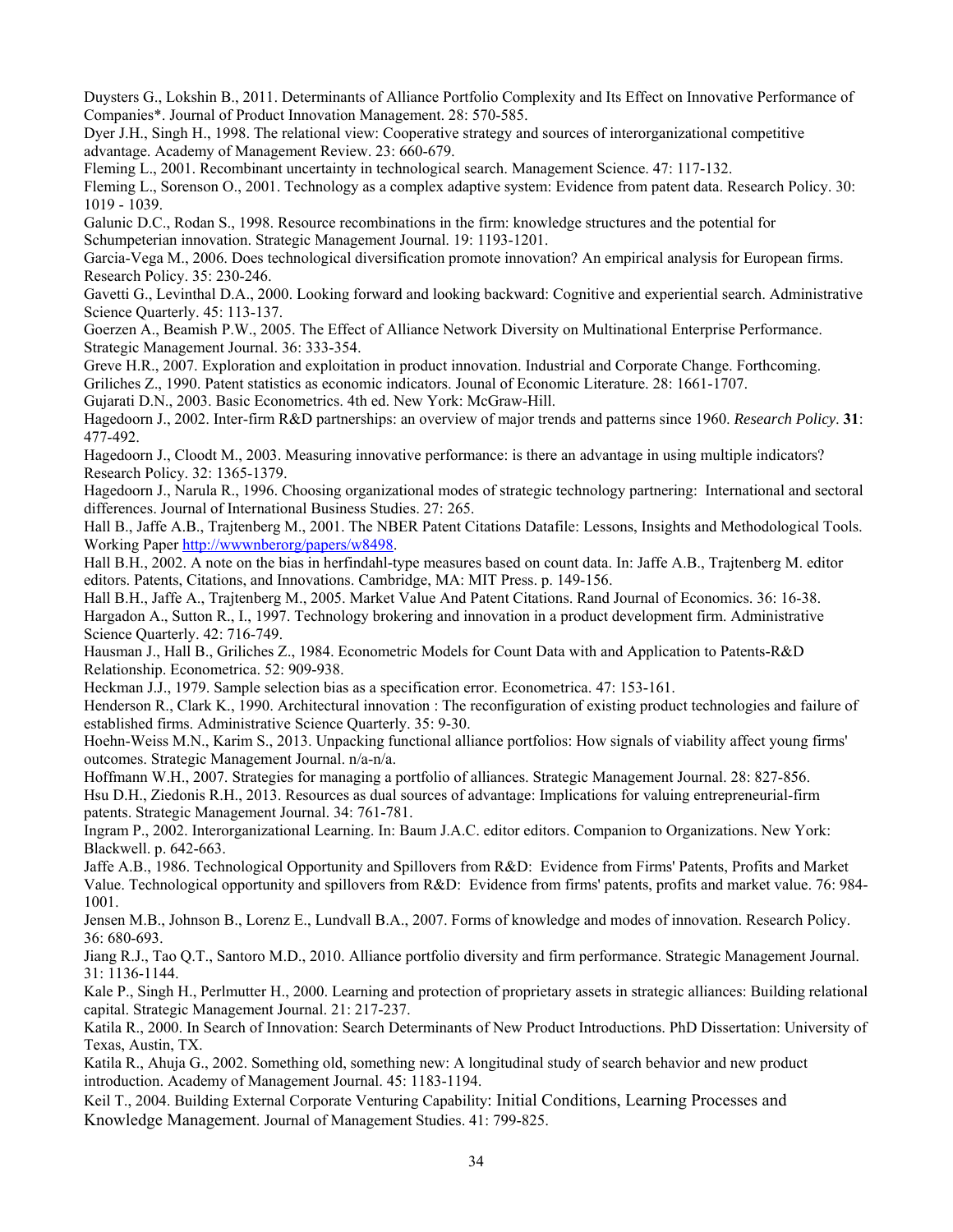Duysters G., Lokshin B., 2011. Determinants of Alliance Portfolio Complexity and Its Effect on Innovative Performance of Companies\*. Journal of Product Innovation Management. 28: 570-585.

Dyer J.H., Singh H., 1998. The relational view: Cooperative strategy and sources of interorganizational competitive advantage. Academy of Management Review. 23: 660-679.

Fleming L., 2001. Recombinant uncertainty in technological search. Management Science. 47: 117-132.

Fleming L., Sorenson O., 2001. Technology as a complex adaptive system: Evidence from patent data. Research Policy. 30: 1019 - 1039.

Galunic D.C., Rodan S., 1998. Resource recombinations in the firm: knowledge structures and the potential for Schumpeterian innovation. Strategic Management Journal. 19: 1193-1201.

Garcia-Vega M., 2006. Does technological diversification promote innovation? An empirical analysis for European firms. Research Policy. 35: 230-246.

Gavetti G., Levinthal D.A., 2000. Looking forward and looking backward: Cognitive and experiential search. Administrative Science Quarterly. 45: 113-137.

Goerzen A., Beamish P.W., 2005. The Effect of Alliance Network Diversity on Multinational Enterprise Performance. Strategic Management Journal. 36: 333-354.

Greve H.R., 2007. Exploration and exploitation in product innovation. Industrial and Corporate Change. Forthcoming.

Griliches Z., 1990. Patent statistics as economic indicators. Jounal of Economic Literature. 28: 1661-1707.

Gujarati D.N., 2003. Basic Econometrics. 4th ed. New York: McGraw-Hill.

Hagedoorn J., 2002. Inter-firm R&D partnerships: an overview of major trends and patterns since 1960. *Research Policy*. **31**: 477-492.

Hagedoorn J., Cloodt M., 2003. Measuring innovative performance: is there an advantage in using multiple indicators? Research Policy. 32: 1365-1379.

Hagedoorn J., Narula R., 1996. Choosing organizational modes of strategic technology partnering: International and sectoral differences. Journal of International Business Studies. 27: 265.

Hall B., Jaffe A.B., Trajtenberg M., 2001. The NBER Patent Citations Datafile: Lessons, Insights and Methodological Tools. Working Paper http://wwwnberorg/papers/w8498.

Hall B.H., 2002. A note on the bias in herfindahl-type measures based on count data. In: Jaffe A.B., Trajtenberg M. editor editors. Patents, Citations, and Innovations. Cambridge, MA: MIT Press. p. 149-156.

Hall B.H., Jaffe A., Trajtenberg M., 2005. Market Value And Patent Citations. Rand Journal of Economics. 36: 16-38. Hargadon A., Sutton R., I., 1997. Technology brokering and innovation in a product development firm. Administrative Science Quarterly. 42: 716-749.

Hausman J., Hall B., Griliches Z., 1984. Econometric Models for Count Data with and Application to Patents-R&D Relationship. Econometrica. 52: 909-938.

Heckman J.J., 1979. Sample selection bias as a specification error. Econometrica. 47: 153-161.

Henderson R., Clark K., 1990. Architectural innovation : The reconfiguration of existing product technologies and failure of established firms. Administrative Science Quarterly. 35: 9-30.

Hoehn-Weiss M.N., Karim S., 2013. Unpacking functional alliance portfolios: How signals of viability affect young firms' outcomes. Strategic Management Journal. n/a-n/a.

Hoffmann W.H., 2007. Strategies for managing a portfolio of alliances. Strategic Management Journal. 28: 827-856. Hsu D.H., Ziedonis R.H., 2013. Resources as dual sources of advantage: Implications for valuing entrepreneurial-firm patents. Strategic Management Journal. 34: 761-781.

Ingram P., 2002. Interorganizational Learning. In: Baum J.A.C. editor editors. Companion to Organizations. New York: Blackwell. p. 642-663.

Jaffe A.B., 1986. Technological Opportunity and Spillovers from R&D: Evidence from Firms' Patents, Profits and Market Value. Technological opportunity and spillovers from R&D: Evidence from firms' patents, profits and market value. 76: 984- 1001.

Jensen M.B., Johnson B., Lorenz E., Lundvall B.A., 2007. Forms of knowledge and modes of innovation. Research Policy. 36: 680-693.

Jiang R.J., Tao Q.T., Santoro M.D., 2010. Alliance portfolio diversity and firm performance. Strategic Management Journal. 31: 1136-1144.

Kale P., Singh H., Perlmutter H., 2000. Learning and protection of proprietary assets in strategic alliances: Building relational capital. Strategic Management Journal. 21: 217-237.

Katila R., 2000. In Search of Innovation: Search Determinants of New Product Introductions. PhD Dissertation: University of Texas, Austin, TX.

Katila R., Ahuja G., 2002. Something old, something new: A longitudinal study of search behavior and new product introduction. Academy of Management Journal. 45: 1183-1194.

Keil T., 2004. Building External Corporate Venturing Capability: Initial Conditions, Learning Processes and Knowledge Management. Journal of Management Studies. 41: 799-825.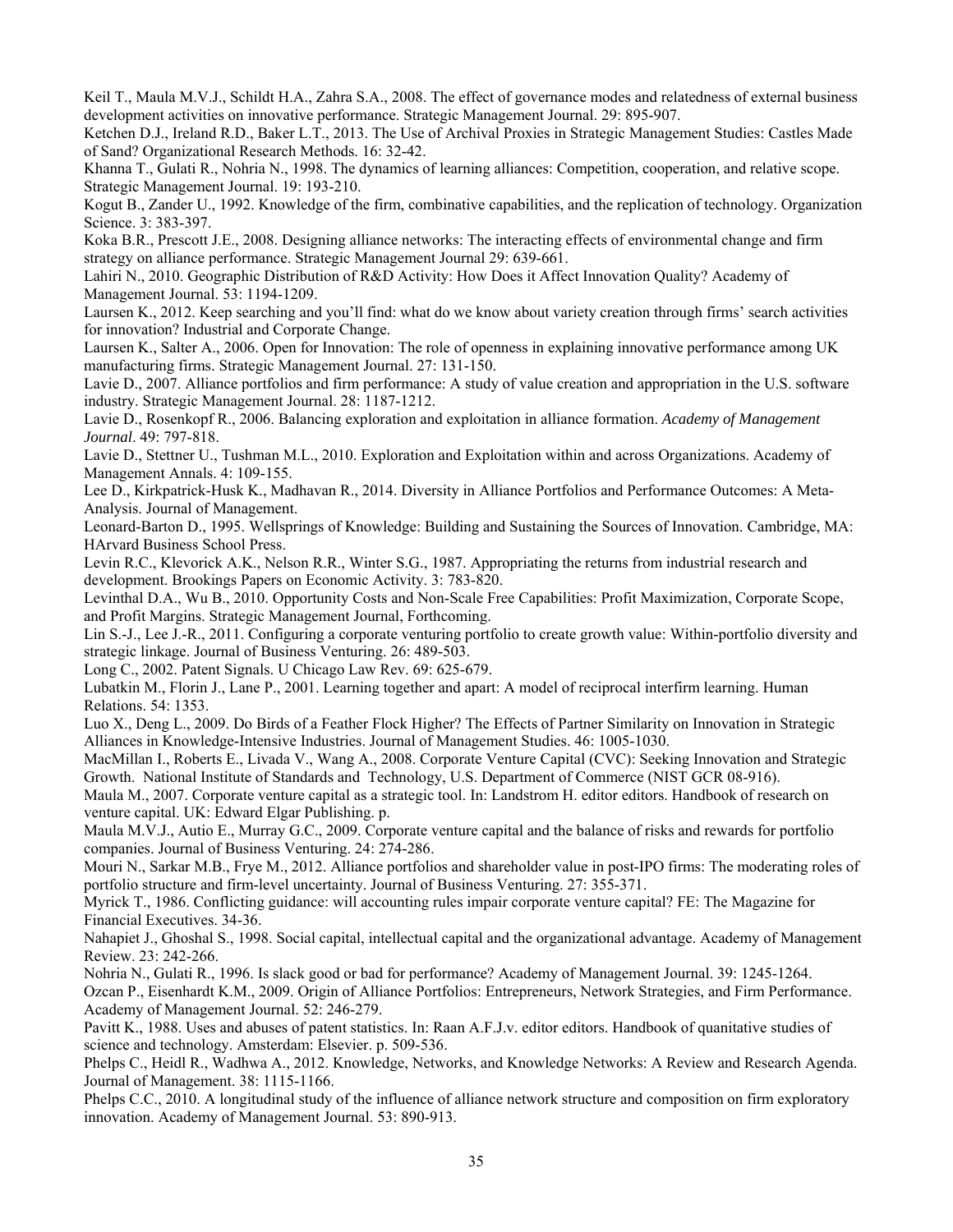Keil T., Maula M.V.J., Schildt H.A., Zahra S.A., 2008. The effect of governance modes and relatedness of external business development activities on innovative performance. Strategic Management Journal. 29: 895-907.

Ketchen D.J., Ireland R.D., Baker L.T., 2013. The Use of Archival Proxies in Strategic Management Studies: Castles Made of Sand? Organizational Research Methods. 16: 32-42.

Khanna T., Gulati R., Nohria N., 1998. The dynamics of learning alliances: Competition, cooperation, and relative scope. Strategic Management Journal. 19: 193-210.

Kogut B., Zander U., 1992. Knowledge of the firm, combinative capabilities, and the replication of technology. Organization Science. 3: 383-397.

Koka B.R., Prescott J.E., 2008. Designing alliance networks: The interacting effects of environmental change and firm strategy on alliance performance. Strategic Management Journal 29: 639-661.

Lahiri N., 2010. Geographic Distribution of R&D Activity: How Does it Affect Innovation Quality? Academy of Management Journal. 53: 1194-1209.

Laursen K., 2012. Keep searching and you'll find: what do we know about variety creation through firms' search activities for innovation? Industrial and Corporate Change.

Laursen K., Salter A., 2006. Open for Innovation: The role of openness in explaining innovative performance among UK manufacturing firms. Strategic Management Journal. 27: 131-150.

Lavie D., 2007. Alliance portfolios and firm performance: A study of value creation and appropriation in the U.S. software industry. Strategic Management Journal. 28: 1187-1212.

Lavie D., Rosenkopf R., 2006. Balancing exploration and exploitation in alliance formation. *Academy of Management Journal*. 49: 797-818.

Lavie D., Stettner U., Tushman M.L., 2010. Exploration and Exploitation within and across Organizations. Academy of Management Annals. 4: 109-155.

Lee D., Kirkpatrick-Husk K., Madhavan R., 2014. Diversity in Alliance Portfolios and Performance Outcomes: A Meta-Analysis. Journal of Management.

Leonard-Barton D., 1995. Wellsprings of Knowledge: Building and Sustaining the Sources of Innovation. Cambridge, MA: HArvard Business School Press.

Levin R.C., Klevorick A.K., Nelson R.R., Winter S.G., 1987. Appropriating the returns from industrial research and development. Brookings Papers on Economic Activity. 3: 783-820.

Levinthal D.A., Wu B., 2010. Opportunity Costs and Non-Scale Free Capabilities: Profit Maximization, Corporate Scope, and Profit Margins. Strategic Management Journal, Forthcoming.

Lin S.-J., Lee J.-R., 2011. Configuring a corporate venturing portfolio to create growth value: Within-portfolio diversity and strategic linkage. Journal of Business Venturing. 26: 489-503.

Long C., 2002. Patent Signals. U Chicago Law Rev. 69: 625-679.

Lubatkin M., Florin J., Lane P., 2001. Learning together and apart: A model of reciprocal interfirm learning. Human Relations. 54: 1353.

Luo X., Deng L., 2009. Do Birds of a Feather Flock Higher? The Effects of Partner Similarity on Innovation in Strategic Alliances in Knowledge-Intensive Industries. Journal of Management Studies. 46: 1005-1030.

MacMillan I., Roberts E., Livada V., Wang A., 2008. Corporate Venture Capital (CVC): Seeking Innovation and Strategic Growth. National Institute of Standards and Technology, U.S. Department of Commerce (NIST GCR 08-916).

Maula M., 2007. Corporate venture capital as a strategic tool. In: Landstrom H. editor editors. Handbook of research on venture capital. UK: Edward Elgar Publishing. p.

Maula M.V.J., Autio E., Murray G.C., 2009. Corporate venture capital and the balance of risks and rewards for portfolio companies. Journal of Business Venturing. 24: 274-286.

Mouri N., Sarkar M.B., Frye M., 2012. Alliance portfolios and shareholder value in post-IPO firms: The moderating roles of portfolio structure and firm-level uncertainty. Journal of Business Venturing. 27: 355-371.

Myrick T., 1986. Conflicting guidance: will accounting rules impair corporate venture capital? FE: The Magazine for Financial Executives. 34-36.

Nahapiet J., Ghoshal S., 1998. Social capital, intellectual capital and the organizational advantage. Academy of Management Review. 23: 242-266.

Nohria N., Gulati R., 1996. Is slack good or bad for performance? Academy of Management Journal. 39: 1245-1264. Ozcan P., Eisenhardt K.M., 2009. Origin of Alliance Portfolios: Entrepreneurs, Network Strategies, and Firm Performance.

Academy of Management Journal. 52: 246-279. Pavitt K., 1988. Uses and abuses of patent statistics. In: Raan A.F.J.v. editor editors. Handbook of quanitative studies of science and technology. Amsterdam: Elsevier. p. 509-536.

Phelps C., Heidl R., Wadhwa A., 2012. Knowledge, Networks, and Knowledge Networks: A Review and Research Agenda. Journal of Management. 38: 1115-1166.

Phelps C.C., 2010. A longitudinal study of the influence of alliance network structure and composition on firm exploratory innovation. Academy of Management Journal. 53: 890-913.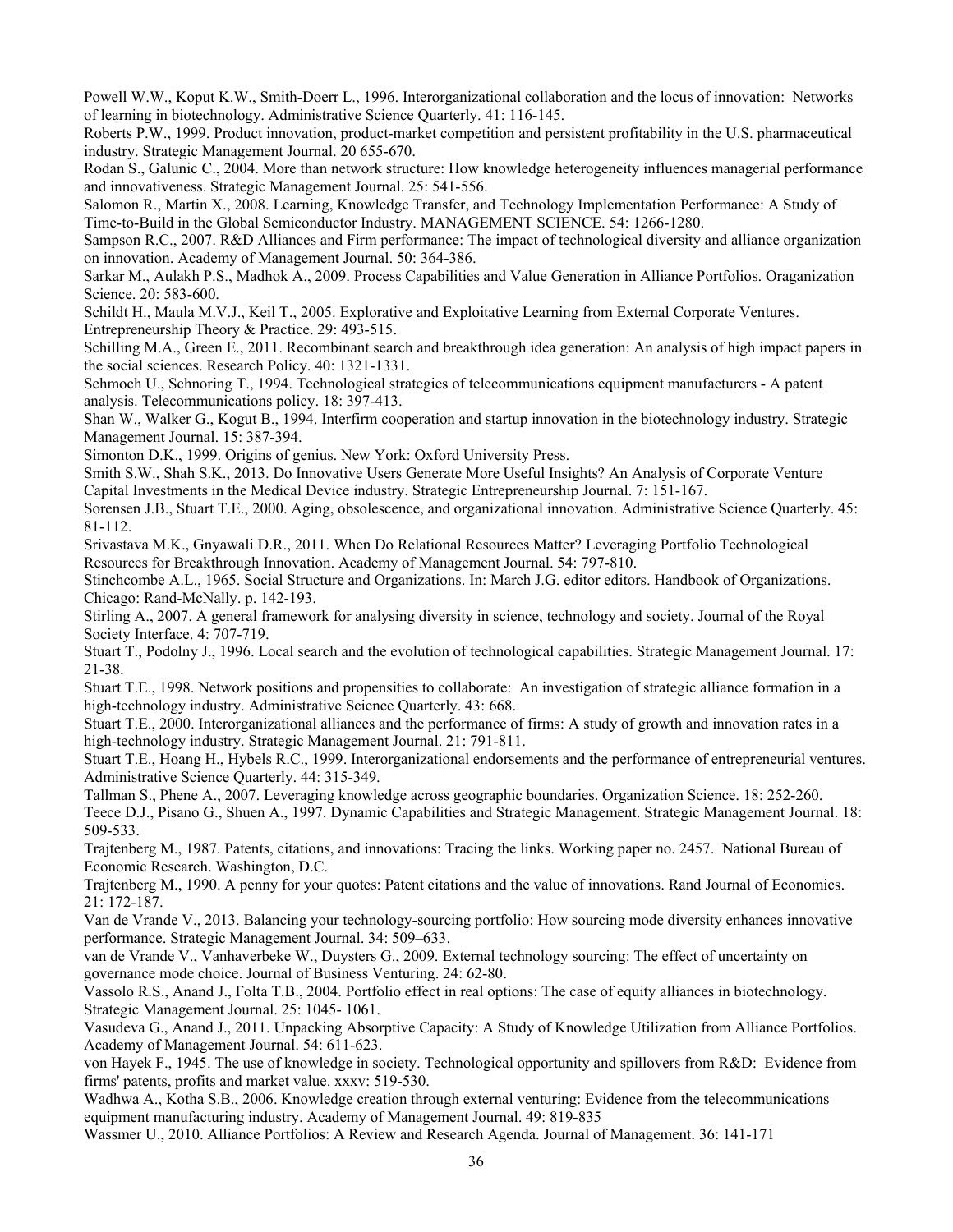Powell W.W., Koput K.W., Smith-Doerr L., 1996. Interorganizational collaboration and the locus of innovation: Networks of learning in biotechnology. Administrative Science Quarterly. 41: 116-145.

Roberts P.W., 1999. Product innovation, product-market competition and persistent profitability in the U.S. pharmaceutical industry. Strategic Management Journal. 20 655-670.

Rodan S., Galunic C., 2004. More than network structure: How knowledge heterogeneity influences managerial performance and innovativeness. Strategic Management Journal. 25: 541-556.

Salomon R., Martin X., 2008. Learning, Knowledge Transfer, and Technology Implementation Performance: A Study of Time-to-Build in the Global Semiconductor Industry. MANAGEMENT SCIENCE. 54: 1266-1280.

Sampson R.C., 2007. R&D Alliances and Firm performance: The impact of technological diversity and alliance organization on innovation. Academy of Management Journal. 50: 364-386.

Sarkar M., Aulakh P.S., Madhok A., 2009. Process Capabilities and Value Generation in Alliance Portfolios. Oraganization Science. 20: 583-600.

Schildt H., Maula M.V.J., Keil T., 2005. Explorative and Exploitative Learning from External Corporate Ventures. Entrepreneurship Theory & Practice. 29: 493-515.

Schilling M.A., Green E., 2011. Recombinant search and breakthrough idea generation: An analysis of high impact papers in the social sciences. Research Policy. 40: 1321-1331.

Schmoch U., Schnoring T., 1994. Technological strategies of telecommunications equipment manufacturers - A patent analysis. Telecommunications policy. 18: 397-413.

Shan W., Walker G., Kogut B., 1994. Interfirm cooperation and startup innovation in the biotechnology industry. Strategic Management Journal. 15: 387-394.

Simonton D.K., 1999. Origins of genius. New York: Oxford University Press.

Smith S.W., Shah S.K., 2013. Do Innovative Users Generate More Useful Insights? An Analysis of Corporate Venture Capital Investments in the Medical Device industry. Strategic Entrepreneurship Journal. 7: 151-167.

Sorensen J.B., Stuart T.E., 2000. Aging, obsolescence, and organizational innovation. Administrative Science Quarterly. 45: 81-112.

Srivastava M.K., Gnyawali D.R., 2011. When Do Relational Resources Matter? Leveraging Portfolio Technological Resources for Breakthrough Innovation. Academy of Management Journal. 54: 797-810.

Stinchcombe A.L., 1965. Social Structure and Organizations. In: March J.G. editor editors. Handbook of Organizations. Chicago: Rand-McNally. p. 142-193.

Stirling A., 2007. A general framework for analysing diversity in science, technology and society. Journal of the Royal Society Interface. 4: 707-719.

Stuart T., Podolny J., 1996. Local search and the evolution of technological capabilities. Strategic Management Journal. 17: 21-38.

Stuart T.E., 1998. Network positions and propensities to collaborate: An investigation of strategic alliance formation in a high-technology industry. Administrative Science Quarterly. 43: 668.

Stuart T.E., 2000. Interorganizational alliances and the performance of firms: A study of growth and innovation rates in a high-technology industry. Strategic Management Journal. 21: 791-811.

Stuart T.E., Hoang H., Hybels R.C., 1999. Interorganizational endorsements and the performance of entrepreneurial ventures. Administrative Science Quarterly. 44: 315-349.

Tallman S., Phene A., 2007. Leveraging knowledge across geographic boundaries. Organization Science. 18: 252-260.

Teece D.J., Pisano G., Shuen A., 1997. Dynamic Capabilities and Strategic Management. Strategic Management Journal. 18: 509-533.

Trajtenberg M., 1987. Patents, citations, and innovations: Tracing the links. Working paper no. 2457. National Bureau of Economic Research. Washington, D.C.

Trajtenberg M., 1990. A penny for your quotes: Patent citations and the value of innovations. Rand Journal of Economics. 21: 172-187.

Van de Vrande V., 2013. Balancing your technology-sourcing portfolio: How sourcing mode diversity enhances innovative performance. Strategic Management Journal. 34: 509–633.

van de Vrande V., Vanhaverbeke W., Duysters G., 2009. External technology sourcing: The effect of uncertainty on governance mode choice. Journal of Business Venturing. 24: 62-80.

Vassolo R.S., Anand J., Folta T.B., 2004. Portfolio effect in real options: The case of equity alliances in biotechnology. Strategic Management Journal. 25: 1045- 1061.

Vasudeva G., Anand J., 2011. Unpacking Absorptive Capacity: A Study of Knowledge Utilization from Alliance Portfolios. Academy of Management Journal. 54: 611-623.

von Hayek F., 1945. The use of knowledge in society. Technological opportunity and spillovers from R&D: Evidence from firms' patents, profits and market value. xxxv: 519-530.

Wadhwa A., Kotha S.B., 2006. Knowledge creation through external venturing: Evidence from the telecommunications equipment manufacturing industry. Academy of Management Journal. 49: 819-835

Wassmer U., 2010. Alliance Portfolios: A Review and Research Agenda. Journal of Management. 36: 141-171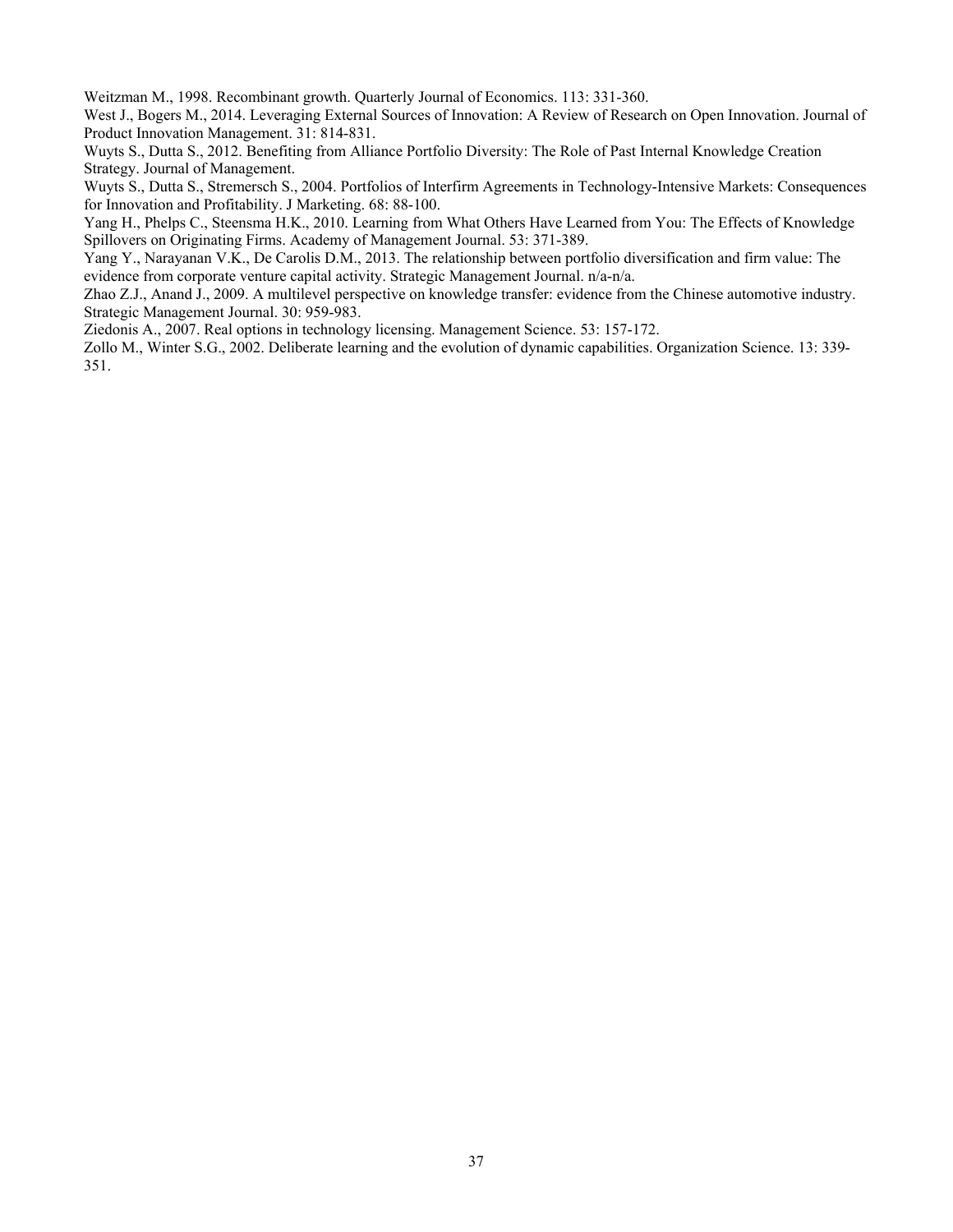Weitzman M., 1998. Recombinant growth. Quarterly Journal of Economics. 113: 331-360.

West J., Bogers M., 2014. Leveraging External Sources of Innovation: A Review of Research on Open Innovation. Journal of Product Innovation Management. 31: 814-831.

Wuyts S., Dutta S., 2012. Benefiting from Alliance Portfolio Diversity: The Role of Past Internal Knowledge Creation Strategy. Journal of Management.

Wuyts S., Dutta S., Stremersch S., 2004. Portfolios of Interfirm Agreements in Technology-Intensive Markets: Consequences for Innovation and Profitability. J Marketing. 68: 88-100.

Yang H., Phelps C., Steensma H.K., 2010. Learning from What Others Have Learned from You: The Effects of Knowledge Spillovers on Originating Firms. Academy of Management Journal. 53: 371-389.

Yang Y., Narayanan V.K., De Carolis D.M., 2013. The relationship between portfolio diversification and firm value: The evidence from corporate venture capital activity. Strategic Management Journal. n/a-n/a.

Zhao Z.J., Anand J., 2009. A multilevel perspective on knowledge transfer: evidence from the Chinese automotive industry. Strategic Management Journal. 30: 959-983.

Ziedonis A., 2007. Real options in technology licensing. Management Science. 53: 157-172.

Zollo M., Winter S.G., 2002. Deliberate learning and the evolution of dynamic capabilities. Organization Science. 13: 339- 351.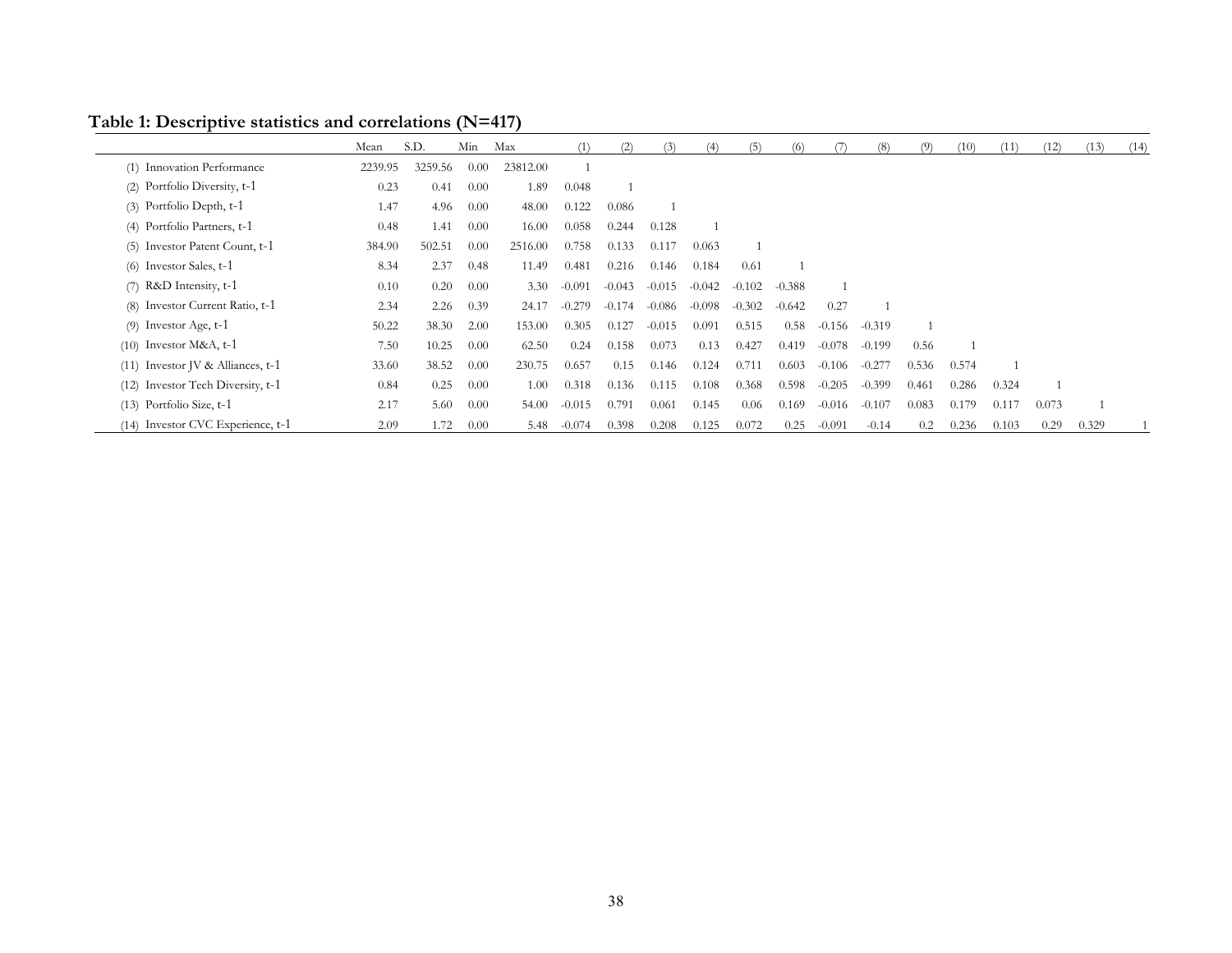|                                     | Mean    | S.D.    | Min  | Max      |          | (2)      | 51       |          |          |          |          | 68       |       | (10)  | (11)  | (12)  | (13)  | (14) |
|-------------------------------------|---------|---------|------|----------|----------|----------|----------|----------|----------|----------|----------|----------|-------|-------|-------|-------|-------|------|
| Innovation Performance<br>(1)       | 2239.95 | 3259.56 | 0.00 | 23812.00 |          |          |          |          |          |          |          |          |       |       |       |       |       |      |
| (2) Portfolio Diversity, t-1        | 0.23    | 0.41    | 0.00 | 1.89     | 0.048    |          |          |          |          |          |          |          |       |       |       |       |       |      |
| (3) Portfolio Depth, t-1            | 1.47    | 4.96    | 0.00 | 48.00    | 0.122    | 0.086    |          |          |          |          |          |          |       |       |       |       |       |      |
| (4) Portfolio Partners, t-1         | 0.48    | 1.41    | 0.00 | 16.00    | 0.058    | 0.244    | 0.128    |          |          |          |          |          |       |       |       |       |       |      |
| Investor Patent Count, t-1<br>(5)   | 384.90  | 502.51  | 0.00 | 2516.00  | 0.758    | 0.133    | 0.117    | 0.063    |          |          |          |          |       |       |       |       |       |      |
| Investor Sales, t-1<br>(6)          | 8.34    | 2.37    | 0.48 | 11.49    | 0.481    | 0.216    | 0.146    | 0.184    | 0.61     |          |          |          |       |       |       |       |       |      |
| R&D Intensity, t-1<br>(7)           | 0.10    | 0.20    | 0.00 | 3.30     | $-0.091$ | $-0.043$ | $-0.015$ | $-0.042$ | $-0.102$ | $-0.388$ |          |          |       |       |       |       |       |      |
| Investor Current Ratio, t-1<br>(8)  | 2.34    | 2.26    | 0.39 | 24.17    | $-0.279$ | $-0.174$ | $-0.086$ | $-0.098$ | $-0.302$ | $-0.642$ | 0.27     |          |       |       |       |       |       |      |
| $(9)$ Investor Age, t-1             | 50.22   | 38.30   | 2.00 | 153.00   | 0.305    | 0.127    | $-0.015$ | 0.091    | 0.515    | 0.58     | $-0.156$ | $-0.319$ |       |       |       |       |       |      |
| $(10)$ Investor M&A, t-1            | 7.50    | 10.25   | 0.00 | 62.50    | 0.24     | 0.158    | 0.073    | 0.13     | 0.427    | 0.419    | $-0.078$ | $-0.199$ | 0.56  |       |       |       |       |      |
| $(11)$ Investor JV & Alliances, t-1 | 33.60   | 38.52   | 0.00 | 230.75   | 0.657    | 0.15     | 0.146    | 0.124    | 0.711    | 0.603    | $-0.106$ | $-0.277$ | 0.536 | 0.574 |       |       |       |      |
| (12) Investor Tech Diversity, t-1   | 0.84    | 0.25    | 0.00 | 1.00     | 0.318    | 0.136    | 0.115    | 0.108    | 0.368    | 0.598    | $-0.205$ | $-0.399$ | 0.461 | 0.286 | 0.324 |       |       |      |
| $(13)$ Portfolio Size, $t-1$        | 2.17    | 5.60    | 0.00 | 54.00    | $-0.015$ | 0.791    | 0.061    | 0.145    | 0.06     | 0.169    | $-0.016$ | $-0.107$ | 0.083 | 0.179 | 0.117 | 0.073 |       |      |
| (14) Investor CVC Experience, t-1   | 2.09    | 1.72    | 0.00 | 5.48     | $-0.074$ | 0.398    | 0.208    | 0.125    | 0.072    | 0.25     | $-0.091$ | $-0.14$  | 0.2   | 0.236 | 0.103 | 0.29  | 0.329 |      |

**Table 1: Descriptive statistics and correlations (N=417)**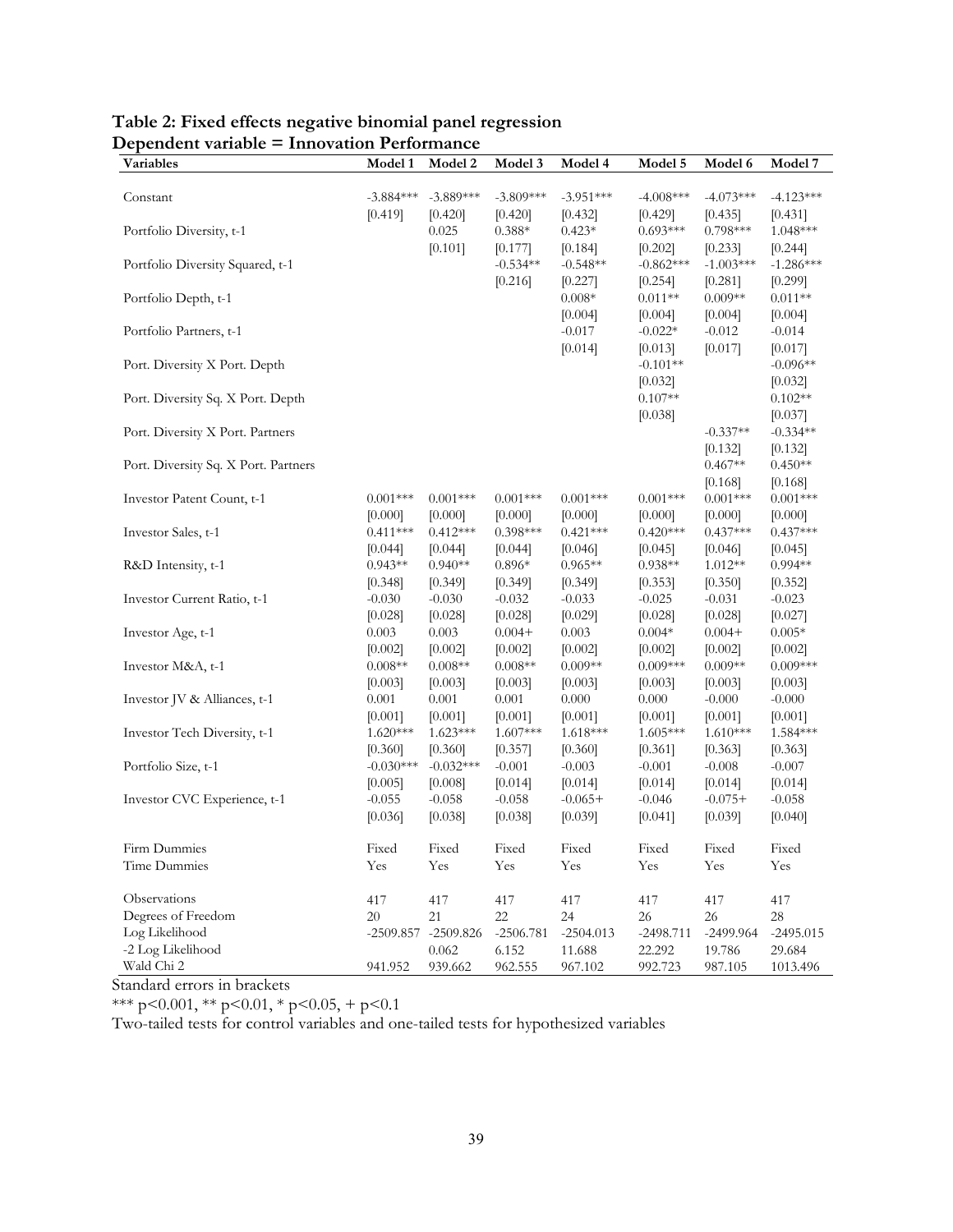| Variables                            | Model 1               | <b>Model 2</b>        | Model 3               | Model 4               | Model 5               | Model 6               | Model 7               |
|--------------------------------------|-----------------------|-----------------------|-----------------------|-----------------------|-----------------------|-----------------------|-----------------------|
| Constant                             | $-3.884***$           | $-3.889***$           | $-3.809***$           | $-3.951***$           | $-4.008***$           | $-4.073***$           | $-4.123***$           |
|                                      | [0.419]               | [0.420]               | [0.420]               | [0.432]               | [0.429]               | [0.435]               | [0.431]               |
| Portfolio Diversity, t-1             |                       | 0.025                 | $0.388*$              | $0.423*$              | $0.693***$            | $0.798***$            | $1.048***$            |
|                                      |                       | [0.101]               | [0.177]               | [0.184]               | [0.202]               | [0.233]               | [0.244]               |
| Portfolio Diversity Squared, t-1     |                       |                       | $-0.534**$            | $-0.548**$            | $-0.862***$           | $-1.003***$           | $-1.286***$           |
|                                      |                       |                       | [0.216]               | [0.227]               | [0.254]               | [0.281]               | [0.299]               |
| Portfolio Depth, t-1                 |                       |                       |                       | $0.008*$              | $0.011**$             | $0.009**$             | $0.011**$             |
|                                      |                       |                       |                       | [0.004]               | [0.004]               | [0.004]               | [0.004]               |
| Portfolio Partners, t-1              |                       |                       |                       | $-0.017$              | $-0.022*$             | $-0.012$              | $-0.014$              |
|                                      |                       |                       |                       | [0.014]               | [0.013]               | [0.017]               | [0.017]               |
| Port. Diversity X Port. Depth        |                       |                       |                       |                       | $-0.101**$            |                       | $-0.096**$            |
|                                      |                       |                       |                       |                       | [0.032]               |                       | [0.032]               |
| Port. Diversity Sq. X Port. Depth    |                       |                       |                       |                       | $0.107**$             |                       | $0.102**$             |
| Port. Diversity X Port. Partners     |                       |                       |                       |                       | [0.038]               | $-0.337**$            | [0.037]<br>$-0.334**$ |
|                                      |                       |                       |                       |                       |                       | [0.132]               | [0.132]               |
| Port. Diversity Sq. X Port. Partners |                       |                       |                       |                       |                       | $0.467**$             | $0.450**$             |
|                                      |                       |                       |                       |                       |                       | [0.168]               | [0.168]               |
| Investor Patent Count, t-1           | $0.001***$            | $0.001***$            | $0.001***$            | $0.001***$            | $0.001***$            | $0.001***$            | $0.001***$            |
|                                      | [0.000]               | [0.000]               | [0.000]               | [0.000]               | [0.000]               | [0.000]               | [0.000]               |
| Investor Sales, t-1                  | $0.411***$            | $0.412***$            | $0.398***$            | $0.421***$            | $0.420***$            | $0.437***$            | $0.437***$            |
|                                      | [0.044]               | [0.044]               | [0.044]               | [0.046]               | [0.045]               | [0.046]               | [0.045]               |
| R&D Intensity, t-1                   | $0.943**$             | $0.940**$             | $0.896*$              | $0.965**$             | $0.938**$             | $1.012**$             | $0.994**$             |
|                                      | [0.348]               | [0.349]               | [0.349]               | [0.349]               | [0.353]               | [0.350]               | [0.352]               |
| Investor Current Ratio, t-1          | $-0.030$              | $-0.030$              | $-0.032$              | $-0.033$              | $-0.025$              | $-0.031$              | $-0.023$              |
|                                      | [0.028]               | [0.028]               | [0.028]               | [0.029]               | [0.028]               | [0.028]               | [0.027]               |
| Investor Age, t-1                    | 0.003                 | 0.003                 | $0.004+$              | 0.003                 | $0.004*$              | $0.004 +$             | $0.005*$              |
|                                      | [0.002]               | [0.002]               | [0.002]               | [0.002]               | [0.002]               | [0.002]               | [0.002]               |
| Investor M&A, t-1                    | $0.008**$             | $0.008**$             | $0.008**$             | $0.009**$             | $0.009***$            | $0.009**$             | $0.009***$            |
|                                      | [0.003]               | [0.003]               | [0.003]               | [0.003]               | [0.003]               | [0.003]               | [0.003]               |
| Investor JV & Alliances, t-1         | 0.001                 | 0.001                 | 0.001                 | $0.000\,$             | 0.000                 | $-0.000$              | $-0.000$              |
| Investor Tech Diversity, t-1         | [0.001]<br>$1.620***$ | [0.001]<br>$1.623***$ | [0.001]<br>$1.607***$ | [0.001]<br>$1.618***$ | [0.001]<br>$1.605***$ | [0.001]<br>$1.610***$ | [0.001]<br>1.584***   |
|                                      | [0.360]               | [0.360]               | [0.357]               | [0.360]               | [0.361]               | [0.363]               | [0.363]               |
| Portfolio Size, t-1                  | $-0.030***$           | $-0.032***$           | $-0.001$              | $-0.003$              | $-0.001$              | $-0.008$              | $-0.007$              |
|                                      | [0.005]               | [0.008]               | [0.014]               | [0.014]               | [0.014]               | [0.014]               | [0.014]               |
| Investor CVC Experience, t-1         | $-0.055$              | $-0.058$              | $-0.058$              | $-0.065+$             | $-0.046$              | $-0.075+$             | $-0.058$              |
|                                      | [0.036]               | [0.038]               | [0.038]               | [0.039]               | [0.041]               | [0.039]               | [0.040]               |
| Firm Dummies                         | Fixed                 | Fixed                 | Fixed                 | Fixed                 | Fixed                 | Fixed                 | Fixed                 |
| Time Dummies                         | Yes                   | Yes                   | Yes                   | Yes                   | Yes                   | Yes                   | Yes                   |
| Observations                         |                       |                       |                       |                       |                       |                       |                       |
| Degrees of Freedom                   | 417<br>20             | 417<br>21             | 417<br>22             | 417<br>24             | 417<br>26             | 417<br>26             | 417<br>$28\,$         |
| Log Likelihood                       | $-2509.857$           | $-2509.826$           | $-2506.781$           | $-2504.013$           | $-2498.711$           | $-2499.964$           | $-2495.015$           |
| -2 Log Likelihood                    |                       | 0.062                 | 6.152                 | 11.688                | 22.292                | 19.786                | 29.684                |
| Wald Chi 2                           | 941.952               | 939.662               | 962.555               | 967.102               | 992.723               | 987.105               | 1013.496              |

# **Table 2: Fixed effects negative binomial panel regression Dependent variable = Innovation Performance**

Standard errors in brackets

\*\*\* p<0.001, \*\* p<0.01, \* p<0.05, + p<0.1

Two-tailed tests for control variables and one-tailed tests for hypothesized variables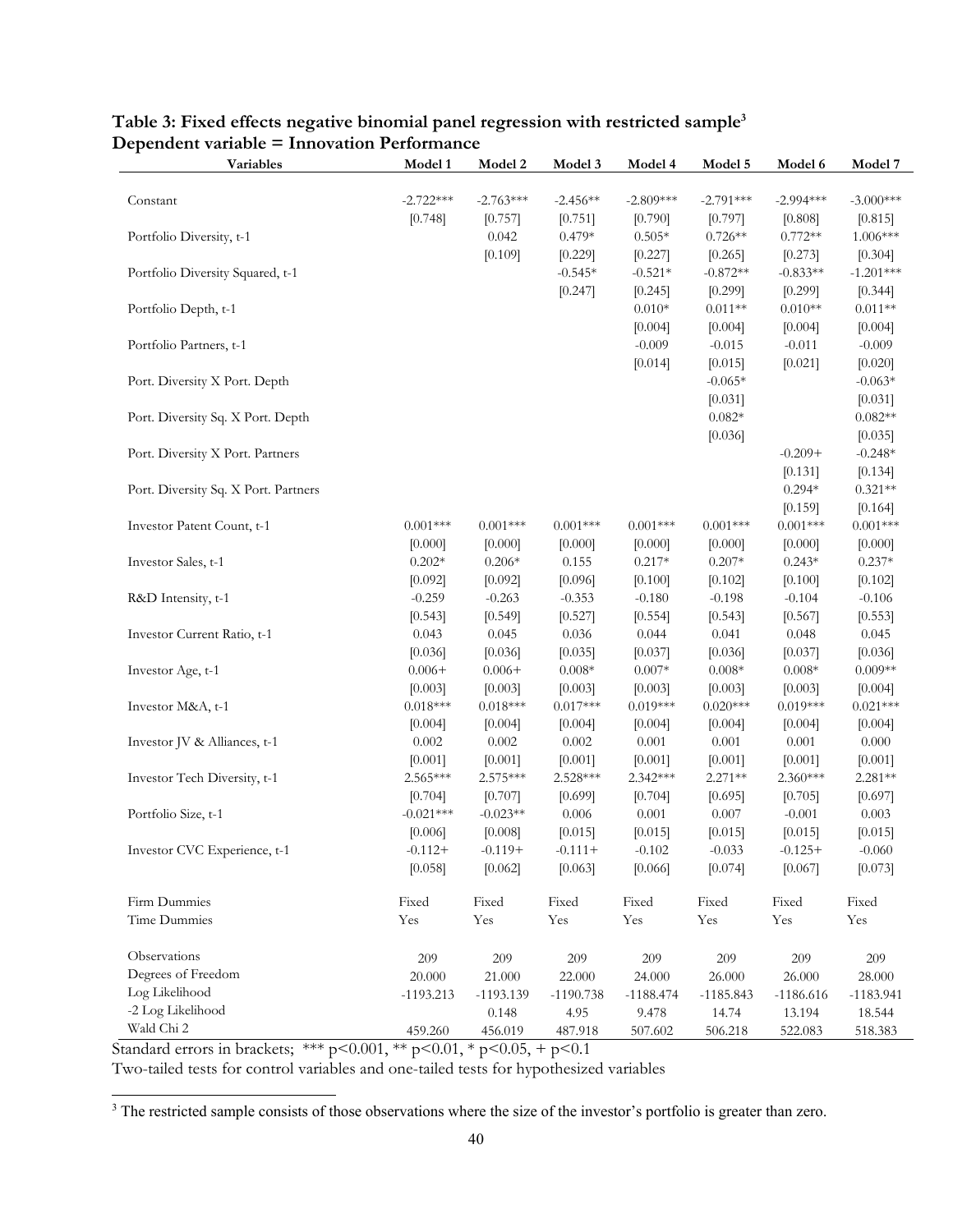| Variables                            | Model 1     | Model 2     | Model 3     | Model 4     | Model 5         | Model 6     | Model 7     |
|--------------------------------------|-------------|-------------|-------------|-------------|-----------------|-------------|-------------|
|                                      |             |             |             |             |                 |             |             |
| Constant                             | $-2.722***$ | $-2.763***$ | $-2.456**$  | $-2.809***$ | $-2.791***$     | $-2.994***$ | $-3.000***$ |
|                                      | [0.748]     | [0.757]     | [0.751]     | [0.790]     | [0.797]         | [0.808]     | [0.815]     |
| Portfolio Diversity, t-1             |             | 0.042       | $0.479*$    | $0.505*$    | $0.726**$       | $0.772**$   | 1.006***    |
|                                      |             | [0.109]     | [0.229]     | [0.227]     | [0.265]         | [0.273]     | [0.304]     |
| Portfolio Diversity Squared, t-1     |             |             | $-0.545*$   | $-0.521*$   | $-0.872**$      | $-0.833**$  | $-1.201***$ |
|                                      |             |             | [0.247]     | [0.245]     | [0.299]         | [0.299]     | [0.344]     |
| Portfolio Depth, t-1                 |             |             |             | $0.010*$    | $0.011**$       | $0.010**$   | $0.011**$   |
|                                      |             |             |             | [0.004]     | [0.004]         | [0.004]     | [0.004]     |
| Portfolio Partners, t-1              |             |             |             | $-0.009$    | $-0.015$        | $-0.011$    | $-0.009$    |
|                                      |             |             |             | [0.014]     | [0.015]         | [0.021]     | [0.020]     |
| Port. Diversity X Port. Depth        |             |             |             |             | $-0.065*$       |             | $-0.063*$   |
|                                      |             |             |             |             | [0.031]         |             | [0.031]     |
| Port. Diversity Sq. X Port. Depth    |             |             |             |             | $0.082*$        |             | $0.082**$   |
|                                      |             |             |             |             | [0.036]         |             | [0.035]     |
| Port. Diversity X Port. Partners     |             |             |             |             |                 | $-0.209+$   | $-0.248*$   |
|                                      |             |             |             |             |                 | [0.131]     | [0.134]     |
| Port. Diversity Sq. X Port. Partners |             |             |             |             |                 | $0.294*$    | $0.321**$   |
|                                      |             |             |             |             |                 | [0.159]     | [0.164]     |
| Investor Patent Count, t-1           | $0.001***$  | $0.001***$  | $0.001***$  | $0.001***$  | $0.001***$      | $0.001***$  | $0.001***$  |
|                                      | [0.000]     | [0.000]     | [0.000]     | [0.000]     | [0.000]         | [0.000]     | [0.000]     |
| Investor Sales, t-1                  | $0.202*$    | $0.206*$    | 0.155       | $0.217*$    | $0.207\text{*}$ | $0.243*$    | $0.237*$    |
|                                      | [0.092]     | [0.092]     | [0.096]     | [0.100]     | [0.102]         | [0.100]     | [0.102]     |
| R&D Intensity, t-1                   | $-0.259$    | $-0.263$    | $-0.353$    | $-0.180$    | $-0.198$        | $-0.104$    | $-0.106$    |
|                                      | [0.543]     | [0.549]     | [0.527]     | [0.554]     | [0.543]         | [0.567]     | [0.553]     |
| Investor Current Ratio, t-1          | 0.043       | 0.045       | 0.036       | 0.044       | 0.041           | 0.048       | 0.045       |
|                                      | [0.036]     | [0.036]     | [0.035]     | [0.037]     | [0.036]         | [0.037]     | [0.036]     |
| Investor Age, t-1                    | $0.006+$    | $0.006+$    | $0.008*$    | $0.007*$    | $0.008*$        | $0.008*$    | $0.009**$   |
|                                      | [0.003]     | [0.003]     | [0.003]     | [0.003]     | [0.003]         | [0.003]     | [0.004]     |
| Investor M&A, t-1                    | $0.018***$  | $0.018***$  | $0.017***$  | $0.019***$  | $0.020***$      | $0.019***$  | $0.021***$  |
|                                      | [0.004]     | [0.004]     | [0.004]     | [0.004]     | [0.004]         | [0.004]     | [0.004]     |
| Investor JV & Alliances, t-1         | $0.002\,$   | $0.002\,$   | $0.002\,$   | 0.001       | 0.001           | 0.001       | 0.000       |
|                                      | [0.001]     | [0.001]     | [0.001]     | [0.001]     | [0.001]         | [0.001]     | [0.001]     |
| Investor Tech Diversity, t-1         | 2.565***    | 2.575***    | 2.528***    | 2.342***    | $2.271**$       | 2.360***    | 2.281**     |
|                                      | [0.704]     | [0.707]     | [0.699]     | [0.704]     | [0.695]         | [0.705]     | [0.697]     |
| Portfolio Size, t-1                  | $-0.021***$ | $-0.023**$  | 0.006       | 0.001       | 0.007           | $-0.001$    | 0.003       |
|                                      | [0.006]     | [0.008]     | [0.015]     | [0.015]     | [0.015]         | [0.015]     | [0.015]     |
| Investor CVC Experience, t-1         | $-0.112+$   | $-0.119+$   | $-0.111+$   | $-0.102$    | $-0.033$        | $-0.125+$   | $-0.060$    |
|                                      | [0.058]     | [0.062]     | [0.063]     | [0.066]     | [0.074]         | [0.067]     | [0.073]     |
| Firm Dummies                         | Fixed       | Fixed       | Fixed       | Fixed       | Fixed           | Fixed       | Fixed       |
| Time Dummies                         | Yes         | Yes         | Yes         | Yes         | Yes             | Yes         | Yes         |
|                                      |             |             |             |             |                 |             |             |
| Observations                         | 209         | 209         | 209         | 209         | 209             | 209         | 209         |
| Degrees of Freedom                   | 20.000      | 21.000      | 22.000      | 24.000      | 26.000          | 26.000      | 28.000      |
| Log Likelihood                       | $-1193.213$ | $-1193.139$ | $-1190.738$ | $-1188.474$ | $-1185.843$     | $-1186.616$ | $-1183.941$ |
| -2 Log Likelihood                    |             | 0.148       | 4.95        | 9.478       | 14.74           | 13.194      | 18.544      |
| Wald Chi 2                           | 459.260     | 456.019     | 487.918     | 507.602     | 506.218         | 522.083     | 518.383     |

# **Table 3: Fixed effects negative binomial panel regression with restricted sample3 Dependent variable = Innovation Performance**

Standard errors in brackets; \*\*\* p<0.001, \*\* p<0.01, \* p<0.05, + p<0.1

Two-tailed tests for control variables and one-tailed tests for hypothesized variables

<sup>&</sup>lt;sup>3</sup> The restricted sample consists of those observations where the size of the investor's portfolio is greater than zero.